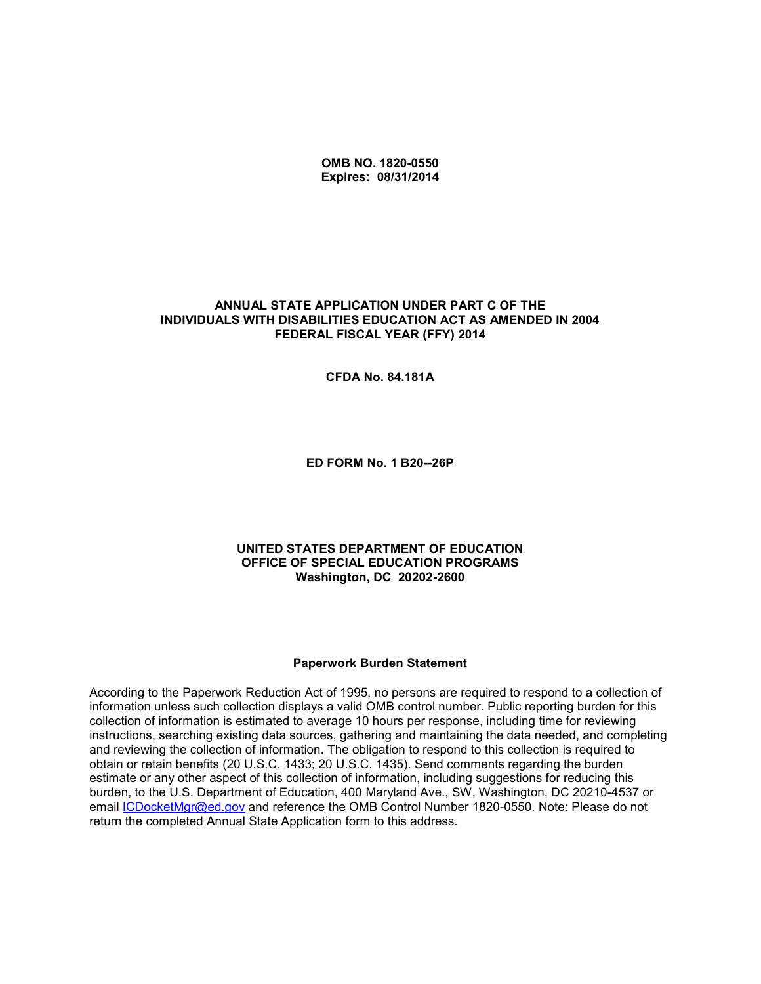**OMB NO. 1820-0550 Expires: 08/31/2014**

#### **ANNUAL STATE APPLICATION UNDER PART C OF THE INDIVIDUALS WITH DISABILITIES EDUCATION ACT AS AMENDED IN 2004 FEDERAL FISCAL YEAR (FFY) 2014**

**CFDA No. 84.181A**

**ED FORM No. 1 B20--26P**

#### **UNITED STATES DEPARTMENT OF EDUCATION OFFICE OF SPECIAL EDUCATION PROGRAMS Washington, DC 20202-2600**

#### **Paperwork Burden Statement**

According to the Paperwork Reduction Act of 1995, no persons are required to respond to a collection of information unless such collection displays a valid OMB control number. Public reporting burden for this collection of information is estimated to average 10 hours per response, including time for reviewing instructions, searching existing data sources, gathering and maintaining the data needed, and completing and reviewing the collection of information. The obligation to respond to this collection is required to obtain or retain benefits (20 U.S.C. 1433; 20 U.S.C. 1435). Send comments regarding the burden estimate or any other aspect of this collection of information, including suggestions for reducing this burden, to the U.S. Department of Education, 400 Maryland Ave., SW, Washington, DC 20210-4537 or email [ICDocketMgr@ed.gov](mailto:ICDocketMgr@ed.gov) and reference the OMB Control Number 1820-0550. Note: Please do not return the completed Annual State Application form to this address.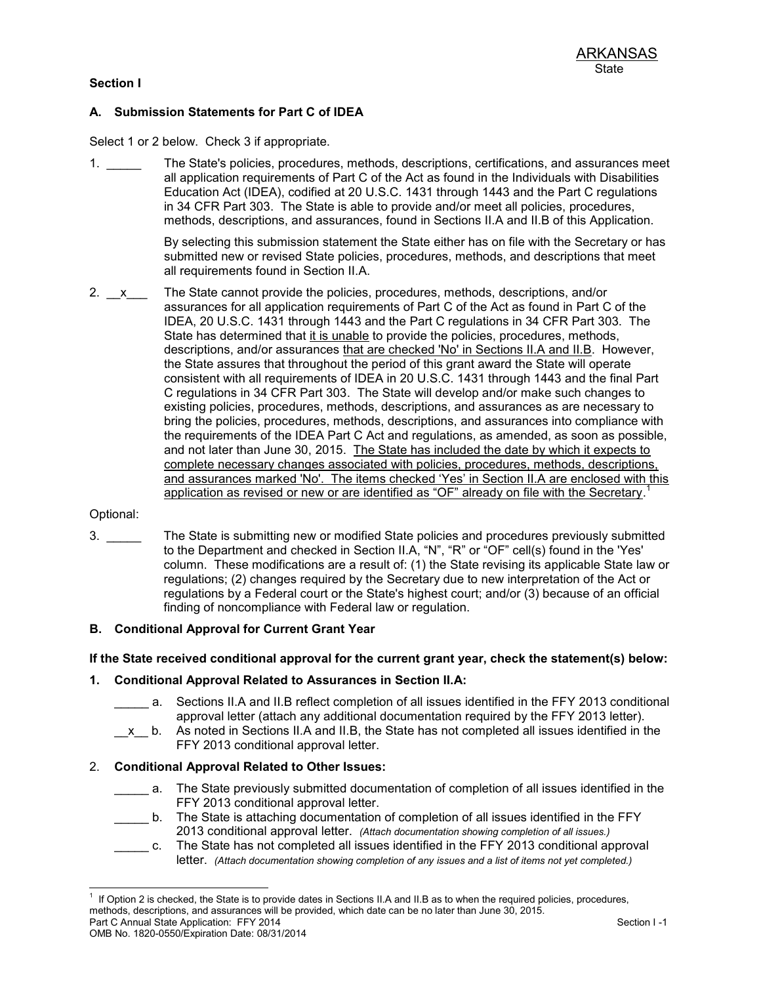#### **Section I**

#### **A. Submission Statements for Part C of IDEA**

Select 1 or 2 below. Check 3 if appropriate.

1. \_\_\_\_\_ The State's policies, procedures, methods, descriptions, certifications, and assurances meet all application requirements of Part C of the Act as found in the Individuals with Disabilities Education Act (IDEA), codified at 20 U.S.C. 1431 through 1443 and the Part C regulations in 34 CFR Part 303. The State is able to provide and/or meet all policies, procedures, methods, descriptions, and assurances, found in Sections II.A and II.B of this Application.

> By selecting this submission statement the State either has on file with the Secretary or has submitted new or revised State policies, procedures, methods, and descriptions that meet all requirements found in Section II.A.

2.  $x$  The State cannot provide the policies, procedures, methods, descriptions, and/or assurances for all application requirements of Part C of the Act as found in Part C of the IDEA, 20 U.S.C. 1431 through 1443 and the Part C regulations in 34 CFR Part 303. The State has determined that it is unable to provide the policies, procedures, methods, descriptions, and/or assurances that are checked 'No' in Sections II.A and II.B. However, the State assures that throughout the period of this grant award the State will operate consistent with all requirements of IDEA in 20 U.S.C. 1431 through 1443 and the final Part C regulations in 34 CFR Part 303. The State will develop and/or make such changes to existing policies, procedures, methods, descriptions, and assurances as are necessary to bring the policies, procedures, methods, descriptions, and assurances into compliance with the requirements of the IDEA Part C Act and regulations, as amended, as soon as possible, and not later than June 30, 2015. The State has included the date by which it expects to complete necessary changes associated with policies, procedures, methods, descriptions, and assurances marked 'No'. The items checked 'Yes' in Section II.A are enclosed with this application as revised or new or are identified as "OF" already on file with the Secretary.<sup>1</sup>

#### Optional:

3. \_\_\_\_\_ The State is submitting new or modified State policies and procedures previously submitted to the Department and checked in Section II.A, "N", "R" or "OF" cell(s) found in the 'Yes' column. These modifications are a result of: (1) the State revising its applicable State law or regulations; (2) changes required by the Secretary due to new interpretation of the Act or regulations by a Federal court or the State's highest court; and/or (3) because of an official finding of noncompliance with Federal law or regulation.

#### **B. Conditional Approval for Current Grant Year**

#### **If the State received conditional approval for the current grant year, check the statement(s) below:**

#### **1. Conditional Approval Related to Assurances in Section II.A:**

- \_\_\_\_\_ a. Sections II.A and II.B reflect completion of all issues identified in the FFY 2013 conditional approval letter (attach any additional documentation required by the FFY 2013 letter).
- \_x\_ b. As noted in Sections II.A and II.B, the State has not completed all issues identified in the FFY 2013 conditional approval letter.

#### 2. **Conditional Approval Related to Other Issues:**

- \_\_\_\_\_ a. The State previously submitted documentation of completion of all issues identified in the FFY 2013 conditional approval letter.
- \_\_\_\_\_ b. The State is attaching documentation of completion of all issues identified in the FFY 2013 conditional approval letter. *(Attach documentation showing completion of all issues.)*
- \_\_\_\_\_ c. The State has not completed all issues identified in the FFY 2013 conditional approval letter. *(Attach documentation showing completion of any issues and a list of items not yet completed.)*

Part C Annual State Application: FFY 2014 Section I -1 l 1 If Option 2 is checked, the State is to provide dates in Sections II.A and II.B as to when the required policies, procedures, methods, descriptions, and assurances will be provided, which date can be no later than June 30, 2015.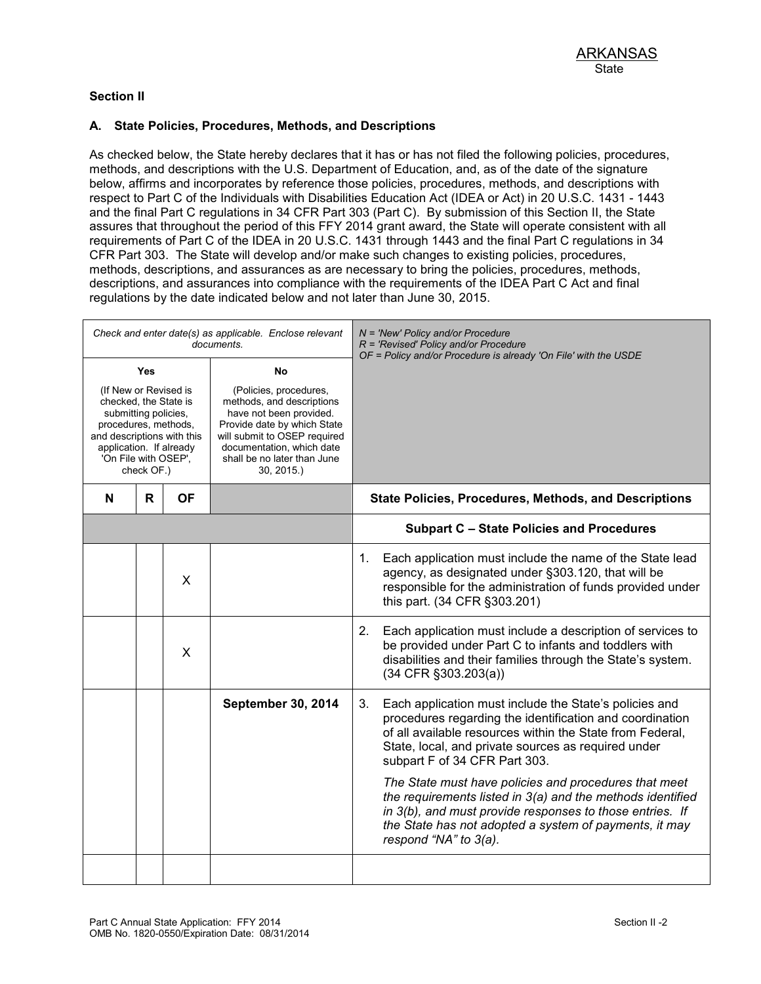#### **Section II**

#### **A. State Policies, Procedures, Methods, and Descriptions**

As checked below, the State hereby declares that it has or has not filed the following policies, procedures, methods, and descriptions with the U.S. Department of Education, and, as of the date of the signature below, affirms and incorporates by reference those policies, procedures, methods, and descriptions with respect to Part C of the Individuals with Disabilities Education Act (IDEA or Act) in 20 U.S.C. 1431 - 1443 and the final Part C regulations in 34 CFR Part 303 (Part C). By submission of this Section II, the State assures that throughout the period of this FFY 2014 grant award, the State will operate consistent with all requirements of Part C of the IDEA in 20 U.S.C. 1431 through 1443 and the final Part C regulations in 34 CFR Part 303. The State will develop and/or make such changes to existing policies, procedures, methods, descriptions, and assurances as are necessary to bring the policies, procedures, methods, descriptions, and assurances into compliance with the requirements of the IDEA Part C Act and final regulations by the date indicated below and not later than June 30, 2015.

| Check and enter date(s) as applicable. Enclose relevant<br>documents.                                                                                                                                       |   |           |                                                                                                                                                                                                                              |                | $N = 'New' Policy and/or Procedure$<br>R = 'Revised' Policy and/or Procedure<br>OF = Policy and/or Procedure is already 'On File' with the USDE                                                                                                                         |
|-------------------------------------------------------------------------------------------------------------------------------------------------------------------------------------------------------------|---|-----------|------------------------------------------------------------------------------------------------------------------------------------------------------------------------------------------------------------------------------|----------------|-------------------------------------------------------------------------------------------------------------------------------------------------------------------------------------------------------------------------------------------------------------------------|
| <b>Yes</b><br>(If New or Revised is<br>checked, the State is<br>submitting policies,<br>procedures, methods,<br>and descriptions with this<br>application. If already<br>'On File with OSEP',<br>check OF.) |   |           | No<br>(Policies, procedures,<br>methods, and descriptions<br>have not been provided.<br>Provide date by which State<br>will submit to OSEP required<br>documentation, which date<br>shall be no later than June<br>30, 2015. |                |                                                                                                                                                                                                                                                                         |
| N                                                                                                                                                                                                           | R | <b>OF</b> |                                                                                                                                                                                                                              |                | <b>State Policies, Procedures, Methods, and Descriptions</b>                                                                                                                                                                                                            |
|                                                                                                                                                                                                             |   |           |                                                                                                                                                                                                                              |                | <b>Subpart C - State Policies and Procedures</b>                                                                                                                                                                                                                        |
|                                                                                                                                                                                                             |   | X         |                                                                                                                                                                                                                              | 1.             | Each application must include the name of the State lead<br>agency, as designated under §303.120, that will be<br>responsible for the administration of funds provided under<br>this part. (34 CFR §303.201)                                                            |
|                                                                                                                                                                                                             |   | X         |                                                                                                                                                                                                                              | 2 <sub>1</sub> | Each application must include a description of services to<br>be provided under Part C to infants and toddlers with<br>disabilities and their families through the State's system.<br>$(34$ CFR $\S 303.203(a))$                                                        |
|                                                                                                                                                                                                             |   |           | September 30, 2014                                                                                                                                                                                                           | 3.             | Each application must include the State's policies and<br>procedures regarding the identification and coordination<br>of all available resources within the State from Federal,<br>State, local, and private sources as required under<br>subpart F of 34 CFR Part 303. |
|                                                                                                                                                                                                             |   |           |                                                                                                                                                                                                                              |                | The State must have policies and procedures that meet<br>the requirements listed in 3(a) and the methods identified<br>in 3(b), and must provide responses to those entries. If<br>the State has not adopted a system of payments, it may<br>respond "NA" to 3(a).      |
|                                                                                                                                                                                                             |   |           |                                                                                                                                                                                                                              |                |                                                                                                                                                                                                                                                                         |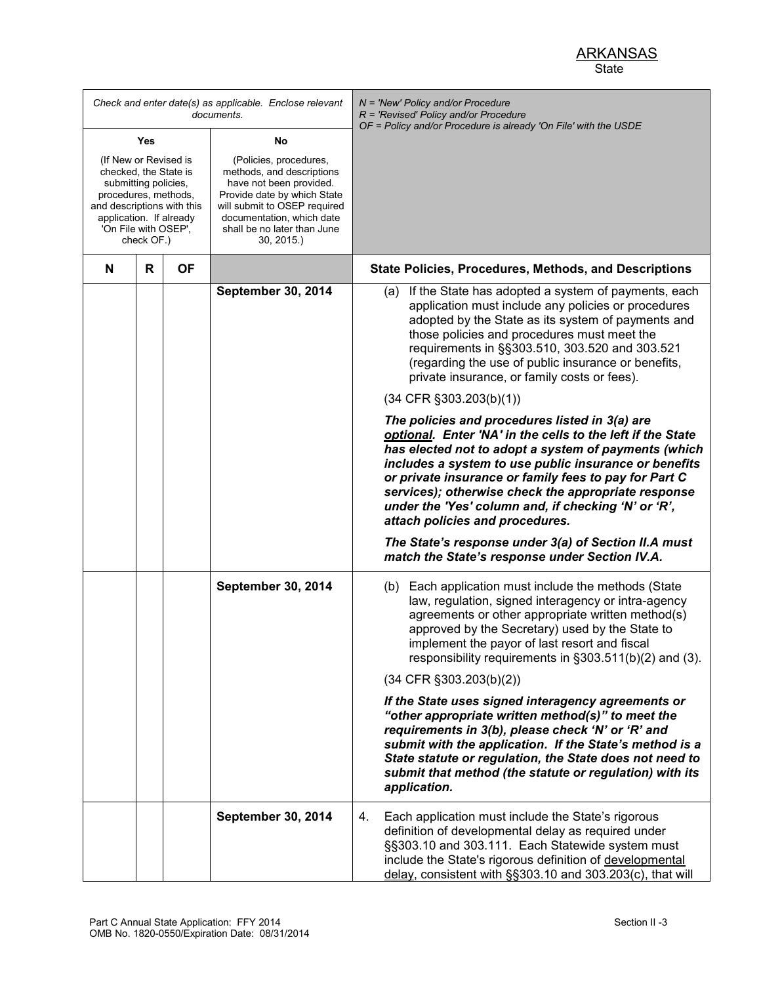|                                                                                                                                                                                               |   |           | Check and enter date(s) as applicable. Enclose relevant<br>documents.                                                                                                                                                  | $N =$ 'New' Policy and/or Procedure<br>$R$ = 'Revised' Policy and/or Procedure<br>OF = Policy and/or Procedure is already 'On File' with the USDE                                                                                                                                                                                                                                                                                                                                                                                                 |
|-----------------------------------------------------------------------------------------------------------------------------------------------------------------------------------------------|---|-----------|------------------------------------------------------------------------------------------------------------------------------------------------------------------------------------------------------------------------|---------------------------------------------------------------------------------------------------------------------------------------------------------------------------------------------------------------------------------------------------------------------------------------------------------------------------------------------------------------------------------------------------------------------------------------------------------------------------------------------------------------------------------------------------|
| <b>Yes</b>                                                                                                                                                                                    |   |           | No                                                                                                                                                                                                                     |                                                                                                                                                                                                                                                                                                                                                                                                                                                                                                                                                   |
| (If New or Revised is<br>checked, the State is<br>submitting policies.<br>procedures, methods,<br>and descriptions with this<br>application. If already<br>'On File with OSEP',<br>check OF.) |   |           | (Policies, procedures,<br>methods, and descriptions<br>have not been provided.<br>Provide date by which State<br>will submit to OSEP required<br>documentation, which date<br>shall be no later than June<br>30, 2015. |                                                                                                                                                                                                                                                                                                                                                                                                                                                                                                                                                   |
| N                                                                                                                                                                                             | R | <b>OF</b> |                                                                                                                                                                                                                        | <b>State Policies, Procedures, Methods, and Descriptions</b>                                                                                                                                                                                                                                                                                                                                                                                                                                                                                      |
|                                                                                                                                                                                               |   |           | September 30, 2014                                                                                                                                                                                                     | (a) If the State has adopted a system of payments, each<br>application must include any policies or procedures<br>adopted by the State as its system of payments and<br>those policies and procedures must meet the<br>requirements in §§303.510, 303.520 and 303.521<br>(regarding the use of public insurance or benefits,<br>private insurance, or family costs or fees).                                                                                                                                                                      |
|                                                                                                                                                                                               |   |           |                                                                                                                                                                                                                        | $(34$ CFR $\S 303.203(b)(1))$                                                                                                                                                                                                                                                                                                                                                                                                                                                                                                                     |
|                                                                                                                                                                                               |   |           |                                                                                                                                                                                                                        | The policies and procedures listed in 3(a) are<br>optional. Enter 'NA' in the cells to the left if the State<br>has elected not to adopt a system of payments (which<br>includes a system to use public insurance or benefits<br>or private insurance or family fees to pay for Part C<br>services); otherwise check the appropriate response<br>under the 'Yes' column and, if checking 'N' or 'R',<br>attach policies and procedures.<br>The State's response under 3(a) of Section II.A must<br>match the State's response under Section IV.A. |
|                                                                                                                                                                                               |   |           | September 30, 2014                                                                                                                                                                                                     | Each application must include the methods (State<br>(b)<br>law, regulation, signed interagency or intra-agency<br>agreements or other appropriate written method(s)<br>approved by the Secretary) used by the State to<br>implement the payor of last resort and fiscal<br>responsibility requirements in §303.511(b)(2) and (3).                                                                                                                                                                                                                 |
|                                                                                                                                                                                               |   |           |                                                                                                                                                                                                                        | $(34$ CFR $\S 303.203(b)(2))$                                                                                                                                                                                                                                                                                                                                                                                                                                                                                                                     |
|                                                                                                                                                                                               |   |           |                                                                                                                                                                                                                        | If the State uses signed interagency agreements or<br>"other appropriate written method(s)" to meet the<br>requirements in 3(b), please check 'N' or 'R' and<br>submit with the application. If the State's method is a<br>State statute or regulation, the State does not need to<br>submit that method (the statute or regulation) with its<br>application.                                                                                                                                                                                     |
|                                                                                                                                                                                               |   |           | September 30, 2014                                                                                                                                                                                                     | Each application must include the State's rigorous<br>4.<br>definition of developmental delay as required under<br>§§303.10 and 303.111. Each Statewide system must<br>include the State's rigorous definition of developmental<br>delay, consistent with §§303.10 and 303.203(c), that will                                                                                                                                                                                                                                                      |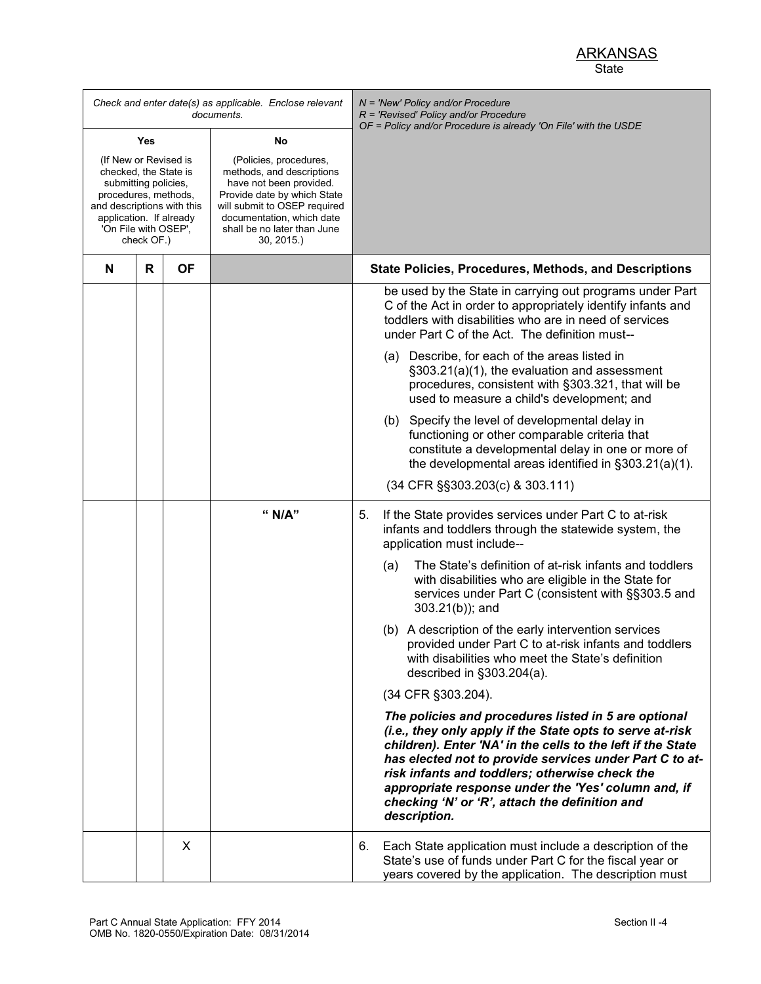|                                                                                                                                                                                               |   |           | Check and enter date(s) as applicable. Enclose relevant<br>documents.                                                                                                                                                  | $N = 'New' Policy and/or Procedure$<br>R = 'Revised' Policy and/or Procedure<br>OF = Policy and/or Procedure is already 'On File' with the USDE                                                                                                                                                                                                                                                                        |
|-----------------------------------------------------------------------------------------------------------------------------------------------------------------------------------------------|---|-----------|------------------------------------------------------------------------------------------------------------------------------------------------------------------------------------------------------------------------|------------------------------------------------------------------------------------------------------------------------------------------------------------------------------------------------------------------------------------------------------------------------------------------------------------------------------------------------------------------------------------------------------------------------|
| Yes                                                                                                                                                                                           |   |           | No                                                                                                                                                                                                                     |                                                                                                                                                                                                                                                                                                                                                                                                                        |
| (If New or Revised is<br>checked, the State is<br>submitting policies,<br>procedures, methods,<br>and descriptions with this<br>application. If already<br>'On File with OSEP',<br>check OF.) |   |           | (Policies, procedures,<br>methods, and descriptions<br>have not been provided.<br>Provide date by which State<br>will submit to OSEP required<br>documentation, which date<br>shall be no later than June<br>30, 2015. |                                                                                                                                                                                                                                                                                                                                                                                                                        |
| N                                                                                                                                                                                             | R | <b>OF</b> |                                                                                                                                                                                                                        | <b>State Policies, Procedures, Methods, and Descriptions</b>                                                                                                                                                                                                                                                                                                                                                           |
|                                                                                                                                                                                               |   |           |                                                                                                                                                                                                                        | be used by the State in carrying out programs under Part<br>C of the Act in order to appropriately identify infants and<br>toddlers with disabilities who are in need of services<br>under Part C of the Act. The definition must--                                                                                                                                                                                    |
|                                                                                                                                                                                               |   |           |                                                                                                                                                                                                                        | (a) Describe, for each of the areas listed in<br>§303.21(a)(1), the evaluation and assessment<br>procedures, consistent with §303.321, that will be<br>used to measure a child's development; and                                                                                                                                                                                                                      |
|                                                                                                                                                                                               |   |           |                                                                                                                                                                                                                        | (b) Specify the level of developmental delay in<br>functioning or other comparable criteria that<br>constitute a developmental delay in one or more of<br>the developmental areas identified in $\S 303.21(a)(1)$ .                                                                                                                                                                                                    |
|                                                                                                                                                                                               |   |           |                                                                                                                                                                                                                        | (34 CFR §§303.203(c) & 303.111)                                                                                                                                                                                                                                                                                                                                                                                        |
|                                                                                                                                                                                               |   |           | " $N/A$ "                                                                                                                                                                                                              | 5.<br>If the State provides services under Part C to at-risk<br>infants and toddlers through the statewide system, the<br>application must include--                                                                                                                                                                                                                                                                   |
|                                                                                                                                                                                               |   |           |                                                                                                                                                                                                                        | The State's definition of at-risk infants and toddlers<br>(a)<br>with disabilities who are eligible in the State for<br>services under Part C (consistent with §§303.5 and<br>303.21(b)); and                                                                                                                                                                                                                          |
|                                                                                                                                                                                               |   |           |                                                                                                                                                                                                                        | (b) A description of the early intervention services<br>provided under Part C to at-risk infants and toddlers<br>with disabilities who meet the State's definition<br>described in $\S303.204(a)$ .                                                                                                                                                                                                                    |
|                                                                                                                                                                                               |   |           |                                                                                                                                                                                                                        | (34 CFR §303.204).                                                                                                                                                                                                                                                                                                                                                                                                     |
|                                                                                                                                                                                               |   |           |                                                                                                                                                                                                                        | The policies and procedures listed in 5 are optional<br>(i.e., they only apply if the State opts to serve at-risk<br>children). Enter 'NA' in the cells to the left if the State<br>has elected not to provide services under Part C to at-<br>risk infants and toddlers; otherwise check the<br>appropriate response under the 'Yes' column and, if<br>checking 'N' or 'R', attach the definition and<br>description. |
|                                                                                                                                                                                               |   | X         |                                                                                                                                                                                                                        | Each State application must include a description of the<br>6.<br>State's use of funds under Part C for the fiscal year or<br>years covered by the application. The description must                                                                                                                                                                                                                                   |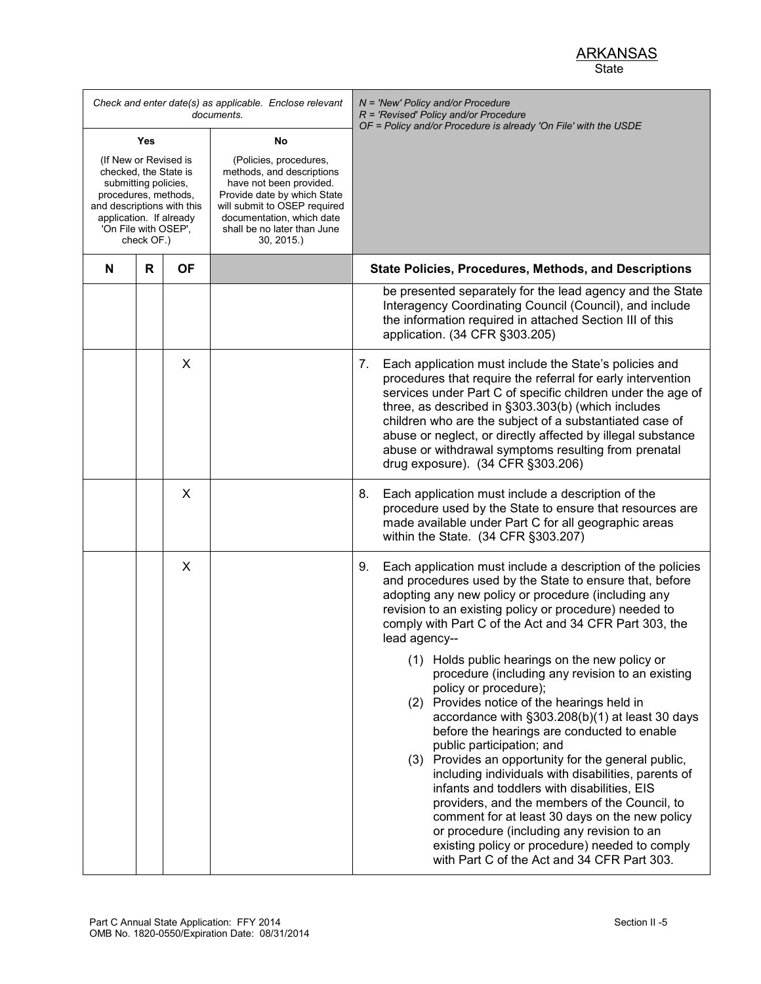|                                                                                                                                                                                                             |   |           | Check and enter date(s) as applicable. Enclose relevant<br>documents.                                                                                                                                                         | $N =$ 'New' Policy and/or Procedure<br>R = 'Revised' Policy and/or Procedure<br>OF = Policy and/or Procedure is already 'On File' with the USDE                                                                                                                                                                                                                                                                                                                                                                                                                                                                                                                                                                                                                                                                                                                                                                                                                                                                                                      |
|-------------------------------------------------------------------------------------------------------------------------------------------------------------------------------------------------------------|---|-----------|-------------------------------------------------------------------------------------------------------------------------------------------------------------------------------------------------------------------------------|------------------------------------------------------------------------------------------------------------------------------------------------------------------------------------------------------------------------------------------------------------------------------------------------------------------------------------------------------------------------------------------------------------------------------------------------------------------------------------------------------------------------------------------------------------------------------------------------------------------------------------------------------------------------------------------------------------------------------------------------------------------------------------------------------------------------------------------------------------------------------------------------------------------------------------------------------------------------------------------------------------------------------------------------------|
| <b>Yes</b><br>(If New or Revised is<br>checked, the State is<br>submitting policies,<br>procedures, methods,<br>and descriptions with this<br>application. If already<br>'On File with OSEP',<br>check OF.) |   |           | No<br>(Policies, procedures,<br>methods, and descriptions<br>have not been provided.<br>Provide date by which State<br>will submit to OSEP required<br>documentation, which date<br>shall be no later than June<br>30, 2015.) |                                                                                                                                                                                                                                                                                                                                                                                                                                                                                                                                                                                                                                                                                                                                                                                                                                                                                                                                                                                                                                                      |
| N                                                                                                                                                                                                           | R | <b>OF</b> |                                                                                                                                                                                                                               | <b>State Policies, Procedures, Methods, and Descriptions</b>                                                                                                                                                                                                                                                                                                                                                                                                                                                                                                                                                                                                                                                                                                                                                                                                                                                                                                                                                                                         |
|                                                                                                                                                                                                             |   |           |                                                                                                                                                                                                                               | be presented separately for the lead agency and the State<br>Interagency Coordinating Council (Council), and include<br>the information required in attached Section III of this<br>application. (34 CFR §303.205)                                                                                                                                                                                                                                                                                                                                                                                                                                                                                                                                                                                                                                                                                                                                                                                                                                   |
|                                                                                                                                                                                                             |   | X         |                                                                                                                                                                                                                               | Each application must include the State's policies and<br>7.<br>procedures that require the referral for early intervention<br>services under Part C of specific children under the age of<br>three, as described in §303.303(b) (which includes<br>children who are the subject of a substantiated case of<br>abuse or neglect, or directly affected by illegal substance<br>abuse or withdrawal symptoms resulting from prenatal<br>drug exposure). (34 CFR §303.206)                                                                                                                                                                                                                                                                                                                                                                                                                                                                                                                                                                              |
|                                                                                                                                                                                                             |   | X         |                                                                                                                                                                                                                               | Each application must include a description of the<br>8.<br>procedure used by the State to ensure that resources are<br>made available under Part C for all geographic areas<br>within the State. (34 CFR §303.207)                                                                                                                                                                                                                                                                                                                                                                                                                                                                                                                                                                                                                                                                                                                                                                                                                                  |
|                                                                                                                                                                                                             |   | X         |                                                                                                                                                                                                                               | Each application must include a description of the policies<br>9.<br>and procedures used by the State to ensure that, before<br>adopting any new policy or procedure (including any<br>revision to an existing policy or procedure) needed to<br>comply with Part C of the Act and 34 CFR Part 303, the<br>lead agency--<br>(1) Holds public hearings on the new policy or<br>procedure (including any revision to an existing<br>policy or procedure);<br>(2) Provides notice of the hearings held in<br>accordance with §303.208(b)(1) at least 30 days<br>before the hearings are conducted to enable<br>public participation; and<br>(3) Provides an opportunity for the general public,<br>including individuals with disabilities, parents of<br>infants and toddlers with disabilities, EIS<br>providers, and the members of the Council, to<br>comment for at least 30 days on the new policy<br>or procedure (including any revision to an<br>existing policy or procedure) needed to comply<br>with Part C of the Act and 34 CFR Part 303. |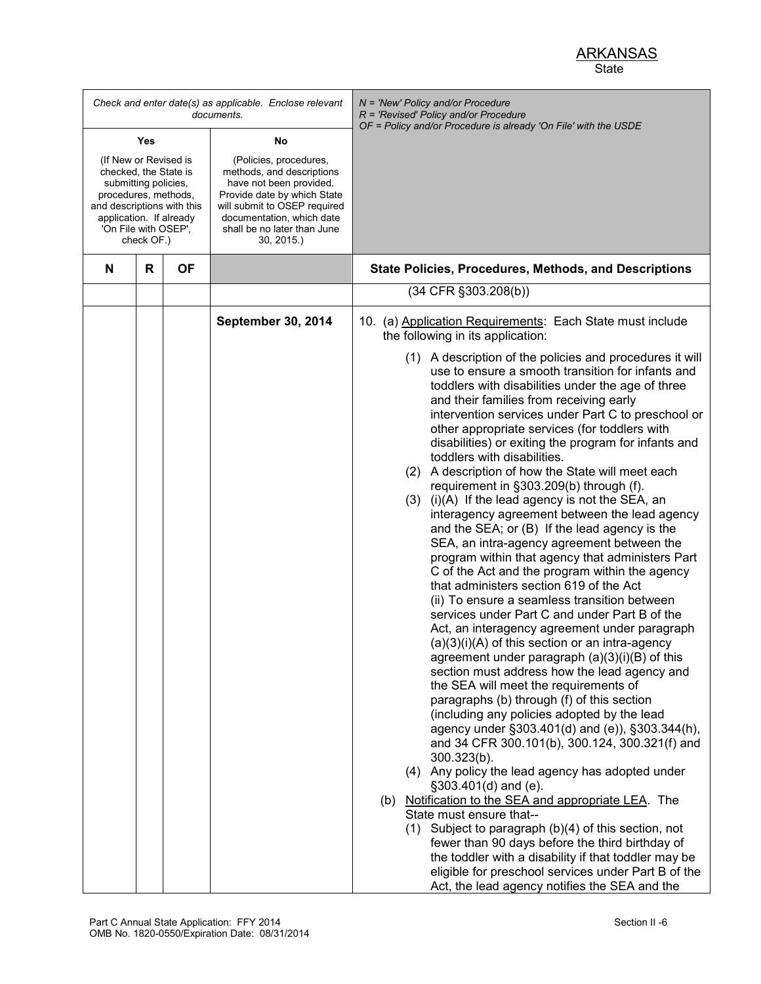| Check and enter date(s) as applicable. Enclose relevant<br>documents.                                                                                                                                |   |           |                                                                                                                                                                                                                              | $N =$ 'New' Policy and/or Procedure<br>$R$ = 'Revised' Policy and/or Procedure<br>OF = Policy and/or Procedure is already 'On File' with the USDE                                                                                                                                                                                                                                                                                                                                                                                                                                                                                                                                                                                                                                                                                                                                                                                                                                                                                                                                                                                                                                                                                                                                                                                                                                                                                                                                                                                                                                                                                                                                                                                                                                                                                                                                                                                                                                           |
|------------------------------------------------------------------------------------------------------------------------------------------------------------------------------------------------------|---|-----------|------------------------------------------------------------------------------------------------------------------------------------------------------------------------------------------------------------------------------|---------------------------------------------------------------------------------------------------------------------------------------------------------------------------------------------------------------------------------------------------------------------------------------------------------------------------------------------------------------------------------------------------------------------------------------------------------------------------------------------------------------------------------------------------------------------------------------------------------------------------------------------------------------------------------------------------------------------------------------------------------------------------------------------------------------------------------------------------------------------------------------------------------------------------------------------------------------------------------------------------------------------------------------------------------------------------------------------------------------------------------------------------------------------------------------------------------------------------------------------------------------------------------------------------------------------------------------------------------------------------------------------------------------------------------------------------------------------------------------------------------------------------------------------------------------------------------------------------------------------------------------------------------------------------------------------------------------------------------------------------------------------------------------------------------------------------------------------------------------------------------------------------------------------------------------------------------------------------------------------|
| Yes<br>(If New or Revised is<br>checked, the State is<br>submitting policies,<br>procedures, methods,<br>and descriptions with this<br>application. If already<br>'On File with OSEP',<br>check OF.) |   |           | No<br>(Policies, procedures,<br>methods, and descriptions<br>have not been provided.<br>Provide date by which State<br>will submit to OSEP required<br>documentation, which date<br>shall be no later than June<br>30, 2015. |                                                                                                                                                                                                                                                                                                                                                                                                                                                                                                                                                                                                                                                                                                                                                                                                                                                                                                                                                                                                                                                                                                                                                                                                                                                                                                                                                                                                                                                                                                                                                                                                                                                                                                                                                                                                                                                                                                                                                                                             |
| N                                                                                                                                                                                                    | R | <b>OF</b> |                                                                                                                                                                                                                              | <b>State Policies, Procedures, Methods, and Descriptions</b>                                                                                                                                                                                                                                                                                                                                                                                                                                                                                                                                                                                                                                                                                                                                                                                                                                                                                                                                                                                                                                                                                                                                                                                                                                                                                                                                                                                                                                                                                                                                                                                                                                                                                                                                                                                                                                                                                                                                |
|                                                                                                                                                                                                      |   |           |                                                                                                                                                                                                                              | $(34$ CFR $\S 303.208(b))$                                                                                                                                                                                                                                                                                                                                                                                                                                                                                                                                                                                                                                                                                                                                                                                                                                                                                                                                                                                                                                                                                                                                                                                                                                                                                                                                                                                                                                                                                                                                                                                                                                                                                                                                                                                                                                                                                                                                                                  |
|                                                                                                                                                                                                      |   |           | September 30, 2014                                                                                                                                                                                                           | 10. (a) Application Requirements: Each State must include<br>the following in its application:<br>(1) A description of the policies and procedures it will<br>use to ensure a smooth transition for infants and<br>toddlers with disabilities under the age of three<br>and their families from receiving early<br>intervention services under Part C to preschool or<br>other appropriate services (for toddlers with<br>disabilities) or exiting the program for infants and<br>toddlers with disabilities.<br>(2) A description of how the State will meet each<br>requirement in §303.209(b) through (f).<br>(3) (i)(A) If the lead agency is not the SEA, an<br>interagency agreement between the lead agency<br>and the $SEA$ ; or $(B)$ If the lead agency is the<br>SEA, an intra-agency agreement between the<br>program within that agency that administers Part<br>C of the Act and the program within the agency<br>that administers section 619 of the Act<br>(ii) To ensure a seamless transition between<br>services under Part C and under Part B of the<br>Act, an interagency agreement under paragraph<br>$(a)(3)(i)(A)$ of this section or an intra-agency<br>agreement under paragraph $(a)(3)(i)(B)$ of this<br>section must address how the lead agency and<br>the SEA will meet the requirements of<br>paragraphs (b) through (f) of this section<br>(including any policies adopted by the lead<br>agency under §303.401(d) and (e)), §303.344(h),<br>and 34 CFR 300.101(b), 300.124, 300.321(f) and<br>300.323(b).<br>(4) Any policy the lead agency has adopted under<br>§303.401(d) and (e).<br>(b) Notification to the SEA and appropriate LEA. The<br>State must ensure that--<br>$(1)$ Subject to paragraph $(b)(4)$ of this section, not<br>fewer than 90 days before the third birthday of<br>the toddler with a disability if that toddler may be<br>eligible for preschool services under Part B of the<br>Act, the lead agency notifies the SEA and the |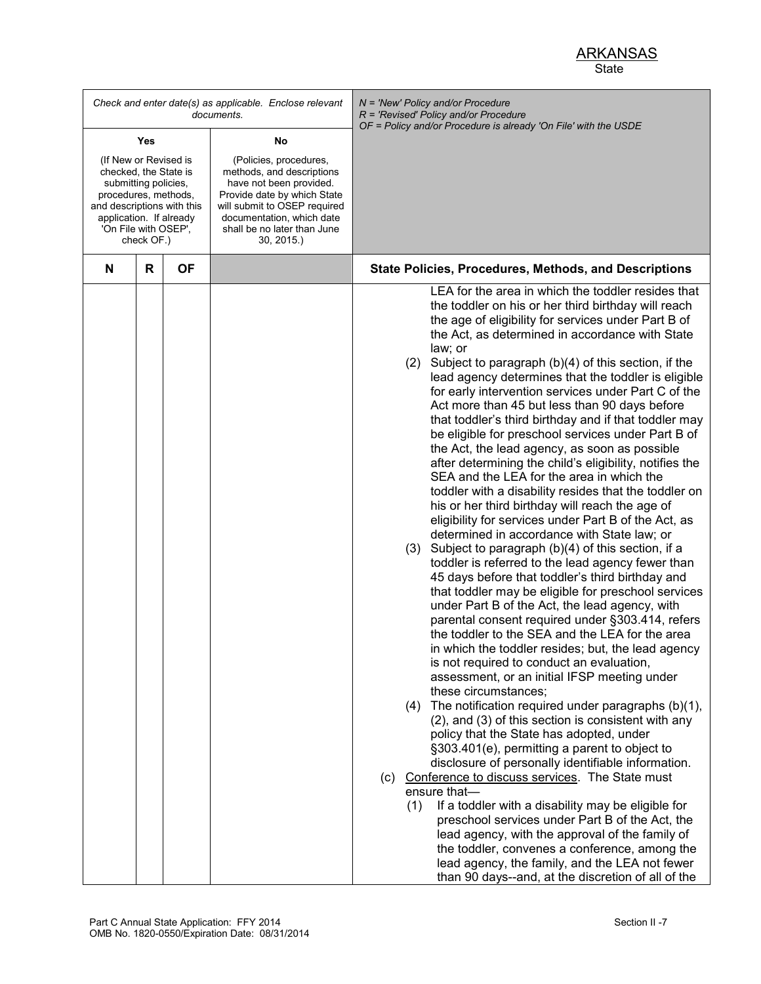|                                                                                                                                                                                                      |   |           | Check and enter date(s) as applicable. Enclose relevant<br>documents.                                                                                                                                                  | $N =$ 'New' Policy and/or Procedure<br>$R$ = 'Revised' Policy and/or Procedure<br>OF = Policy and/or Procedure is already 'On File' with the USDE                                                                                                                                                                                                                                                                                                                                                                                                                                                                                                                                                                                                                                                                                                                                                                                                                                                                                                                                                                                                                                                                                                                                                                                                                                                                                                                                                                                                                                                                                                                                                                                                                                                                                                                                                                                                                                                                                                                                                                                                                                             |
|------------------------------------------------------------------------------------------------------------------------------------------------------------------------------------------------------|---|-----------|------------------------------------------------------------------------------------------------------------------------------------------------------------------------------------------------------------------------|-----------------------------------------------------------------------------------------------------------------------------------------------------------------------------------------------------------------------------------------------------------------------------------------------------------------------------------------------------------------------------------------------------------------------------------------------------------------------------------------------------------------------------------------------------------------------------------------------------------------------------------------------------------------------------------------------------------------------------------------------------------------------------------------------------------------------------------------------------------------------------------------------------------------------------------------------------------------------------------------------------------------------------------------------------------------------------------------------------------------------------------------------------------------------------------------------------------------------------------------------------------------------------------------------------------------------------------------------------------------------------------------------------------------------------------------------------------------------------------------------------------------------------------------------------------------------------------------------------------------------------------------------------------------------------------------------------------------------------------------------------------------------------------------------------------------------------------------------------------------------------------------------------------------------------------------------------------------------------------------------------------------------------------------------------------------------------------------------------------------------------------------------------------------------------------------------|
|                                                                                                                                                                                                      |   |           | No                                                                                                                                                                                                                     |                                                                                                                                                                                                                                                                                                                                                                                                                                                                                                                                                                                                                                                                                                                                                                                                                                                                                                                                                                                                                                                                                                                                                                                                                                                                                                                                                                                                                                                                                                                                                                                                                                                                                                                                                                                                                                                                                                                                                                                                                                                                                                                                                                                               |
| Yes<br>(If New or Revised is<br>checked, the State is<br>submitting policies,<br>procedures, methods,<br>and descriptions with this<br>application. If already<br>'On File with OSEP',<br>check OF.) |   |           | (Policies, procedures,<br>methods, and descriptions<br>have not been provided.<br>Provide date by which State<br>will submit to OSEP required<br>documentation, which date<br>shall be no later than June<br>30, 2015. |                                                                                                                                                                                                                                                                                                                                                                                                                                                                                                                                                                                                                                                                                                                                                                                                                                                                                                                                                                                                                                                                                                                                                                                                                                                                                                                                                                                                                                                                                                                                                                                                                                                                                                                                                                                                                                                                                                                                                                                                                                                                                                                                                                                               |
| N                                                                                                                                                                                                    | R | <b>OF</b> |                                                                                                                                                                                                                        | <b>State Policies, Procedures, Methods, and Descriptions</b>                                                                                                                                                                                                                                                                                                                                                                                                                                                                                                                                                                                                                                                                                                                                                                                                                                                                                                                                                                                                                                                                                                                                                                                                                                                                                                                                                                                                                                                                                                                                                                                                                                                                                                                                                                                                                                                                                                                                                                                                                                                                                                                                  |
|                                                                                                                                                                                                      |   |           |                                                                                                                                                                                                                        | LEA for the area in which the toddler resides that<br>the toddler on his or her third birthday will reach<br>the age of eligibility for services under Part B of<br>the Act, as determined in accordance with State<br>law; or<br>(2) Subject to paragraph (b)(4) of this section, if the<br>lead agency determines that the toddler is eligible<br>for early intervention services under Part C of the<br>Act more than 45 but less than 90 days before<br>that toddler's third birthday and if that toddler may<br>be eligible for preschool services under Part B of<br>the Act, the lead agency, as soon as possible<br>after determining the child's eligibility, notifies the<br>SEA and the LEA for the area in which the<br>toddler with a disability resides that the toddler on<br>his or her third birthday will reach the age of<br>eligibility for services under Part B of the Act, as<br>determined in accordance with State law; or<br>$(3)$ Subject to paragraph $(b)(4)$ of this section, if a<br>toddler is referred to the lead agency fewer than<br>45 days before that toddler's third birthday and<br>that toddler may be eligible for preschool services<br>under Part B of the Act, the lead agency, with<br>parental consent required under §303.414, refers<br>the toddler to the SEA and the LEA for the area<br>in which the toddler resides; but, the lead agency<br>is not required to conduct an evaluation,<br>assessment, or an initial IFSP meeting under<br>these circumstances;<br>(4) The notification required under paragraphs $(b)(1)$ ,<br>(2), and (3) of this section is consistent with any<br>policy that the State has adopted, under<br>§303.401(e), permitting a parent to object to<br>disclosure of personally identifiable information.<br>(c) Conference to discuss services. The State must<br>ensure that-<br>If a toddler with a disability may be eligible for<br>(1)<br>preschool services under Part B of the Act, the<br>lead agency, with the approval of the family of<br>the toddler, convenes a conference, among the<br>lead agency, the family, and the LEA not fewer<br>than 90 days--and, at the discretion of all of the |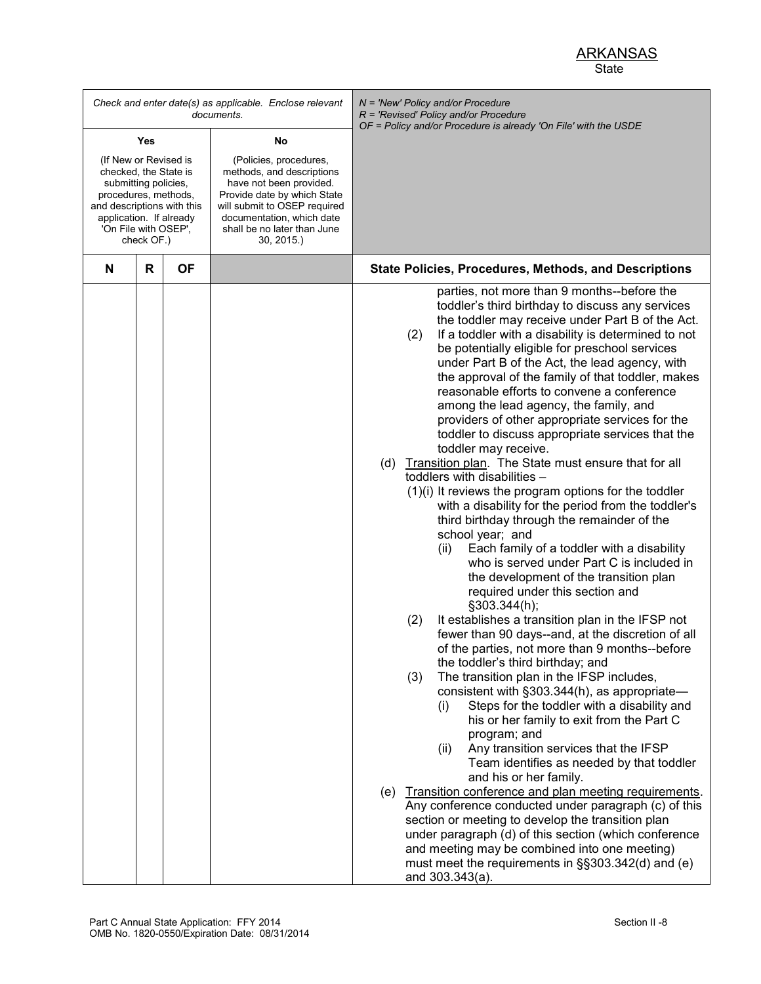|                                                                                                                                                                                                                        | $N =$ 'New' Policy and/or Procedure<br>$R$ = 'Revised' Policy and/or Procedure                                                                                                                                                                                                                                                                                                                                                                                                                                                                                                                                                                                                                                                                                                                                                                                                                                                                                                                                                                                                                                                                                                                                                                                                                                                                                                                                                                                                                                                                                                                                                                                                                                                                                                                                                                                                                                                                                                                       |
|------------------------------------------------------------------------------------------------------------------------------------------------------------------------------------------------------------------------|------------------------------------------------------------------------------------------------------------------------------------------------------------------------------------------------------------------------------------------------------------------------------------------------------------------------------------------------------------------------------------------------------------------------------------------------------------------------------------------------------------------------------------------------------------------------------------------------------------------------------------------------------------------------------------------------------------------------------------------------------------------------------------------------------------------------------------------------------------------------------------------------------------------------------------------------------------------------------------------------------------------------------------------------------------------------------------------------------------------------------------------------------------------------------------------------------------------------------------------------------------------------------------------------------------------------------------------------------------------------------------------------------------------------------------------------------------------------------------------------------------------------------------------------------------------------------------------------------------------------------------------------------------------------------------------------------------------------------------------------------------------------------------------------------------------------------------------------------------------------------------------------------------------------------------------------------------------------------------------------------|
| No                                                                                                                                                                                                                     | OF = Policy and/or Procedure is already 'On File' with the USDE                                                                                                                                                                                                                                                                                                                                                                                                                                                                                                                                                                                                                                                                                                                                                                                                                                                                                                                                                                                                                                                                                                                                                                                                                                                                                                                                                                                                                                                                                                                                                                                                                                                                                                                                                                                                                                                                                                                                      |
| (Policies, procedures,<br>methods, and descriptions<br>have not been provided.<br>Provide date by which State<br>will submit to OSEP required<br>documentation, which date<br>shall be no later than June<br>30, 2015. |                                                                                                                                                                                                                                                                                                                                                                                                                                                                                                                                                                                                                                                                                                                                                                                                                                                                                                                                                                                                                                                                                                                                                                                                                                                                                                                                                                                                                                                                                                                                                                                                                                                                                                                                                                                                                                                                                                                                                                                                      |
|                                                                                                                                                                                                                        | <b>State Policies, Procedures, Methods, and Descriptions</b>                                                                                                                                                                                                                                                                                                                                                                                                                                                                                                                                                                                                                                                                                                                                                                                                                                                                                                                                                                                                                                                                                                                                                                                                                                                                                                                                                                                                                                                                                                                                                                                                                                                                                                                                                                                                                                                                                                                                         |
|                                                                                                                                                                                                                        | parties, not more than 9 months--before the<br>toddler's third birthday to discuss any services<br>the toddler may receive under Part B of the Act.<br>If a toddler with a disability is determined to not<br>(2)<br>be potentially eligible for preschool services<br>under Part B of the Act, the lead agency, with<br>the approval of the family of that toddler, makes<br>reasonable efforts to convene a conference<br>among the lead agency, the family, and<br>providers of other appropriate services for the<br>toddler to discuss appropriate services that the<br>toddler may receive.<br>Transition plan. The State must ensure that for all<br>(d)<br>toddlers with disabilities -<br>(1)(i) It reviews the program options for the toddler<br>with a disability for the period from the toddler's<br>third birthday through the remainder of the<br>school year; and<br>Each family of a toddler with a disability<br>(ii)<br>who is served under Part C is included in<br>the development of the transition plan<br>required under this section and<br>§303.344(h);<br>It establishes a transition plan in the IFSP not<br>(2)<br>fewer than 90 days--and, at the discretion of all<br>of the parties, not more than 9 months--before<br>the toddler's third birthday; and<br>(3)<br>The transition plan in the IFSP includes,<br>consistent with §303.344(h), as appropriate-<br>Steps for the toddler with a disability and<br>(i)<br>his or her family to exit from the Part C<br>program; and<br>Any transition services that the IFSP<br>(ii)<br>Team identifies as needed by that toddler<br>and his or her family.<br>(e) Transition conference and plan meeting requirements.<br>Any conference conducted under paragraph (c) of this<br>section or meeting to develop the transition plan<br>under paragraph (d) of this section (which conference<br>and meeting may be combined into one meeting)<br>must meet the requirements in §§303.342(d) and (e)<br>and 303.343(a). |
|                                                                                                                                                                                                                        | Check and enter date(s) as applicable. Enclose relevant<br>documents.                                                                                                                                                                                                                                                                                                                                                                                                                                                                                                                                                                                                                                                                                                                                                                                                                                                                                                                                                                                                                                                                                                                                                                                                                                                                                                                                                                                                                                                                                                                                                                                                                                                                                                                                                                                                                                                                                                                                |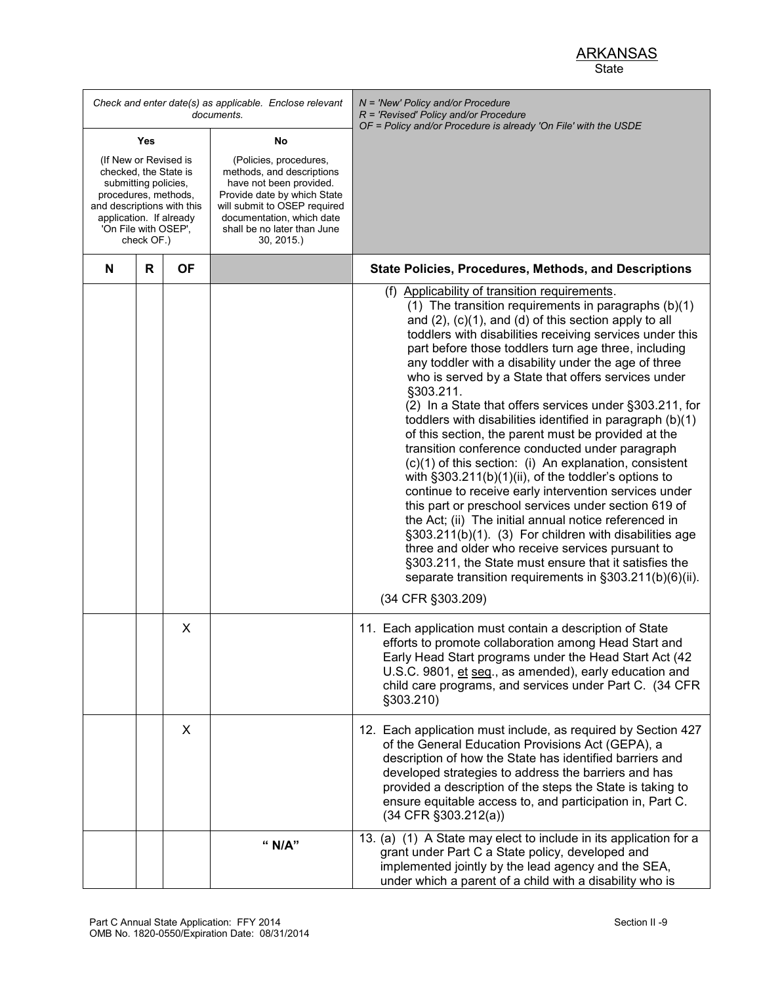| Check and enter date(s) as applicable. Enclose relevant<br>documents.                                                                                                                                |   |           |                                                                                                                                                                                                                              | $N =$ 'New' Policy and/or Procedure<br>$R$ = 'Revised' Policy and/or Procedure<br>OF = Policy and/or Procedure is already 'On File' with the USDE                                                                                                                                                                                                                                                                                                                                                                                                                                                                                                                                                                                                                                                                                                                                                                                                                                                                                                                                                                                                                                                                |
|------------------------------------------------------------------------------------------------------------------------------------------------------------------------------------------------------|---|-----------|------------------------------------------------------------------------------------------------------------------------------------------------------------------------------------------------------------------------------|------------------------------------------------------------------------------------------------------------------------------------------------------------------------------------------------------------------------------------------------------------------------------------------------------------------------------------------------------------------------------------------------------------------------------------------------------------------------------------------------------------------------------------------------------------------------------------------------------------------------------------------------------------------------------------------------------------------------------------------------------------------------------------------------------------------------------------------------------------------------------------------------------------------------------------------------------------------------------------------------------------------------------------------------------------------------------------------------------------------------------------------------------------------------------------------------------------------|
| Yes<br>(If New or Revised is<br>checked, the State is<br>submitting policies,<br>procedures, methods,<br>and descriptions with this<br>application. If already<br>'On File with OSEP',<br>check OF.) |   |           | No<br>(Policies, procedures,<br>methods, and descriptions<br>have not been provided.<br>Provide date by which State<br>will submit to OSEP required<br>documentation, which date<br>shall be no later than June<br>30, 2015. |                                                                                                                                                                                                                                                                                                                                                                                                                                                                                                                                                                                                                                                                                                                                                                                                                                                                                                                                                                                                                                                                                                                                                                                                                  |
| N                                                                                                                                                                                                    | R | <b>OF</b> |                                                                                                                                                                                                                              | <b>State Policies, Procedures, Methods, and Descriptions</b>                                                                                                                                                                                                                                                                                                                                                                                                                                                                                                                                                                                                                                                                                                                                                                                                                                                                                                                                                                                                                                                                                                                                                     |
|                                                                                                                                                                                                      |   |           |                                                                                                                                                                                                                              | (f) Applicability of transition requirements.<br>(1) The transition requirements in paragraphs (b)(1)<br>and $(2)$ , $(c)(1)$ , and $(d)$ of this section apply to all<br>toddlers with disabilities receiving services under this<br>part before those toddlers turn age three, including<br>any toddler with a disability under the age of three<br>who is served by a State that offers services under<br>§303.211.<br>(2) In a State that offers services under §303.211, for<br>toddlers with disabilities identified in paragraph (b)(1)<br>of this section, the parent must be provided at the<br>transition conference conducted under paragraph<br>(c)(1) of this section: (i) An explanation, consistent<br>with $\S 303.211(b)(1)(ii)$ , of the toddler's options to<br>continue to receive early intervention services under<br>this part or preschool services under section 619 of<br>the Act; (ii) The initial annual notice referenced in<br>§303.211(b)(1). (3) For children with disabilities age<br>three and older who receive services pursuant to<br>§303.211, the State must ensure that it satisfies the<br>separate transition requirements in §303.211(b)(6)(ii).<br>(34 CFR §303.209) |
|                                                                                                                                                                                                      |   | X         |                                                                                                                                                                                                                              | 11. Each application must contain a description of State<br>efforts to promote collaboration among Head Start and<br>Early Head Start programs under the Head Start Act (42<br>U.S.C. 9801, et seq., as amended), early education and<br>child care programs, and services under Part C. (34 CFR<br>§303.210)                                                                                                                                                                                                                                                                                                                                                                                                                                                                                                                                                                                                                                                                                                                                                                                                                                                                                                    |
|                                                                                                                                                                                                      |   | X         |                                                                                                                                                                                                                              | 12. Each application must include, as required by Section 427<br>of the General Education Provisions Act (GEPA), a<br>description of how the State has identified barriers and<br>developed strategies to address the barriers and has<br>provided a description of the steps the State is taking to<br>ensure equitable access to, and participation in, Part C.<br>(34 CFR §303.212(a))                                                                                                                                                                                                                                                                                                                                                                                                                                                                                                                                                                                                                                                                                                                                                                                                                        |
|                                                                                                                                                                                                      |   |           | " N/A"                                                                                                                                                                                                                       | 13. (a) (1) A State may elect to include in its application for a<br>grant under Part C a State policy, developed and<br>implemented jointly by the lead agency and the SEA,<br>under which a parent of a child with a disability who is                                                                                                                                                                                                                                                                                                                                                                                                                                                                                                                                                                                                                                                                                                                                                                                                                                                                                                                                                                         |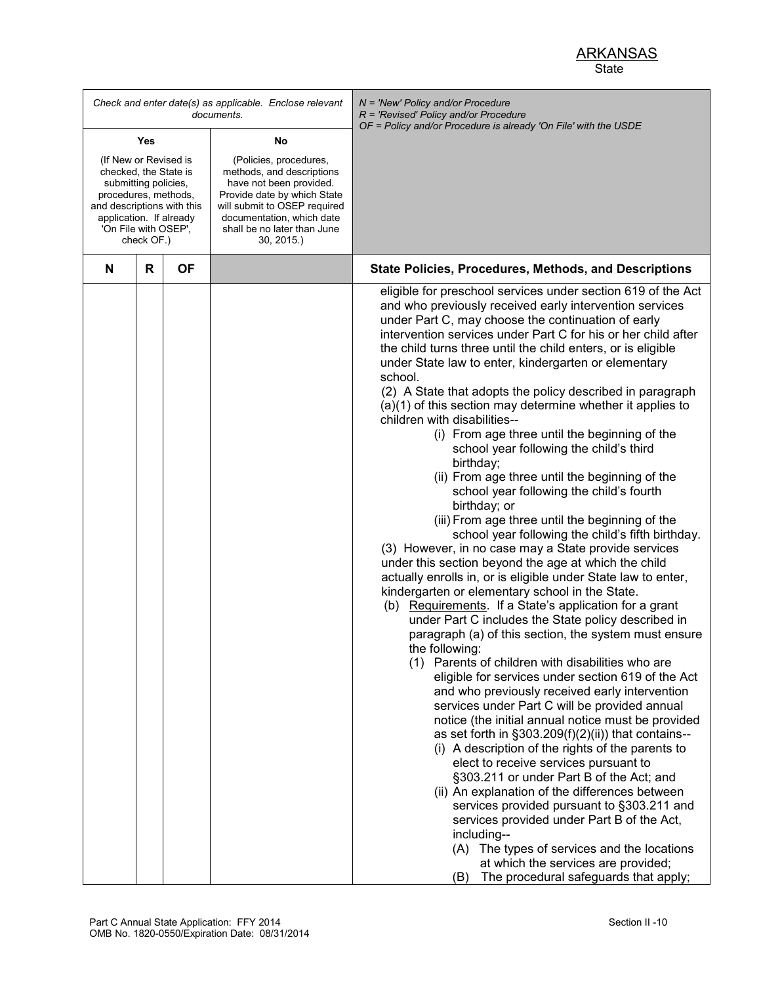| Check and enter date(s) as applicable. Enclose relevant<br>documents.                                                                                                                         |     |           |                                                                                                                                                                                                                        | $N = 'New' Policy and/or Procedure$<br>$R$ = 'Revised' Policy and/or Procedure<br>OF = Policy and/or Procedure is already 'On File' with the USDE                                                                                                                                                                                                                                                                                                                                                                                                                                                                                                                                                                                                                                                                                                                                                                                                                                                                                                                                                                                                                                                                                                                                                                                                                                                                                                                                                                                                                                                                                                                                                                                                                                                                                                                                                                                                                                                                                                                                       |
|-----------------------------------------------------------------------------------------------------------------------------------------------------------------------------------------------|-----|-----------|------------------------------------------------------------------------------------------------------------------------------------------------------------------------------------------------------------------------|-----------------------------------------------------------------------------------------------------------------------------------------------------------------------------------------------------------------------------------------------------------------------------------------------------------------------------------------------------------------------------------------------------------------------------------------------------------------------------------------------------------------------------------------------------------------------------------------------------------------------------------------------------------------------------------------------------------------------------------------------------------------------------------------------------------------------------------------------------------------------------------------------------------------------------------------------------------------------------------------------------------------------------------------------------------------------------------------------------------------------------------------------------------------------------------------------------------------------------------------------------------------------------------------------------------------------------------------------------------------------------------------------------------------------------------------------------------------------------------------------------------------------------------------------------------------------------------------------------------------------------------------------------------------------------------------------------------------------------------------------------------------------------------------------------------------------------------------------------------------------------------------------------------------------------------------------------------------------------------------------------------------------------------------------------------------------------------------|
|                                                                                                                                                                                               | Yes |           | No                                                                                                                                                                                                                     |                                                                                                                                                                                                                                                                                                                                                                                                                                                                                                                                                                                                                                                                                                                                                                                                                                                                                                                                                                                                                                                                                                                                                                                                                                                                                                                                                                                                                                                                                                                                                                                                                                                                                                                                                                                                                                                                                                                                                                                                                                                                                         |
| (If New or Revised is<br>checked, the State is<br>submitting policies,<br>procedures, methods,<br>and descriptions with this<br>application. If already<br>'On File with OSEP',<br>check OF.) |     |           | (Policies, procedures,<br>methods, and descriptions<br>have not been provided.<br>Provide date by which State<br>will submit to OSEP required<br>documentation, which date<br>shall be no later than June<br>30, 2015. |                                                                                                                                                                                                                                                                                                                                                                                                                                                                                                                                                                                                                                                                                                                                                                                                                                                                                                                                                                                                                                                                                                                                                                                                                                                                                                                                                                                                                                                                                                                                                                                                                                                                                                                                                                                                                                                                                                                                                                                                                                                                                         |
| N                                                                                                                                                                                             | R   | <b>OF</b> |                                                                                                                                                                                                                        | <b>State Policies, Procedures, Methods, and Descriptions</b>                                                                                                                                                                                                                                                                                                                                                                                                                                                                                                                                                                                                                                                                                                                                                                                                                                                                                                                                                                                                                                                                                                                                                                                                                                                                                                                                                                                                                                                                                                                                                                                                                                                                                                                                                                                                                                                                                                                                                                                                                            |
|                                                                                                                                                                                               |     |           |                                                                                                                                                                                                                        | eligible for preschool services under section 619 of the Act<br>and who previously received early intervention services<br>under Part C, may choose the continuation of early<br>intervention services under Part C for his or her child after<br>the child turns three until the child enters, or is eligible<br>under State law to enter, kindergarten or elementary<br>school.<br>(2) A State that adopts the policy described in paragraph<br>(a)(1) of this section may determine whether it applies to<br>children with disabilities--<br>(i) From age three until the beginning of the<br>school year following the child's third<br>birthday;<br>(ii) From age three until the beginning of the<br>school year following the child's fourth<br>birthday; or<br>(iii) From age three until the beginning of the<br>school year following the child's fifth birthday.<br>(3) However, in no case may a State provide services<br>under this section beyond the age at which the child<br>actually enrolls in, or is eligible under State law to enter,<br>kindergarten or elementary school in the State.<br>(b) Requirements. If a State's application for a grant<br>under Part C includes the State policy described in<br>paragraph (a) of this section, the system must ensure<br>the following:<br>(1) Parents of children with disabilities who are<br>eligible for services under section 619 of the Act<br>and who previously received early intervention<br>services under Part C will be provided annual<br>notice (the initial annual notice must be provided<br>as set forth in $\S303.209(f)(2)(ii)$ ) that contains--<br>(i) A description of the rights of the parents to<br>elect to receive services pursuant to<br>§303.211 or under Part B of the Act; and<br>(ii) An explanation of the differences between<br>services provided pursuant to §303.211 and<br>services provided under Part B of the Act,<br>including--<br>(A) The types of services and the locations<br>at which the services are provided;<br>The procedural safeguards that apply;<br>(B) |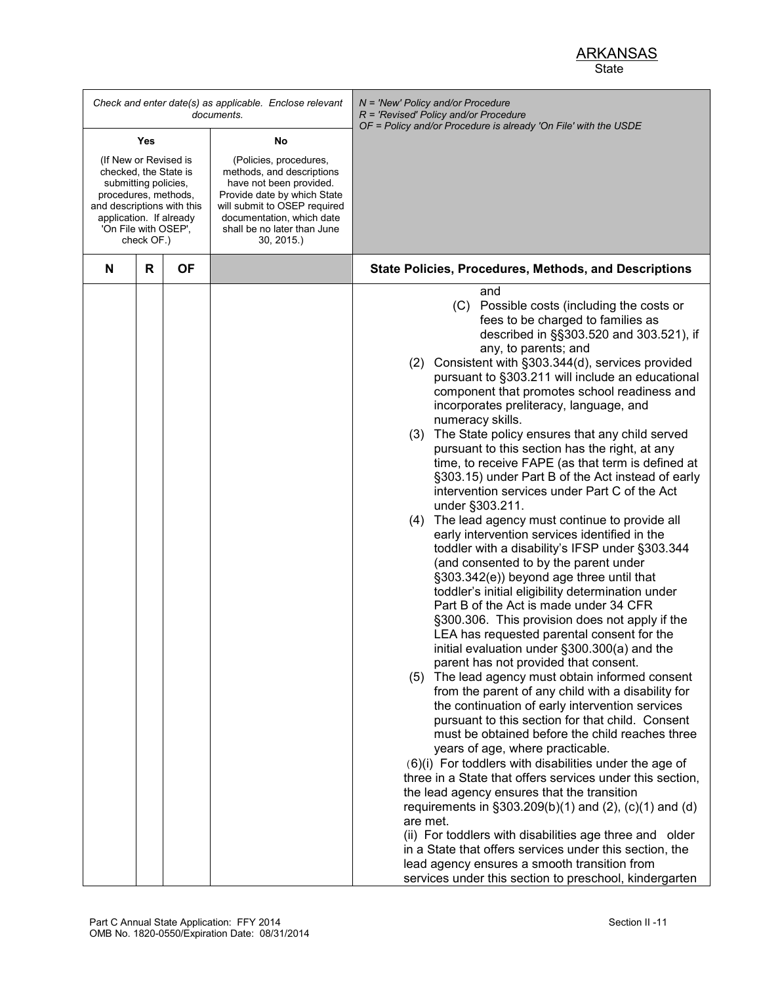| Check and enter date(s) as applicable. Enclose relevant<br>documents.                                                                       |   |           |                                                                                                                                                                 | $N = 'New' Policy and/or Procedure$<br>R = 'Revised' Policy and/or Procedure<br>OF = Policy and/or Procedure is already 'On File' with the USDE                                                                                                                                                                                                                                                                                                                                                                                                                                                                                                                                                                                                                                                                                                                                                                                                                                                                                                                                                                                                                                                                                                                                                                                                                                                                                                                                                                                                                                                                                                                                                                                                                                                                                                                                                                                                                                                       |  |
|---------------------------------------------------------------------------------------------------------------------------------------------|---|-----------|-----------------------------------------------------------------------------------------------------------------------------------------------------------------|-------------------------------------------------------------------------------------------------------------------------------------------------------------------------------------------------------------------------------------------------------------------------------------------------------------------------------------------------------------------------------------------------------------------------------------------------------------------------------------------------------------------------------------------------------------------------------------------------------------------------------------------------------------------------------------------------------------------------------------------------------------------------------------------------------------------------------------------------------------------------------------------------------------------------------------------------------------------------------------------------------------------------------------------------------------------------------------------------------------------------------------------------------------------------------------------------------------------------------------------------------------------------------------------------------------------------------------------------------------------------------------------------------------------------------------------------------------------------------------------------------------------------------------------------------------------------------------------------------------------------------------------------------------------------------------------------------------------------------------------------------------------------------------------------------------------------------------------------------------------------------------------------------------------------------------------------------------------------------------------------------|--|
| Yes<br>(If New or Revised is<br>checked, the State is                                                                                       |   |           | No<br>(Policies, procedures,<br>methods, and descriptions                                                                                                       |                                                                                                                                                                                                                                                                                                                                                                                                                                                                                                                                                                                                                                                                                                                                                                                                                                                                                                                                                                                                                                                                                                                                                                                                                                                                                                                                                                                                                                                                                                                                                                                                                                                                                                                                                                                                                                                                                                                                                                                                       |  |
| submitting policies,<br>procedures, methods,<br>and descriptions with this<br>application. If already<br>'On File with OSEP',<br>check OF.) |   |           | have not been provided.<br>Provide date by which State<br>will submit to OSEP required<br>documentation, which date<br>shall be no later than June<br>30, 2015. |                                                                                                                                                                                                                                                                                                                                                                                                                                                                                                                                                                                                                                                                                                                                                                                                                                                                                                                                                                                                                                                                                                                                                                                                                                                                                                                                                                                                                                                                                                                                                                                                                                                                                                                                                                                                                                                                                                                                                                                                       |  |
| N                                                                                                                                           | R | <b>OF</b> |                                                                                                                                                                 | <b>State Policies, Procedures, Methods, and Descriptions</b>                                                                                                                                                                                                                                                                                                                                                                                                                                                                                                                                                                                                                                                                                                                                                                                                                                                                                                                                                                                                                                                                                                                                                                                                                                                                                                                                                                                                                                                                                                                                                                                                                                                                                                                                                                                                                                                                                                                                          |  |
|                                                                                                                                             |   |           |                                                                                                                                                                 | and<br>(C) Possible costs (including the costs or<br>fees to be charged to families as<br>described in §§303.520 and 303.521), if<br>any, to parents; and<br>(2) Consistent with §303.344(d), services provided<br>pursuant to §303.211 will include an educational<br>component that promotes school readiness and<br>incorporates preliteracy, language, and<br>numeracy skills.<br>(3) The State policy ensures that any child served<br>pursuant to this section has the right, at any<br>time, to receive FAPE (as that term is defined at<br>§303.15) under Part B of the Act instead of early<br>intervention services under Part C of the Act<br>under §303.211.<br>(4) The lead agency must continue to provide all<br>early intervention services identified in the<br>toddler with a disability's IFSP under §303.344<br>(and consented to by the parent under<br>§303.342(e)) beyond age three until that<br>toddler's initial eligibility determination under<br>Part B of the Act is made under 34 CFR<br>§300.306. This provision does not apply if the<br>LEA has requested parental consent for the<br>initial evaluation under §300.300(a) and the<br>parent has not provided that consent.<br>(5) The lead agency must obtain informed consent<br>from the parent of any child with a disability for<br>the continuation of early intervention services<br>pursuant to this section for that child. Consent<br>must be obtained before the child reaches three<br>years of age, where practicable.<br>(6)(i) For toddlers with disabilities under the age of<br>three in a State that offers services under this section,<br>the lead agency ensures that the transition<br>requirements in $\S 303.209(b)(1)$ and (2), (c)(1) and (d)<br>are met.<br>(ii) For toddlers with disabilities age three and older<br>in a State that offers services under this section, the<br>lead agency ensures a smooth transition from<br>services under this section to preschool, kindergarten |  |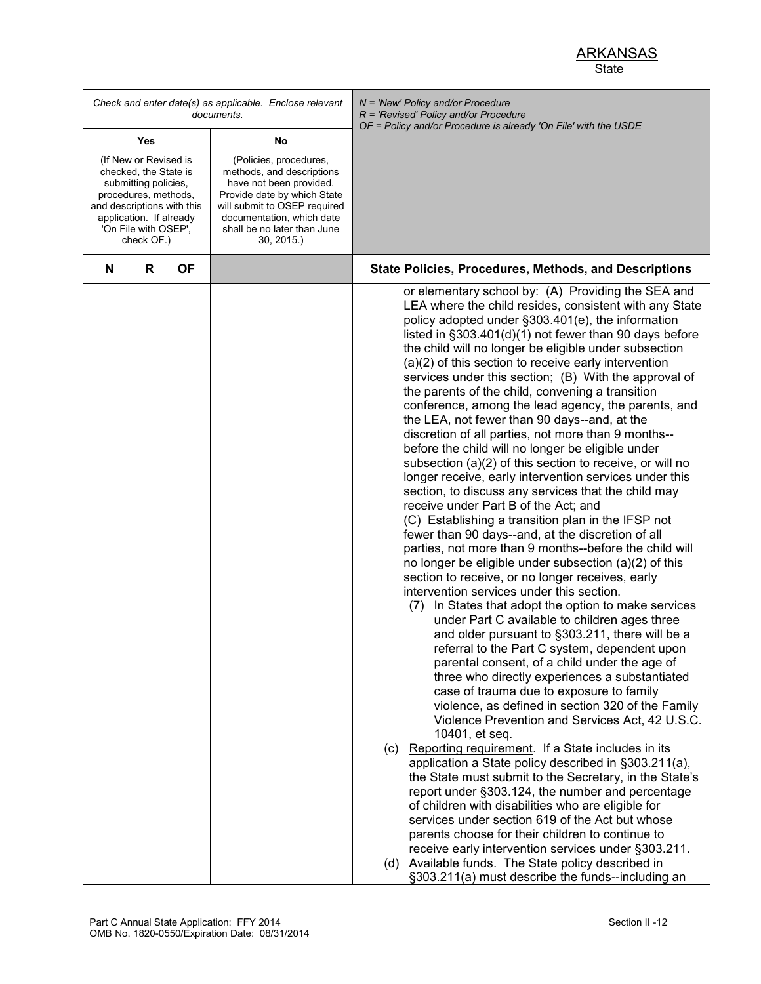| Check and enter date(s) as applicable. Enclose relevant<br>documents.                                                                                                                         |   |           |                                                                                                                                                                                                                        | $N = 'New' Policy and/or Procedure$<br>$R = 'Revised' Policy and/or Procedure$                                                                                                                                                                                                                                                                                                                                                                                                                                                                                                                                                                                                                                                                                                                                                                                                                                                                                                                                                                                                                                                                                                                                                                                                                                                                                                                                                                                                                                                                                                                                                                                                                                                                                                                                                                                                                                                                                                                                                                                                                                                                                                                                                                                                                |
|-----------------------------------------------------------------------------------------------------------------------------------------------------------------------------------------------|---|-----------|------------------------------------------------------------------------------------------------------------------------------------------------------------------------------------------------------------------------|-----------------------------------------------------------------------------------------------------------------------------------------------------------------------------------------------------------------------------------------------------------------------------------------------------------------------------------------------------------------------------------------------------------------------------------------------------------------------------------------------------------------------------------------------------------------------------------------------------------------------------------------------------------------------------------------------------------------------------------------------------------------------------------------------------------------------------------------------------------------------------------------------------------------------------------------------------------------------------------------------------------------------------------------------------------------------------------------------------------------------------------------------------------------------------------------------------------------------------------------------------------------------------------------------------------------------------------------------------------------------------------------------------------------------------------------------------------------------------------------------------------------------------------------------------------------------------------------------------------------------------------------------------------------------------------------------------------------------------------------------------------------------------------------------------------------------------------------------------------------------------------------------------------------------------------------------------------------------------------------------------------------------------------------------------------------------------------------------------------------------------------------------------------------------------------------------------------------------------------------------------------------------------------------------|
| Yes                                                                                                                                                                                           |   |           | No                                                                                                                                                                                                                     | OF = Policy and/or Procedure is already 'On File' with the USDE                                                                                                                                                                                                                                                                                                                                                                                                                                                                                                                                                                                                                                                                                                                                                                                                                                                                                                                                                                                                                                                                                                                                                                                                                                                                                                                                                                                                                                                                                                                                                                                                                                                                                                                                                                                                                                                                                                                                                                                                                                                                                                                                                                                                                               |
| (If New or Revised is<br>checked, the State is<br>submitting policies,<br>procedures, methods,<br>and descriptions with this<br>application. If already<br>'On File with OSEP',<br>check OF.) |   |           | (Policies, procedures,<br>methods, and descriptions<br>have not been provided.<br>Provide date by which State<br>will submit to OSEP required<br>documentation, which date<br>shall be no later than June<br>30, 2015. |                                                                                                                                                                                                                                                                                                                                                                                                                                                                                                                                                                                                                                                                                                                                                                                                                                                                                                                                                                                                                                                                                                                                                                                                                                                                                                                                                                                                                                                                                                                                                                                                                                                                                                                                                                                                                                                                                                                                                                                                                                                                                                                                                                                                                                                                                               |
| N                                                                                                                                                                                             | R | <b>OF</b> |                                                                                                                                                                                                                        | <b>State Policies, Procedures, Methods, and Descriptions</b>                                                                                                                                                                                                                                                                                                                                                                                                                                                                                                                                                                                                                                                                                                                                                                                                                                                                                                                                                                                                                                                                                                                                                                                                                                                                                                                                                                                                                                                                                                                                                                                                                                                                                                                                                                                                                                                                                                                                                                                                                                                                                                                                                                                                                                  |
|                                                                                                                                                                                               |   |           |                                                                                                                                                                                                                        | or elementary school by: (A) Providing the SEA and<br>LEA where the child resides, consistent with any State<br>policy adopted under §303.401(e), the information<br>listed in $\S 303.401(d)(1)$ not fewer than 90 days before<br>the child will no longer be eligible under subsection<br>$(a)(2)$ of this section to receive early intervention<br>services under this section; (B) With the approval of<br>the parents of the child, convening a transition<br>conference, among the lead agency, the parents, and<br>the LEA, not fewer than 90 days--and, at the<br>discretion of all parties, not more than 9 months--<br>before the child will no longer be eligible under<br>subsection (a)(2) of this section to receive, or will no<br>longer receive, early intervention services under this<br>section, to discuss any services that the child may<br>receive under Part B of the Act; and<br>(C) Establishing a transition plan in the IFSP not<br>fewer than 90 days--and, at the discretion of all<br>parties, not more than 9 months--before the child will<br>no longer be eligible under subsection (a)(2) of this<br>section to receive, or no longer receives, early<br>intervention services under this section.<br>In States that adopt the option to make services<br>(7)<br>under Part C available to children ages three<br>and older pursuant to §303.211, there will be a<br>referral to the Part C system, dependent upon<br>parental consent, of a child under the age of<br>three who directly experiences a substantiated<br>case of trauma due to exposure to family<br>violence, as defined in section 320 of the Family<br>Violence Prevention and Services Act, 42 U.S.C.<br>10401, et seq.<br>(c) Reporting requirement. If a State includes in its<br>application a State policy described in §303.211(a),<br>the State must submit to the Secretary, in the State's<br>report under §303.124, the number and percentage<br>of children with disabilities who are eligible for<br>services under section 619 of the Act but whose<br>parents choose for their children to continue to<br>receive early intervention services under §303.211.<br>(d) Available funds. The State policy described in<br>§303.211(a) must describe the funds--including an |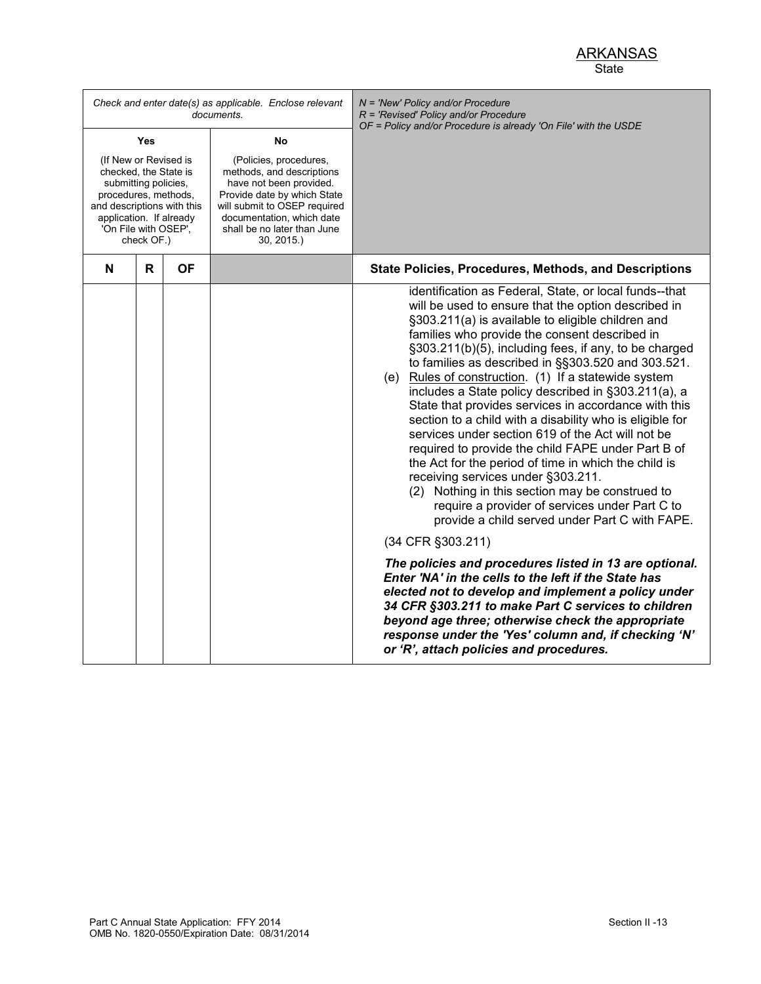| Check and enter date(s) as applicable. Enclose relevant<br>documents.                                                                                                                                |   |           |                                                                                                                                                                                                                               | $N = 'New' Policy and/or Procedure$<br>R = 'Revised' Policy and/or Procedure<br>OF = Policy and/or Procedure is already 'On File' with the USDE                                                                                                                                                                                                                                                                                                                                                                                                                                                                                                                                                                                                                                                                                                                                                                                          |
|------------------------------------------------------------------------------------------------------------------------------------------------------------------------------------------------------|---|-----------|-------------------------------------------------------------------------------------------------------------------------------------------------------------------------------------------------------------------------------|------------------------------------------------------------------------------------------------------------------------------------------------------------------------------------------------------------------------------------------------------------------------------------------------------------------------------------------------------------------------------------------------------------------------------------------------------------------------------------------------------------------------------------------------------------------------------------------------------------------------------------------------------------------------------------------------------------------------------------------------------------------------------------------------------------------------------------------------------------------------------------------------------------------------------------------|
| Yes<br>(If New or Revised is<br>checked, the State is<br>submitting policies,<br>procedures, methods,<br>and descriptions with this<br>application. If already<br>'On File with OSEP',<br>check OF.) |   |           | No<br>(Policies, procedures,<br>methods, and descriptions<br>have not been provided.<br>Provide date by which State<br>will submit to OSEP required<br>documentation, which date<br>shall be no later than June<br>30, 2015.) |                                                                                                                                                                                                                                                                                                                                                                                                                                                                                                                                                                                                                                                                                                                                                                                                                                                                                                                                          |
| N                                                                                                                                                                                                    | R | <b>OF</b> |                                                                                                                                                                                                                               | <b>State Policies, Procedures, Methods, and Descriptions</b>                                                                                                                                                                                                                                                                                                                                                                                                                                                                                                                                                                                                                                                                                                                                                                                                                                                                             |
|                                                                                                                                                                                                      |   |           |                                                                                                                                                                                                                               | identification as Federal, State, or local funds--that<br>will be used to ensure that the option described in<br>§303.211(a) is available to eligible children and<br>families who provide the consent described in<br>§303.211(b)(5), including fees, if any, to be charged<br>to families as described in §§303.520 and 303.521.<br>Rules of construction. (1) If a statewide system<br>(e)<br>includes a State policy described in §303.211(a), a<br>State that provides services in accordance with this<br>section to a child with a disability who is eligible for<br>services under section 619 of the Act will not be<br>required to provide the child FAPE under Part B of<br>the Act for the period of time in which the child is<br>receiving services under §303.211.<br>(2) Nothing in this section may be construed to<br>require a provider of services under Part C to<br>provide a child served under Part C with FAPE. |
|                                                                                                                                                                                                      |   |           |                                                                                                                                                                                                                               | (34 CFR §303.211)                                                                                                                                                                                                                                                                                                                                                                                                                                                                                                                                                                                                                                                                                                                                                                                                                                                                                                                        |
|                                                                                                                                                                                                      |   |           |                                                                                                                                                                                                                               | The policies and procedures listed in 13 are optional.<br>Enter 'NA' in the cells to the left if the State has<br>elected not to develop and implement a policy under<br>34 CFR §303.211 to make Part C services to children<br>beyond age three; otherwise check the appropriate<br>response under the 'Yes' column and, if checking 'N'<br>or 'R', attach policies and procedures.                                                                                                                                                                                                                                                                                                                                                                                                                                                                                                                                                     |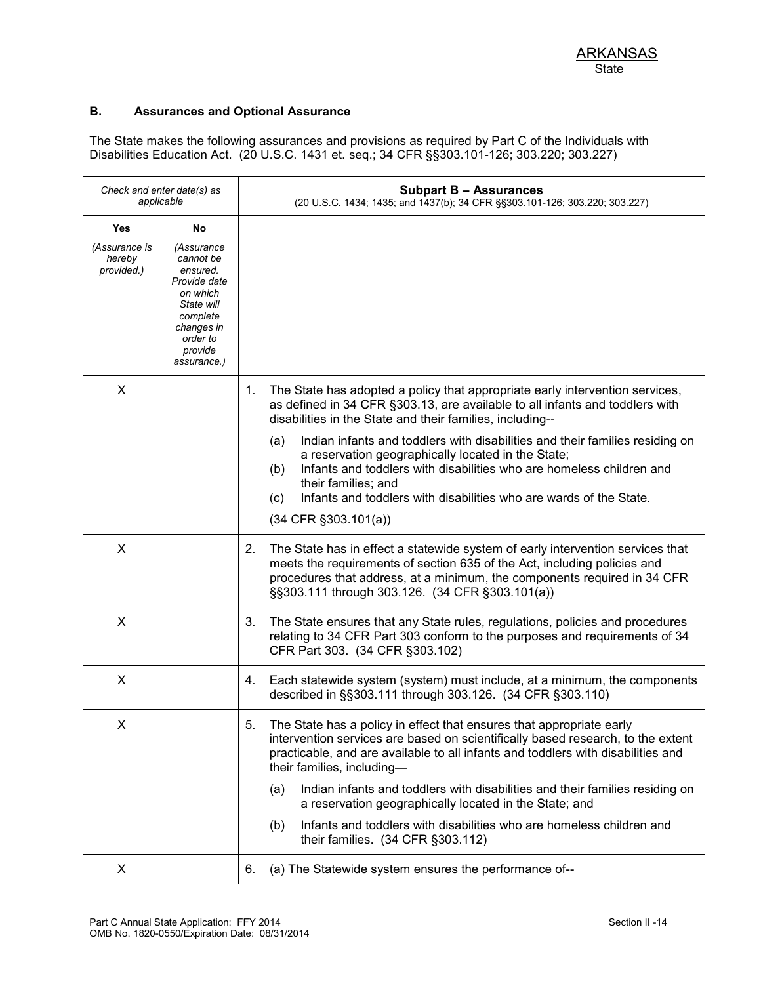### **B. Assurances and Optional Assurance**

The State makes the following assurances and provisions as required by Part C of the Individuals with Disabilities Education Act. (20 U.S.C. 1431 et. seq.; 34 CFR §§303.101-126; 303.220; 303.227)

| Check and enter date(s) as<br>applicable |                                                                                                                                               | <b>Subpart B - Assurances</b><br>(20 U.S.C. 1434; 1435; and 1437(b); 34 CFR §§303.101-126; 303.220; 303.227)                                                                                                                                                                                                                 |  |
|------------------------------------------|-----------------------------------------------------------------------------------------------------------------------------------------------|------------------------------------------------------------------------------------------------------------------------------------------------------------------------------------------------------------------------------------------------------------------------------------------------------------------------------|--|
| <b>Yes</b>                               | No                                                                                                                                            |                                                                                                                                                                                                                                                                                                                              |  |
| (Assurance is<br>hereby<br>provided.)    | (Assurance<br>cannot be<br>ensured.<br>Provide date<br>on which<br>State will<br>complete<br>changes in<br>order to<br>provide<br>assurance.) |                                                                                                                                                                                                                                                                                                                              |  |
| X                                        |                                                                                                                                               | The State has adopted a policy that appropriate early intervention services,<br>1.<br>as defined in 34 CFR §303.13, are available to all infants and toddlers with<br>disabilities in the State and their families, including--                                                                                              |  |
|                                          |                                                                                                                                               | Indian infants and toddlers with disabilities and their families residing on<br>(a)<br>a reservation geographically located in the State;<br>Infants and toddlers with disabilities who are homeless children and<br>(b)<br>their families; and<br>Infants and toddlers with disabilities who are wards of the State.<br>(C) |  |
|                                          |                                                                                                                                               | $(34$ CFR $\S 303.101(a))$                                                                                                                                                                                                                                                                                                   |  |
| X                                        |                                                                                                                                               | The State has in effect a statewide system of early intervention services that<br>2.<br>meets the requirements of section 635 of the Act, including policies and<br>procedures that address, at a minimum, the components required in 34 CFR<br>§§303.111 through 303.126. (34 CFR §303.101(a))                              |  |
| X                                        |                                                                                                                                               | The State ensures that any State rules, regulations, policies and procedures<br>3.<br>relating to 34 CFR Part 303 conform to the purposes and requirements of 34<br>CFR Part 303. (34 CFR §303.102)                                                                                                                          |  |
| X                                        |                                                                                                                                               | Each statewide system (system) must include, at a minimum, the components<br>4.<br>described in §§303.111 through 303.126. (34 CFR §303.110)                                                                                                                                                                                 |  |
| X                                        |                                                                                                                                               | The State has a policy in effect that ensures that appropriate early<br>5.<br>intervention services are based on scientifically based research, to the extent<br>practicable, and are available to all infants and toddlers with disabilities and<br>their families, including-                                              |  |
|                                          |                                                                                                                                               | Indian infants and toddlers with disabilities and their families residing on<br>(a)<br>a reservation geographically located in the State; and                                                                                                                                                                                |  |
|                                          |                                                                                                                                               | Infants and toddlers with disabilities who are homeless children and<br>(b)<br>their families. (34 CFR §303.112)                                                                                                                                                                                                             |  |
| X                                        |                                                                                                                                               | (a) The Statewide system ensures the performance of--<br>6.                                                                                                                                                                                                                                                                  |  |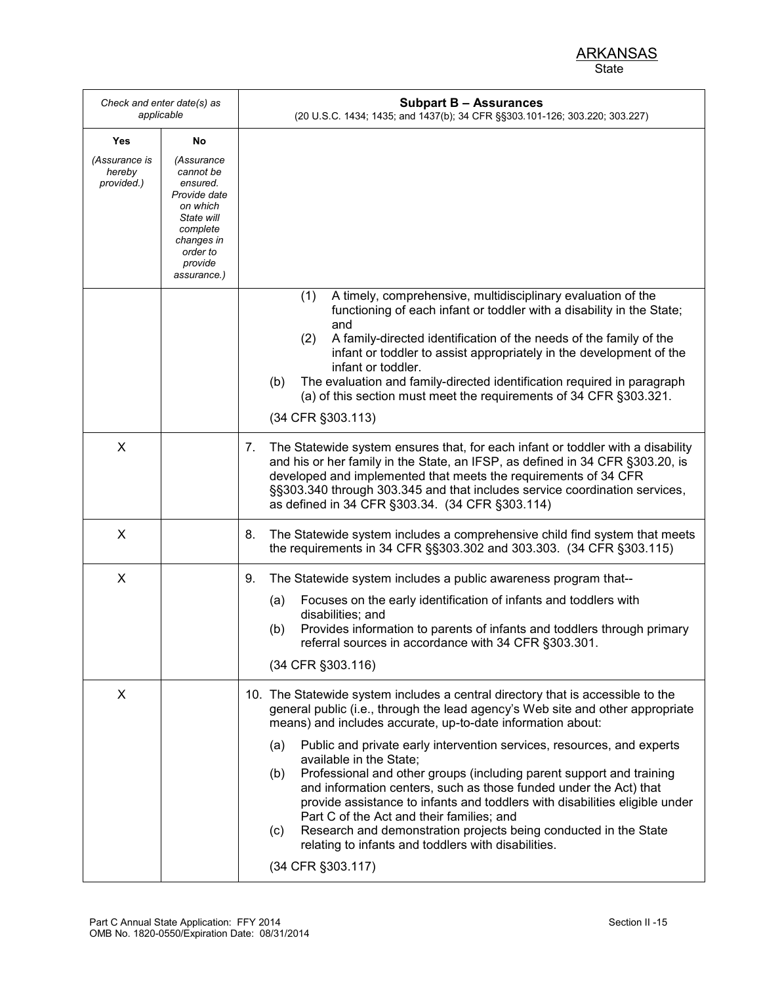| Check and enter date(s) as<br>applicable     |                                                                                                                                                     | <b>Subpart B - Assurances</b><br>(20 U.S.C. 1434; 1435; and 1437(b); 34 CFR §§303.101-126; 303.220; 303.227)                                                                                                                                                                                                                                                                                                                                                                                                                                                                                                                                                                                                                                                                        |  |  |
|----------------------------------------------|-----------------------------------------------------------------------------------------------------------------------------------------------------|-------------------------------------------------------------------------------------------------------------------------------------------------------------------------------------------------------------------------------------------------------------------------------------------------------------------------------------------------------------------------------------------------------------------------------------------------------------------------------------------------------------------------------------------------------------------------------------------------------------------------------------------------------------------------------------------------------------------------------------------------------------------------------------|--|--|
| Yes<br>(Assurance is<br>hereby<br>provided.) | No<br>(Assurance<br>cannot be<br>ensured.<br>Provide date<br>on which<br>State will<br>complete<br>changes in<br>order to<br>provide<br>assurance.) |                                                                                                                                                                                                                                                                                                                                                                                                                                                                                                                                                                                                                                                                                                                                                                                     |  |  |
|                                              |                                                                                                                                                     | A timely, comprehensive, multidisciplinary evaluation of the<br>(1)<br>functioning of each infant or toddler with a disability in the State;<br>and<br>A family-directed identification of the needs of the family of the<br>(2)<br>infant or toddler to assist appropriately in the development of the<br>infant or toddler.<br>The evaluation and family-directed identification required in paragraph<br>(b)<br>(a) of this section must meet the requirements of 34 CFR §303.321.<br>(34 CFR §303.113)                                                                                                                                                                                                                                                                          |  |  |
| X                                            |                                                                                                                                                     | The Statewide system ensures that, for each infant or toddler with a disability<br>7.<br>and his or her family in the State, an IFSP, as defined in 34 CFR §303.20, is<br>developed and implemented that meets the requirements of 34 CFR<br>§§303.340 through 303.345 and that includes service coordination services,<br>as defined in 34 CFR §303.34. (34 CFR §303.114)                                                                                                                                                                                                                                                                                                                                                                                                          |  |  |
| X                                            |                                                                                                                                                     | The Statewide system includes a comprehensive child find system that meets<br>the requirements in 34 CFR §§303.302 and 303.303. (34 CFR §303.115)                                                                                                                                                                                                                                                                                                                                                                                                                                                                                                                                                                                                                                   |  |  |
| $\pmb{\times}$                               |                                                                                                                                                     | The Statewide system includes a public awareness program that--<br>Focuses on the early identification of infants and toddlers with<br>(a)<br>disabilities; and<br>Provides information to parents of infants and toddlers through primary<br>(b)<br>referral sources in accordance with 34 CFR §303.301.<br>(34 CFR §303.116)                                                                                                                                                                                                                                                                                                                                                                                                                                                      |  |  |
| X                                            |                                                                                                                                                     | 10. The Statewide system includes a central directory that is accessible to the<br>general public (i.e., through the lead agency's Web site and other appropriate<br>means) and includes accurate, up-to-date information about:<br>Public and private early intervention services, resources, and experts<br>(a)<br>available in the State;<br>Professional and other groups (including parent support and training<br>(b)<br>and information centers, such as those funded under the Act) that<br>provide assistance to infants and toddlers with disabilities eligible under<br>Part C of the Act and their families; and<br>Research and demonstration projects being conducted in the State<br>(c)<br>relating to infants and toddlers with disabilities.<br>(34 CFR §303.117) |  |  |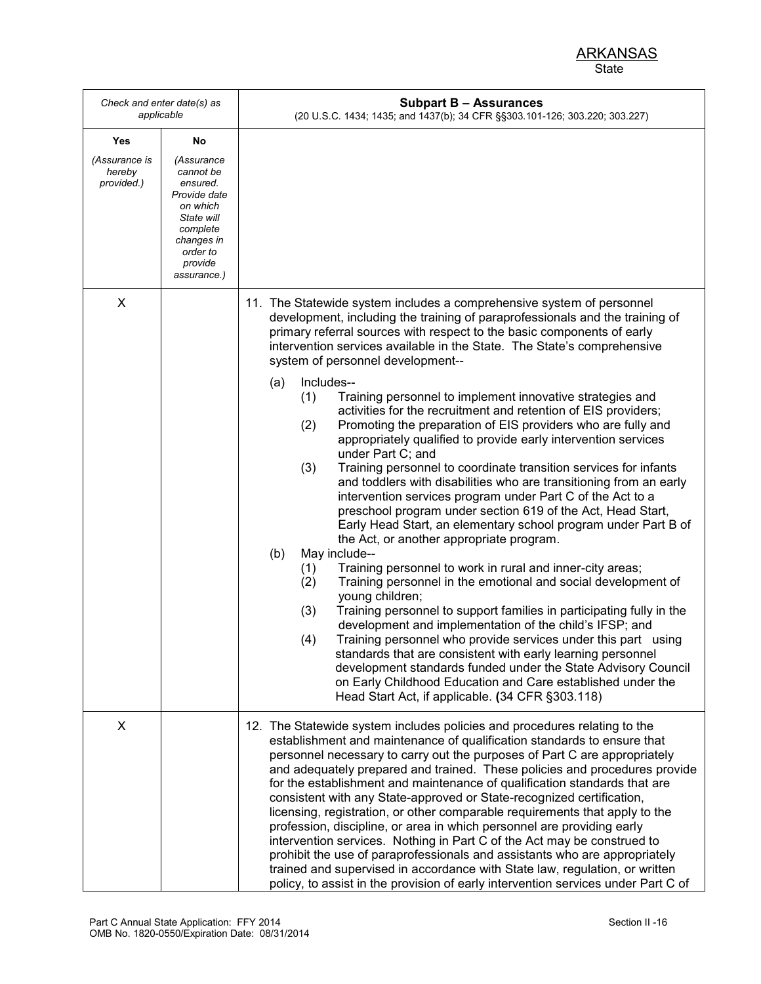*Check and enter date(s) as applicable* **Subpart B – Assurances** (20 U.S.C. 1434; 1435; and 1437(b); 34 CFR §§303.101-126; 303.220; 303.227) **Yes** *(Assurance is hereby provided.)* **No** *(Assurance cannot be ensured. Provide date on which State will complete changes in order to provide assurance.)* X 11. The Statewide system includes a comprehensive system of personnel development, including the training of paraprofessionals and the training of primary referral sources with respect to the basic components of early intervention services available in the State. The State's comprehensive system of personnel development-- (a) Includes-- (1) Training personnel to implement innovative strategies and activities for the recruitment and retention of EIS providers; (2) Promoting the preparation of EIS providers who are fully and appropriately qualified to provide early intervention services under Part C; and (3) Training personnel to coordinate transition services for infants and toddlers with disabilities who are transitioning from an early intervention services program under Part C of the Act to a preschool program under section 619 of the Act, Head Start, Early Head Start, an elementary school program under Part B of the Act, or another appropriate program. (b) May include-- (1) Training personnel to work in rural and inner-city areas; (2) Training personnel in the emotional and social development of young children; (3) Training personnel to support families in participating fully in the development and implementation of the child's IFSP; and (4) Training personnel who provide services under this part using standards that are consistent with early learning personnel development standards funded under the State Advisory Council on Early Childhood Education and Care established under the Head Start Act, if applicable. **(**34 CFR §303.118) X 12. The Statewide system includes policies and procedures relating to the establishment and maintenance of qualification standards to ensure that personnel necessary to carry out the purposes of Part C are appropriately and adequately prepared and trained. These policies and procedures provide for the establishment and maintenance of qualification standards that are consistent with any State-approved or State-recognized certification, licensing, registration, or other comparable requirements that apply to the profession, discipline, or area in which personnel are providing early intervention services. Nothing in Part C of the Act may be construed to prohibit the use of paraprofessionals and assistants who are appropriately trained and supervised in accordance with State law, regulation, or written policy, to assist in the provision of early intervention services under Part C of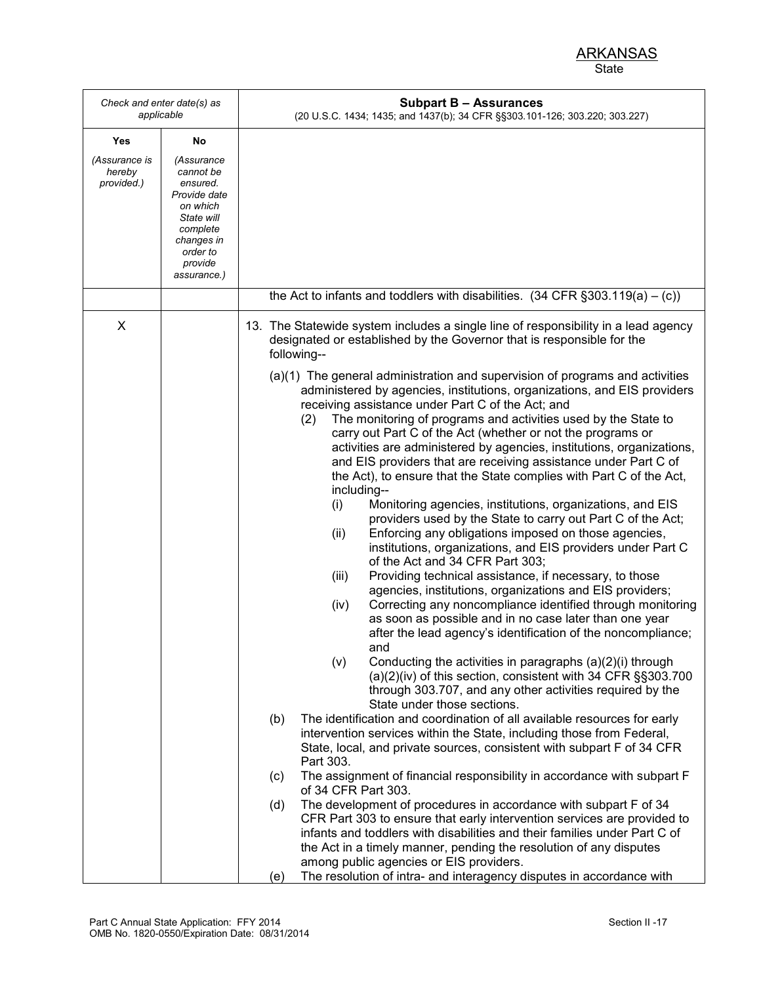*Check and enter date(s) as applicable* **Subpart B – Assurances** (20 U.S.C. 1434; 1435; and 1437(b); 34 CFR §§303.101-126; 303.220; 303.227) **Yes** *(Assurance is hereby provided.)* **No** *(Assurance cannot be ensured. Provide date on which State will complete changes in order to provide assurance.)* the Act to infants and toddlers with disabilities.  $(34 \text{ CFR } \S 303.119(a) - (c))$ X 13. The Statewide system includes a single line of responsibility in a lead agency designated or established by the Governor that is responsible for the following-- (a)(1) The general administration and supervision of programs and activities administered by agencies, institutions, organizations, and EIS providers receiving assistance under Part C of the Act; and (2) The monitoring of programs and activities used by the State to carry out Part C of the Act (whether or not the programs or activities are administered by agencies, institutions, organizations, and EIS providers that are receiving assistance under Part C of the Act), to ensure that the State complies with Part C of the Act, including-- (i) Monitoring agencies, institutions, organizations, and EIS providers used by the State to carry out Part C of the Act; (ii) Enforcing any obligations imposed on those agencies, institutions, organizations, and EIS providers under Part C of the Act and 34 CFR Part 303; (iii) Providing technical assistance, if necessary, to those agencies, institutions, organizations and EIS providers; (iv) Correcting any noncompliance identified through monitoring as soon as possible and in no case later than one year after the lead agency's identification of the noncompliance; and (v) Conducting the activities in paragraphs (a)(2)(i) through (a)(2)(iv) of this section, consistent with 34 CFR §§303.700 through 303.707, and any other activities required by the State under those sections. (b) The identification and coordination of all available resources for early intervention services within the State, including those from Federal, State, local, and private sources, consistent with subpart F of 34 CFR Part 303. (c) The assignment of financial responsibility in accordance with subpart F of 34 CFR Part 303. (d) The development of procedures in accordance with subpart F of 34 CFR Part 303 to ensure that early intervention services are provided to infants and toddlers with disabilities and their families under Part C of the Act in a timely manner, pending the resolution of any disputes among public agencies or EIS providers. (e) The resolution of intra- and interagency disputes in accordance with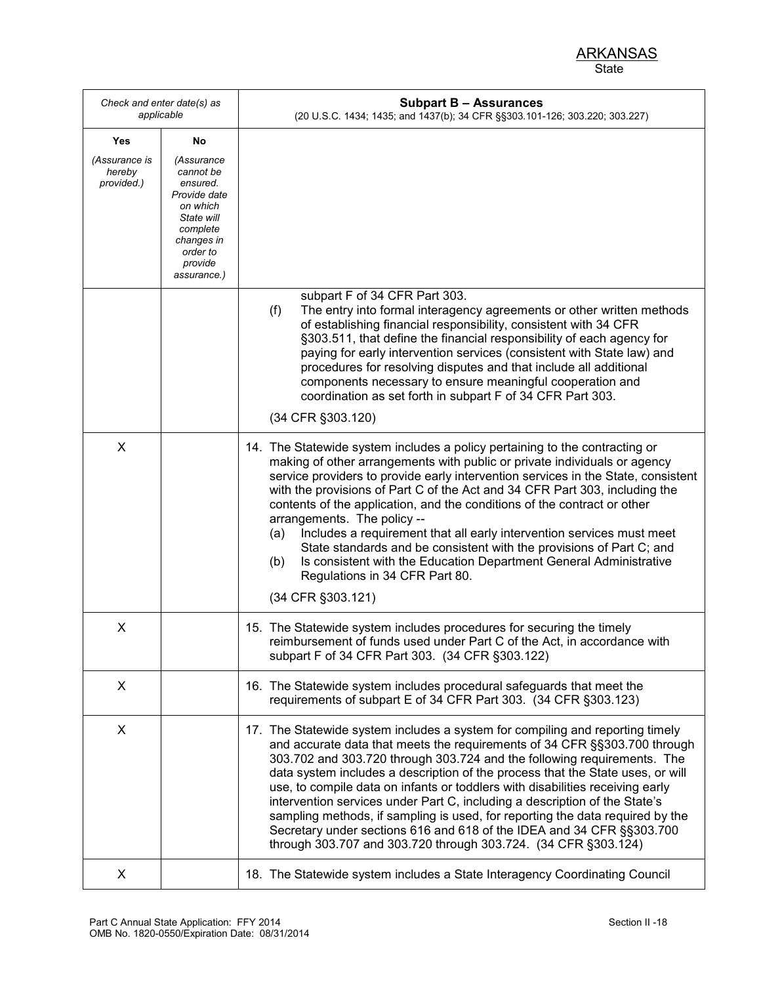*Check and enter date(s) as applicable* **Subpart B – Assurances** (20 U.S.C. 1434; 1435; and 1437(b); 34 CFR §§303.101-126; 303.220; 303.227) **Yes** *(Assurance is hereby provided.)* **No** *(Assurance cannot be ensured. Provide date on which State will complete changes in order to provide assurance.)* subpart F of 34 CFR Part 303. (f) The entry into formal interagency agreements or other written methods of establishing financial responsibility, consistent with 34 CFR §303.511, that define the financial responsibility of each agency for paying for early intervention services (consistent with State law) and procedures for resolving disputes and that include all additional components necessary to ensure meaningful cooperation and coordination as set forth in subpart F of 34 CFR Part 303. (34 CFR §303.120) X 14. The Statewide system includes a policy pertaining to the contracting or making of other arrangements with public or private individuals or agency service providers to provide early intervention services in the State, consistent with the provisions of Part C of the Act and 34 CFR Part 303, including the contents of the application, and the conditions of the contract or other arrangements. The policy -- (a) Includes a requirement that all early intervention services must meet State standards and be consistent with the provisions of Part C; and (b) Is consistent with the Education Department General Administrative Regulations in 34 CFR Part 80. (34 CFR §303.121) X 15. The Statewide system includes procedures for securing the timely reimbursement of funds used under Part C of the Act, in accordance with subpart F of 34 CFR Part 303. (34 CFR §303.122) X 16. The Statewide system includes procedural safeguards that meet the requirements of subpart E of 34 CFR Part 303. (34 CFR §303.123) X 17. The Statewide system includes a system for compiling and reporting timely and accurate data that meets the requirements of 34 CFR §§303.700 through 303.702 and 303.720 through 303.724 and the following requirements. The data system includes a description of the process that the State uses, or will use, to compile data on infants or toddlers with disabilities receiving early intervention services under Part C, including a description of the State's sampling methods, if sampling is used, for reporting the data required by the Secretary under sections 616 and 618 of the IDEA and 34 CFR §§303.700 through 303.707 and 303.720 through 303.724. (34 CFR §303.124) X 18. The Statewide system includes a State Interagency Coordinating Council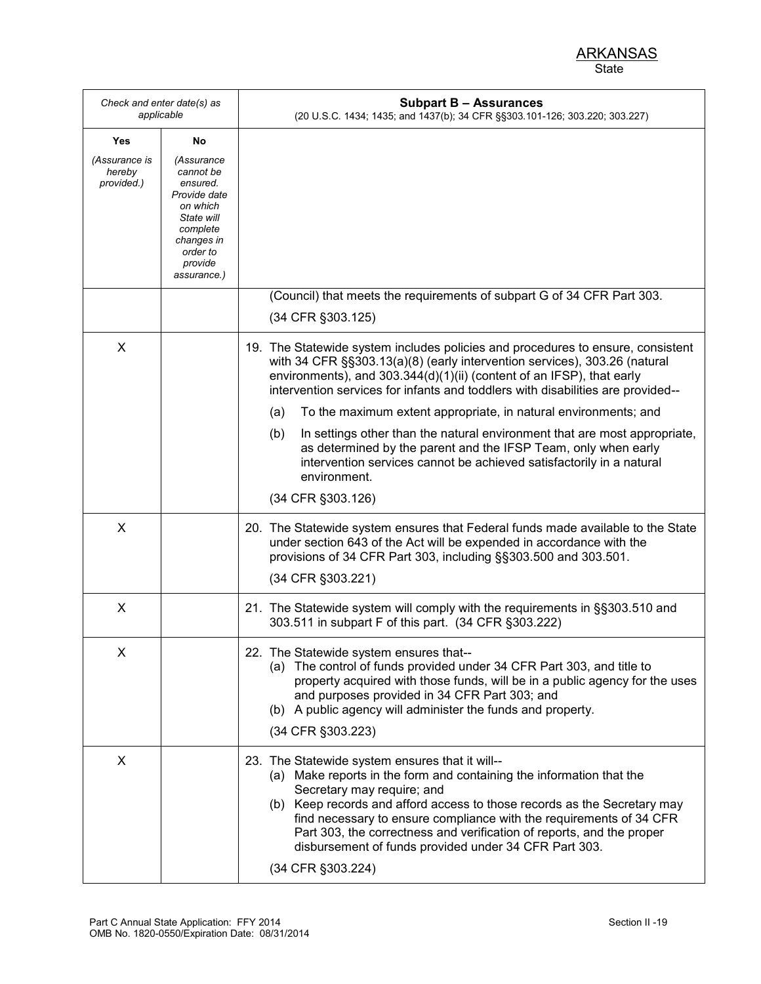| Check and enter date(s) as<br>applicable     |                                                                                                                                                     | <b>Subpart B – Assurances</b><br>(20 U.S.C. 1434; 1435; and 1437(b); 34 CFR §§303.101-126; 303.220; 303.227)                                                                                                                                                                                                                                                                                                                                                    |
|----------------------------------------------|-----------------------------------------------------------------------------------------------------------------------------------------------------|-----------------------------------------------------------------------------------------------------------------------------------------------------------------------------------------------------------------------------------------------------------------------------------------------------------------------------------------------------------------------------------------------------------------------------------------------------------------|
| Yes<br>(Assurance is<br>hereby<br>provided.) | No<br>(Assurance<br>cannot be<br>ensured.<br>Provide date<br>on which<br>State will<br>complete<br>changes in<br>order to<br>provide<br>assurance.) | (Council) that meets the requirements of subpart G of 34 CFR Part 303.                                                                                                                                                                                                                                                                                                                                                                                          |
| X                                            |                                                                                                                                                     | (34 CFR §303.125)<br>19. The Statewide system includes policies and procedures to ensure, consistent<br>with 34 CFR §§303.13(a)(8) (early intervention services), 303.26 (natural<br>environments), and 303.344(d)(1)(ii) (content of an IFSP), that early<br>intervention services for infants and toddlers with disabilities are provided--                                                                                                                   |
|                                              |                                                                                                                                                     | (a)<br>To the maximum extent appropriate, in natural environments; and<br>In settings other than the natural environment that are most appropriate,<br>(b)<br>as determined by the parent and the IFSP Team, only when early<br>intervention services cannot be achieved satisfactorily in a natural<br>environment.<br>(34 CFR §303.126)                                                                                                                       |
| X                                            |                                                                                                                                                     | 20. The Statewide system ensures that Federal funds made available to the State<br>under section 643 of the Act will be expended in accordance with the<br>provisions of 34 CFR Part 303, including §§303.500 and 303.501.<br>(34 CFR §303.221)                                                                                                                                                                                                                 |
| X                                            |                                                                                                                                                     | 21. The Statewide system will comply with the requirements in §§303.510 and<br>303.511 in subpart F of this part. (34 CFR §303.222)                                                                                                                                                                                                                                                                                                                             |
| Χ                                            |                                                                                                                                                     | 22. The Statewide system ensures that--<br>(a) The control of funds provided under 34 CFR Part 303, and title to<br>property acquired with those funds, will be in a public agency for the uses<br>and purposes provided in 34 CFR Part 303; and<br>(b) A public agency will administer the funds and property.<br>(34 CFR §303.223)                                                                                                                            |
| X                                            |                                                                                                                                                     | 23. The Statewide system ensures that it will--<br>(a) Make reports in the form and containing the information that the<br>Secretary may require; and<br>(b) Keep records and afford access to those records as the Secretary may<br>find necessary to ensure compliance with the requirements of 34 CFR<br>Part 303, the correctness and verification of reports, and the proper<br>disbursement of funds provided under 34 CFR Part 303.<br>(34 CFR §303.224) |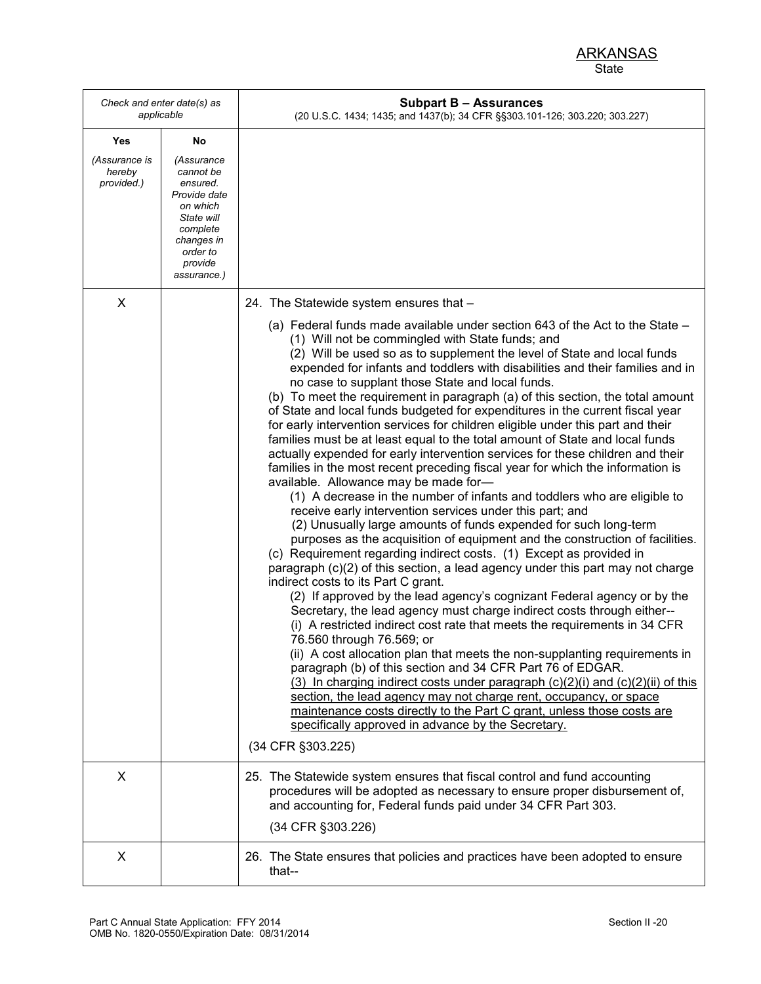| Check and enter date(s) as<br>applicable     |                                                                                                                           | <b>Subpart B - Assurances</b><br>(20 U.S.C. 1434; 1435; and 1437(b); 34 CFR §§303.101-126; 303.220; 303.227)                                                                                                                                                                                                                                                                                                                                                                                                                                                                                                                                                                                                                                                                                                                                                                                                                                                                                                                                                                                                                                                                                                                                                                                                                                                                                                                                                                                                                                                                                                                                                                                                                                                                                                                                                                                                                                                                                                                                                                                                                                                           |
|----------------------------------------------|---------------------------------------------------------------------------------------------------------------------------|------------------------------------------------------------------------------------------------------------------------------------------------------------------------------------------------------------------------------------------------------------------------------------------------------------------------------------------------------------------------------------------------------------------------------------------------------------------------------------------------------------------------------------------------------------------------------------------------------------------------------------------------------------------------------------------------------------------------------------------------------------------------------------------------------------------------------------------------------------------------------------------------------------------------------------------------------------------------------------------------------------------------------------------------------------------------------------------------------------------------------------------------------------------------------------------------------------------------------------------------------------------------------------------------------------------------------------------------------------------------------------------------------------------------------------------------------------------------------------------------------------------------------------------------------------------------------------------------------------------------------------------------------------------------------------------------------------------------------------------------------------------------------------------------------------------------------------------------------------------------------------------------------------------------------------------------------------------------------------------------------------------------------------------------------------------------------------------------------------------------------------------------------------------------|
| Yes<br>(Assurance is<br>hereby<br>provided.) | No<br>(Assurance<br>cannot be<br>ensured.<br>Provide date<br>on which<br>State will<br>complete<br>changes in<br>order to |                                                                                                                                                                                                                                                                                                                                                                                                                                                                                                                                                                                                                                                                                                                                                                                                                                                                                                                                                                                                                                                                                                                                                                                                                                                                                                                                                                                                                                                                                                                                                                                                                                                                                                                                                                                                                                                                                                                                                                                                                                                                                                                                                                        |
|                                              | provide<br>assurance.)                                                                                                    |                                                                                                                                                                                                                                                                                                                                                                                                                                                                                                                                                                                                                                                                                                                                                                                                                                                                                                                                                                                                                                                                                                                                                                                                                                                                                                                                                                                                                                                                                                                                                                                                                                                                                                                                                                                                                                                                                                                                                                                                                                                                                                                                                                        |
| X                                            |                                                                                                                           | 24. The Statewide system ensures that -<br>(a) Federal funds made available under section 643 of the Act to the State -<br>(1) Will not be commingled with State funds; and<br>(2) Will be used so as to supplement the level of State and local funds<br>expended for infants and toddlers with disabilities and their families and in<br>no case to supplant those State and local funds.<br>(b) To meet the requirement in paragraph (a) of this section, the total amount<br>of State and local funds budgeted for expenditures in the current fiscal year<br>for early intervention services for children eligible under this part and their<br>families must be at least equal to the total amount of State and local funds<br>actually expended for early intervention services for these children and their<br>families in the most recent preceding fiscal year for which the information is<br>available. Allowance may be made for-<br>(1) A decrease in the number of infants and toddlers who are eligible to<br>receive early intervention services under this part; and<br>(2) Unusually large amounts of funds expended for such long-term<br>purposes as the acquisition of equipment and the construction of facilities.<br>(c) Requirement regarding indirect costs. (1) Except as provided in<br>paragraph (c)(2) of this section, a lead agency under this part may not charge<br>indirect costs to its Part C grant.<br>(2) If approved by the lead agency's cognizant Federal agency or by the<br>Secretary, the lead agency must charge indirect costs through either--<br>(i) A restricted indirect cost rate that meets the requirements in 34 CFR<br>76.560 through 76.569; or<br>(ii) A cost allocation plan that meets the non-supplanting requirements in<br>paragraph (b) of this section and 34 CFR Part 76 of EDGAR.<br>(3) In charging indirect costs under paragraph $(c)(2)(i)$ and $(c)(2)(ii)$ of this<br>section, the lead agency may not charge rent, occupancy, or space<br>maintenance costs directly to the Part C grant, unless those costs are<br>specifically approved in advance by the Secretary.<br>(34 CFR §303.225) |
| X                                            |                                                                                                                           | 25. The Statewide system ensures that fiscal control and fund accounting<br>procedures will be adopted as necessary to ensure proper disbursement of,<br>and accounting for, Federal funds paid under 34 CFR Part 303.<br>(34 CFR §303.226)                                                                                                                                                                                                                                                                                                                                                                                                                                                                                                                                                                                                                                                                                                                                                                                                                                                                                                                                                                                                                                                                                                                                                                                                                                                                                                                                                                                                                                                                                                                                                                                                                                                                                                                                                                                                                                                                                                                            |
| X                                            |                                                                                                                           | 26. The State ensures that policies and practices have been adopted to ensure<br>that--                                                                                                                                                                                                                                                                                                                                                                                                                                                                                                                                                                                                                                                                                                                                                                                                                                                                                                                                                                                                                                                                                                                                                                                                                                                                                                                                                                                                                                                                                                                                                                                                                                                                                                                                                                                                                                                                                                                                                                                                                                                                                |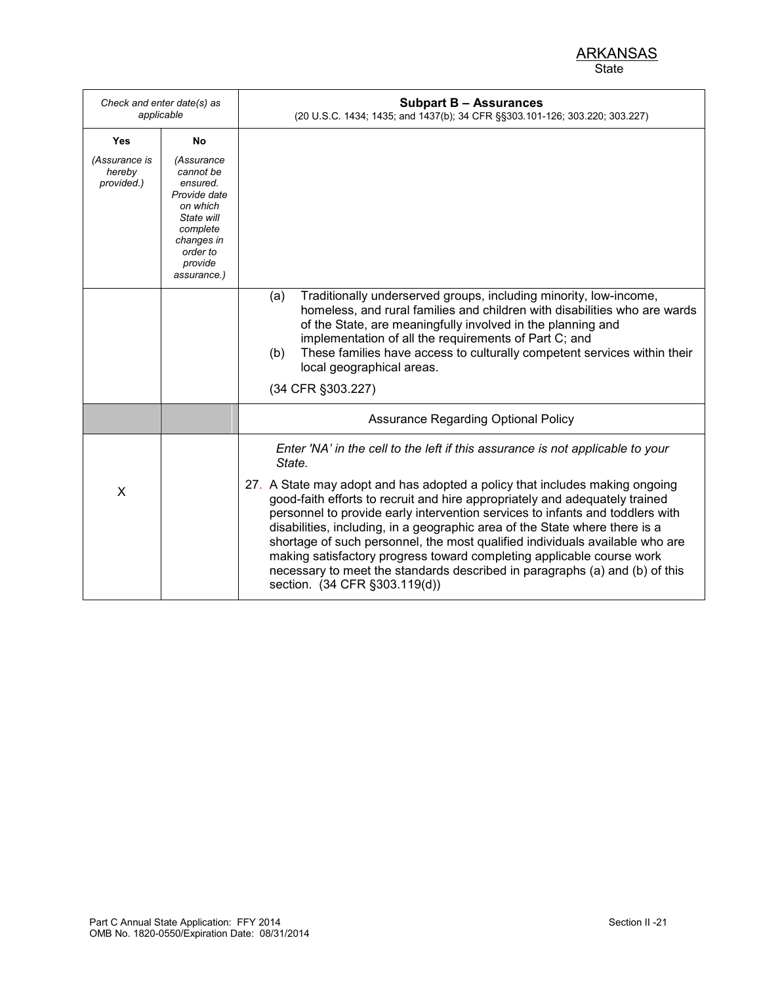| Check and enter date(s) as<br>applicable |                                                                                                                                               | <b>Subpart B - Assurances</b><br>(20 U.S.C. 1434; 1435; and 1437(b); 34 CFR §§303.101-126; 303.220; 303.227)                                                                                                                                                                                                                                                                                                                                                                                                                                                                                        |  |  |
|------------------------------------------|-----------------------------------------------------------------------------------------------------------------------------------------------|-----------------------------------------------------------------------------------------------------------------------------------------------------------------------------------------------------------------------------------------------------------------------------------------------------------------------------------------------------------------------------------------------------------------------------------------------------------------------------------------------------------------------------------------------------------------------------------------------------|--|--|
| <b>Yes</b>                               | No.                                                                                                                                           |                                                                                                                                                                                                                                                                                                                                                                                                                                                                                                                                                                                                     |  |  |
| (Assurance is<br>hereby<br>provided.)    | (Assurance<br>cannot be<br>ensured.<br>Provide date<br>on which<br>State will<br>complete<br>changes in<br>order to<br>provide<br>assurance.) |                                                                                                                                                                                                                                                                                                                                                                                                                                                                                                                                                                                                     |  |  |
|                                          |                                                                                                                                               | Traditionally underserved groups, including minority, low-income,<br>(a)<br>homeless, and rural families and children with disabilities who are wards<br>of the State, are meaningfully involved in the planning and<br>implementation of all the requirements of Part C; and<br>These families have access to culturally competent services within their<br>(b)<br>local geographical areas.                                                                                                                                                                                                       |  |  |
|                                          |                                                                                                                                               | (34 CFR §303.227)                                                                                                                                                                                                                                                                                                                                                                                                                                                                                                                                                                                   |  |  |
|                                          |                                                                                                                                               | <b>Assurance Regarding Optional Policy</b>                                                                                                                                                                                                                                                                                                                                                                                                                                                                                                                                                          |  |  |
|                                          |                                                                                                                                               | Enter 'NA' in the cell to the left if this assurance is not applicable to your<br>State.                                                                                                                                                                                                                                                                                                                                                                                                                                                                                                            |  |  |
| X                                        |                                                                                                                                               | 27. A State may adopt and has adopted a policy that includes making ongoing<br>good-faith efforts to recruit and hire appropriately and adequately trained<br>personnel to provide early intervention services to infants and toddlers with<br>disabilities, including, in a geographic area of the State where there is a<br>shortage of such personnel, the most qualified individuals available who are<br>making satisfactory progress toward completing applicable course work<br>necessary to meet the standards described in paragraphs (a) and (b) of this<br>section. (34 CFR §303.119(d)) |  |  |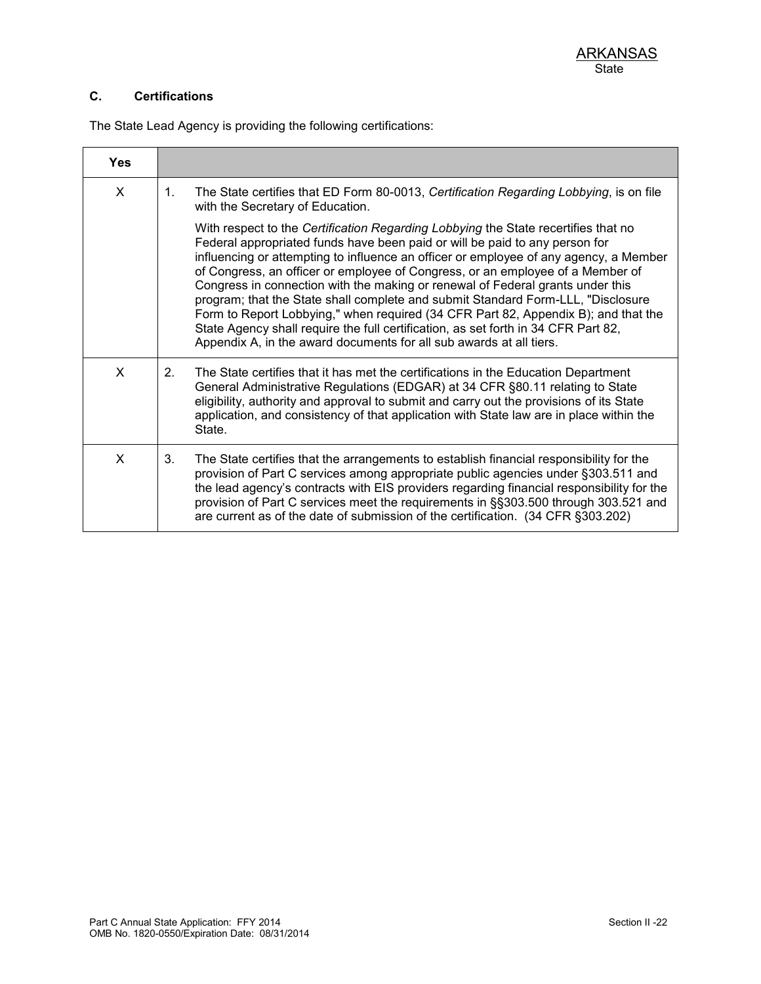### **C. Certifications**

The State Lead Agency is providing the following certifications:

| <b>Yes</b> |                                                                                                                                                                                                                                                                                                                                                                                                                                                                                                                                                                                                                                                                                                                                                                       |
|------------|-----------------------------------------------------------------------------------------------------------------------------------------------------------------------------------------------------------------------------------------------------------------------------------------------------------------------------------------------------------------------------------------------------------------------------------------------------------------------------------------------------------------------------------------------------------------------------------------------------------------------------------------------------------------------------------------------------------------------------------------------------------------------|
| X          | The State certifies that ED Form 80-0013, Certification Regarding Lobbying, is on file<br>$1_{-}$<br>with the Secretary of Education.                                                                                                                                                                                                                                                                                                                                                                                                                                                                                                                                                                                                                                 |
|            | With respect to the Certification Regarding Lobbying the State recertifies that no<br>Federal appropriated funds have been paid or will be paid to any person for<br>influencing or attempting to influence an officer or employee of any agency, a Member<br>of Congress, an officer or employee of Congress, or an employee of a Member of<br>Congress in connection with the making or renewal of Federal grants under this<br>program; that the State shall complete and submit Standard Form-LLL, "Disclosure<br>Form to Report Lobbying," when required (34 CFR Part 82, Appendix B); and that the<br>State Agency shall require the full certification, as set forth in 34 CFR Part 82,<br>Appendix A, in the award documents for all sub awards at all tiers. |
| X          | The State certifies that it has met the certifications in the Education Department<br>2 <sub>1</sub><br>General Administrative Regulations (EDGAR) at 34 CFR §80.11 relating to State<br>eligibility, authority and approval to submit and carry out the provisions of its State<br>application, and consistency of that application with State law are in place within the<br>State.                                                                                                                                                                                                                                                                                                                                                                                 |
| X          | 3.<br>The State certifies that the arrangements to establish financial responsibility for the<br>provision of Part C services among appropriate public agencies under §303.511 and<br>the lead agency's contracts with EIS providers regarding financial responsibility for the<br>provision of Part C services meet the requirements in §§303.500 through 303.521 and<br>are current as of the date of submission of the certification. (34 CFR §303.202)                                                                                                                                                                                                                                                                                                            |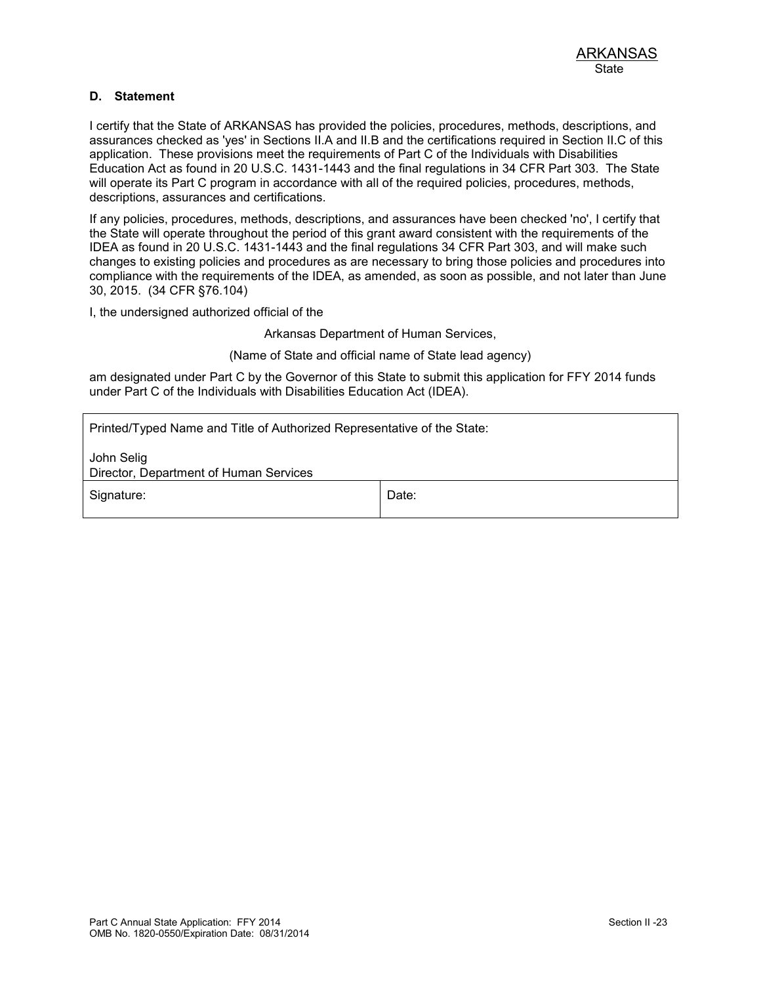#### **D. Statement**

I certify that the State of ARKANSAS has provided the policies, procedures, methods, descriptions, and assurances checked as 'yes' in Sections II.A and II.B and the certifications required in Section II.C of this application. These provisions meet the requirements of Part C of the Individuals with Disabilities Education Act as found in 20 U.S.C. 1431-1443 and the final regulations in 34 CFR Part 303. The State will operate its Part C program in accordance with all of the required policies, procedures, methods, descriptions, assurances and certifications.

If any policies, procedures, methods, descriptions, and assurances have been checked 'no', I certify that the State will operate throughout the period of this grant award consistent with the requirements of the IDEA as found in 20 U.S.C. 1431-1443 and the final regulations 34 CFR Part 303, and will make such changes to existing policies and procedures as are necessary to bring those policies and procedures into compliance with the requirements of the IDEA, as amended, as soon as possible, and not later than June 30, 2015. (34 CFR §76.104)

I, the undersigned authorized official of the

Arkansas Department of Human Services,

(Name of State and official name of State lead agency)

am designated under Part C by the Governor of this State to submit this application for FFY 2014 funds under Part C of the Individuals with Disabilities Education Act (IDEA).

| Printed/Typed Name and Title of Authorized Representative of the State: |       |  |  |
|-------------------------------------------------------------------------|-------|--|--|
| John Selig<br>Director, Department of Human Services                    |       |  |  |
| Signature:                                                              | Date: |  |  |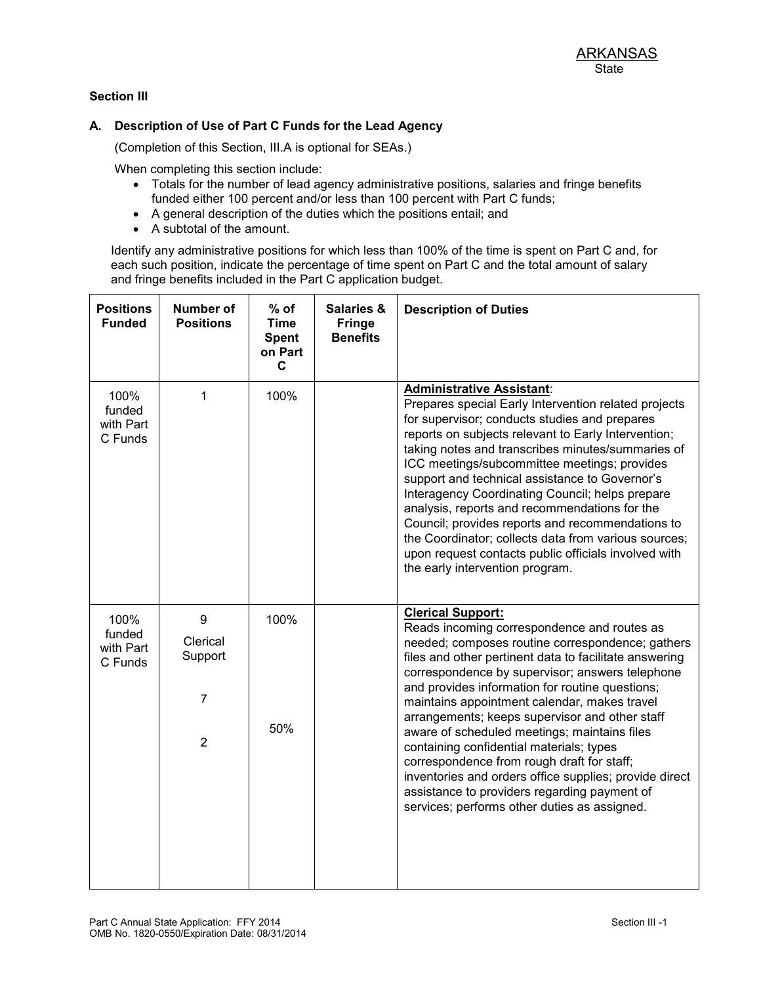#### **Section III**

#### **A. Description of Use of Part C Funds for the Lead Agency**

(Completion of this Section, III.A is optional for SEAs.)

When completing this section include:

- Totals for the number of lead agency administrative positions, salaries and fringe benefits funded either 100 percent and/or less than 100 percent with Part C funds;
- A general description of the duties which the positions entail; and
- A subtotal of the amount.

Identify any administrative positions for which less than 100% of the time is spent on Part C and, for each such position, indicate the percentage of time spent on Part C and the total amount of salary and fringe benefits included in the Part C application budget.

| <b>Positions</b><br><b>Funded</b>      | <b>Number of</b><br><b>Positions</b>                         | $%$ of<br><b>Time</b><br><b>Spent</b><br>on Part<br>С | <b>Salaries &amp;</b><br><b>Fringe</b><br><b>Benefits</b> | <b>Description of Duties</b>                                                                                                                                                                                                                                                                                                                                                                                                                                                                                                                                                                                                                                                                      |
|----------------------------------------|--------------------------------------------------------------|-------------------------------------------------------|-----------------------------------------------------------|---------------------------------------------------------------------------------------------------------------------------------------------------------------------------------------------------------------------------------------------------------------------------------------------------------------------------------------------------------------------------------------------------------------------------------------------------------------------------------------------------------------------------------------------------------------------------------------------------------------------------------------------------------------------------------------------------|
| 100%<br>funded<br>with Part<br>C Funds | 1                                                            | 100%                                                  |                                                           | <b>Administrative Assistant:</b><br>Prepares special Early Intervention related projects<br>for supervisor; conducts studies and prepares<br>reports on subjects relevant to Early Intervention;<br>taking notes and transcribes minutes/summaries of<br>ICC meetings/subcommittee meetings; provides<br>support and technical assistance to Governor's<br>Interagency Coordinating Council; helps prepare<br>analysis, reports and recommendations for the<br>Council; provides reports and recommendations to<br>the Coordinator; collects data from various sources;<br>upon request contacts public officials involved with<br>the early intervention program.                                |
| 100%<br>funded<br>with Part<br>C Funds | 9<br>Clerical<br>Support<br>$\overline{7}$<br>$\overline{2}$ | 100%<br>50%                                           |                                                           | <b>Clerical Support:</b><br>Reads incoming correspondence and routes as<br>needed; composes routine correspondence; gathers<br>files and other pertinent data to facilitate answering<br>correspondence by supervisor; answers telephone<br>and provides information for routine questions;<br>maintains appointment calendar, makes travel<br>arrangements; keeps supervisor and other staff<br>aware of scheduled meetings; maintains files<br>containing confidential materials; types<br>correspondence from rough draft for staff;<br>inventories and orders office supplies; provide direct<br>assistance to providers regarding payment of<br>services; performs other duties as assigned. |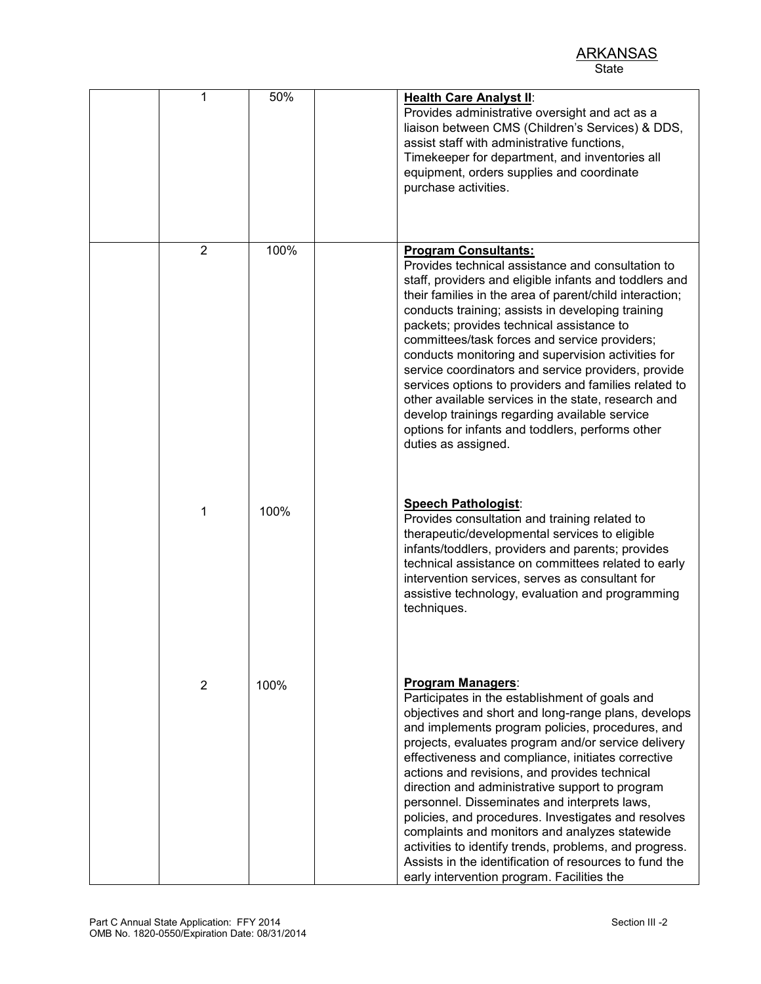|                | 50%  | <b>Health Care Analyst II:</b><br>Provides administrative oversight and act as a<br>liaison between CMS (Children's Services) & DDS,<br>assist staff with administrative functions,<br>Timekeeper for department, and inventories all<br>equipment, orders supplies and coordinate<br>purchase activities.                                                                                                                                                                                                                                                                                                                                                                                                                        |
|----------------|------|-----------------------------------------------------------------------------------------------------------------------------------------------------------------------------------------------------------------------------------------------------------------------------------------------------------------------------------------------------------------------------------------------------------------------------------------------------------------------------------------------------------------------------------------------------------------------------------------------------------------------------------------------------------------------------------------------------------------------------------|
| $\overline{2}$ | 100% | <b>Program Consultants:</b><br>Provides technical assistance and consultation to<br>staff, providers and eligible infants and toddlers and<br>their families in the area of parent/child interaction;<br>conducts training; assists in developing training<br>packets; provides technical assistance to<br>committees/task forces and service providers;<br>conducts monitoring and supervision activities for<br>service coordinators and service providers, provide<br>services options to providers and families related to<br>other available services in the state, research and<br>develop trainings regarding available service<br>options for infants and toddlers, performs other<br>duties as assigned.                 |
| 1              | 100% | <b>Speech Pathologist:</b><br>Provides consultation and training related to<br>therapeutic/developmental services to eligible<br>infants/toddlers, providers and parents; provides<br>technical assistance on committees related to early<br>intervention services, serves as consultant for<br>assistive technology, evaluation and programming<br>techniques.                                                                                                                                                                                                                                                                                                                                                                   |
| 2              | 100% | <b>Program Managers:</b><br>Participates in the establishment of goals and<br>objectives and short and long-range plans, develops<br>and implements program policies, procedures, and<br>projects, evaluates program and/or service delivery<br>effectiveness and compliance, initiates corrective<br>actions and revisions, and provides technical<br>direction and administrative support to program<br>personnel. Disseminates and interprets laws,<br>policies, and procedures. Investigates and resolves<br>complaints and monitors and analyzes statewide<br>activities to identify trends, problems, and progress.<br>Assists in the identification of resources to fund the<br>early intervention program. Facilities the |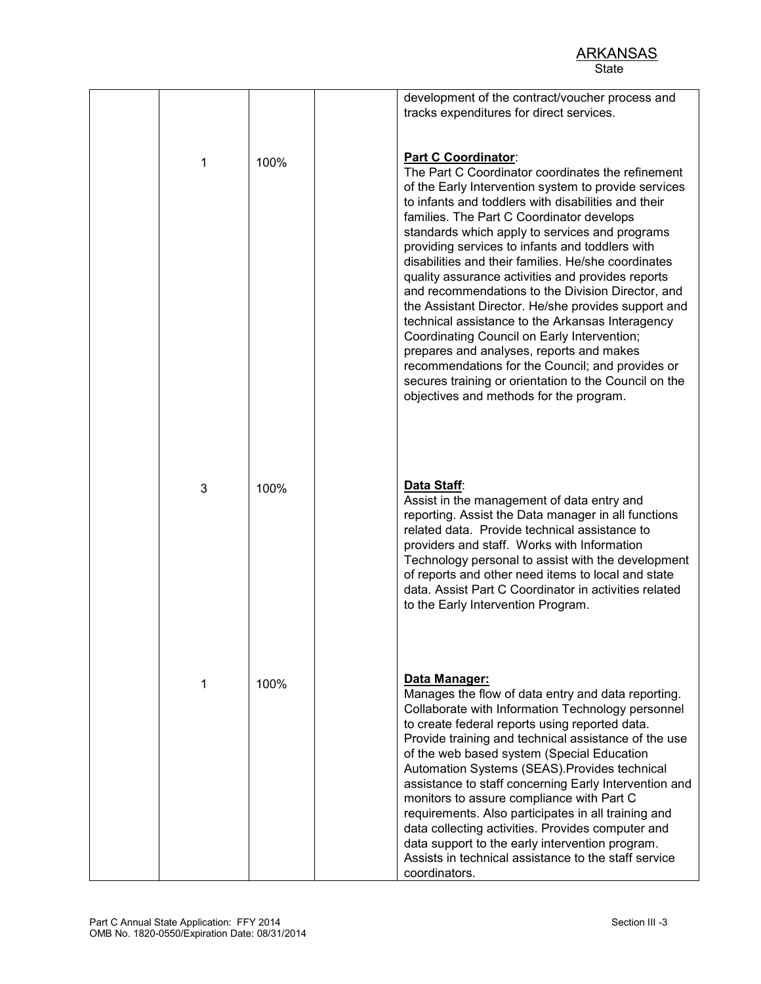|   |      | development of the contract/voucher process and<br>tracks expenditures for direct services.                                                                                                                                                                                                                                                                                                                                                                                                                                                                                                                                                                                                                                                                                                                                                                                     |
|---|------|---------------------------------------------------------------------------------------------------------------------------------------------------------------------------------------------------------------------------------------------------------------------------------------------------------------------------------------------------------------------------------------------------------------------------------------------------------------------------------------------------------------------------------------------------------------------------------------------------------------------------------------------------------------------------------------------------------------------------------------------------------------------------------------------------------------------------------------------------------------------------------|
| 1 | 100% | <b>Part C Coordinator:</b><br>The Part C Coordinator coordinates the refinement<br>of the Early Intervention system to provide services<br>to infants and toddlers with disabilities and their<br>families. The Part C Coordinator develops<br>standards which apply to services and programs<br>providing services to infants and toddlers with<br>disabilities and their families. He/she coordinates<br>quality assurance activities and provides reports<br>and recommendations to the Division Director, and<br>the Assistant Director. He/she provides support and<br>technical assistance to the Arkansas Interagency<br>Coordinating Council on Early Intervention;<br>prepares and analyses, reports and makes<br>recommendations for the Council; and provides or<br>secures training or orientation to the Council on the<br>objectives and methods for the program. |
| 3 | 100% | Data Staff:<br>Assist in the management of data entry and<br>reporting. Assist the Data manager in all functions<br>related data. Provide technical assistance to<br>providers and staff. Works with Information<br>Technology personal to assist with the development<br>of reports and other need items to local and state<br>data. Assist Part C Coordinator in activities related<br>to the Early Intervention Program.                                                                                                                                                                                                                                                                                                                                                                                                                                                     |
| 1 | 100% | Data Manager:<br>Manages the flow of data entry and data reporting.<br>Collaborate with Information Technology personnel<br>to create federal reports using reported data.<br>Provide training and technical assistance of the use<br>of the web based system (Special Education<br>Automation Systems (SEAS). Provides technical<br>assistance to staff concerning Early Intervention and<br>monitors to assure compliance with Part C<br>requirements. Also participates in all training and<br>data collecting activities. Provides computer and<br>data support to the early intervention program.<br>Assists in technical assistance to the staff service<br>coordinators.                                                                                                                                                                                                 |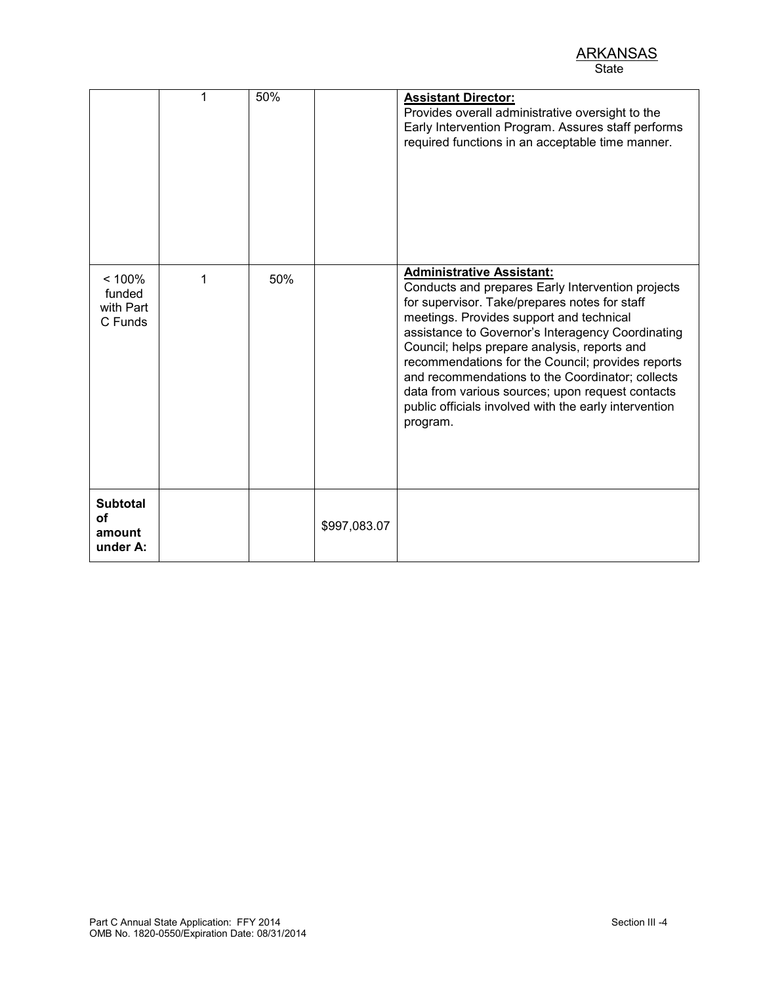|                                             | 1 | 50% |              | <b>Assistant Director:</b><br>Provides overall administrative oversight to the<br>Early Intervention Program. Assures staff performs<br>required functions in an acceptable time manner.                                                                                                                                                                                                                                                                                                                                  |
|---------------------------------------------|---|-----|--------------|---------------------------------------------------------------------------------------------------------------------------------------------------------------------------------------------------------------------------------------------------------------------------------------------------------------------------------------------------------------------------------------------------------------------------------------------------------------------------------------------------------------------------|
| < 100%<br>funded<br>with Part<br>C Funds    | 1 | 50% |              | <b>Administrative Assistant:</b><br>Conducts and prepares Early Intervention projects<br>for supervisor. Take/prepares notes for staff<br>meetings. Provides support and technical<br>assistance to Governor's Interagency Coordinating<br>Council; helps prepare analysis, reports and<br>recommendations for the Council; provides reports<br>and recommendations to the Coordinator; collects<br>data from various sources; upon request contacts<br>public officials involved with the early intervention<br>program. |
| <b>Subtotal</b><br>Ωf<br>amount<br>under A: |   |     | \$997,083.07 |                                                                                                                                                                                                                                                                                                                                                                                                                                                                                                                           |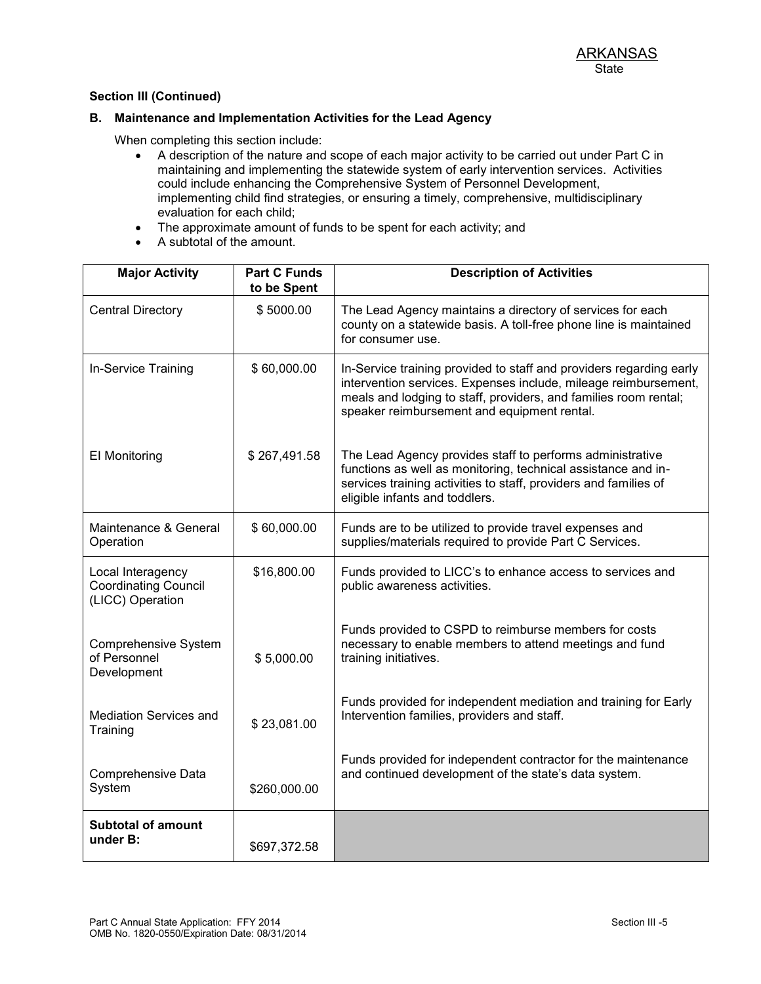#### **B. Maintenance and Implementation Activities for the Lead Agency**

When completing this section include:

- A description of the nature and scope of each major activity to be carried out under Part C in maintaining and implementing the statewide system of early intervention services. Activities could include enhancing the Comprehensive System of Personnel Development, implementing child find strategies, or ensuring a timely, comprehensive, multidisciplinary evaluation for each child;
- The approximate amount of funds to be spent for each activity; and
- A subtotal of the amount.

| <b>Major Activity</b>                                                | <b>Part C Funds</b><br>to be Spent | <b>Description of Activities</b>                                                                                                                                                                                                                          |
|----------------------------------------------------------------------|------------------------------------|-----------------------------------------------------------------------------------------------------------------------------------------------------------------------------------------------------------------------------------------------------------|
| <b>Central Directory</b>                                             | \$5000.00                          | The Lead Agency maintains a directory of services for each<br>county on a statewide basis. A toll-free phone line is maintained<br>for consumer use.                                                                                                      |
| In-Service Training                                                  | \$60,000.00                        | In-Service training provided to staff and providers regarding early<br>intervention services. Expenses include, mileage reimbursement,<br>meals and lodging to staff, providers, and families room rental;<br>speaker reimbursement and equipment rental. |
| El Monitoring                                                        | \$267,491.58                       | The Lead Agency provides staff to performs administrative<br>functions as well as monitoring, technical assistance and in-<br>services training activities to staff, providers and families of<br>eligible infants and toddlers.                          |
| Maintenance & General<br>Operation                                   | \$60,000.00                        | Funds are to be utilized to provide travel expenses and<br>supplies/materials required to provide Part C Services.                                                                                                                                        |
| Local Interagency<br><b>Coordinating Council</b><br>(LICC) Operation | \$16,800.00                        | Funds provided to LICC's to enhance access to services and<br>public awareness activities.                                                                                                                                                                |
| Comprehensive System<br>of Personnel<br>Development                  | \$5,000.00                         | Funds provided to CSPD to reimburse members for costs<br>necessary to enable members to attend meetings and fund<br>training initiatives.                                                                                                                 |
| Mediation Services and<br>Training                                   | \$23,081.00                        | Funds provided for independent mediation and training for Early<br>Intervention families, providers and staff.                                                                                                                                            |
| Comprehensive Data<br>System                                         | \$260,000.00                       | Funds provided for independent contractor for the maintenance<br>and continued development of the state's data system.                                                                                                                                    |
| <b>Subtotal of amount</b><br>under B:                                | \$697,372.58                       |                                                                                                                                                                                                                                                           |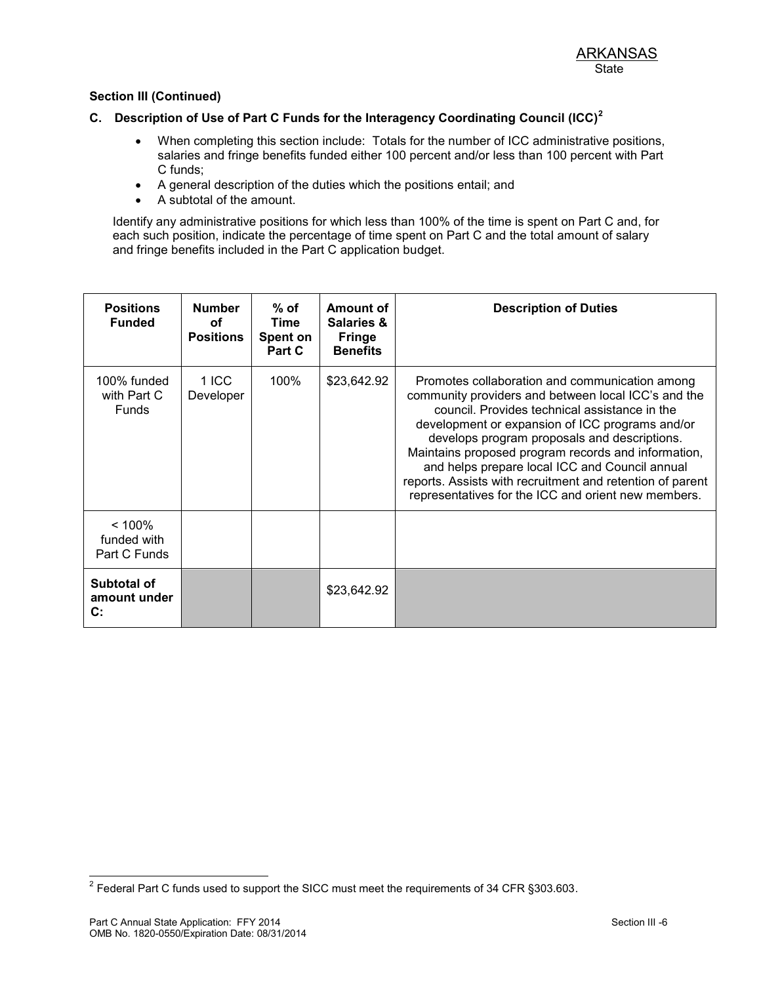## **C. Description of Use of Part C Funds for the Interagency Coordinating Council (ICC)<sup>2</sup>**

- When completing this section include: Totals for the number of ICC administrative positions, salaries and fringe benefits funded either 100 percent and/or less than 100 percent with Part C funds;
- A general description of the duties which the positions entail; and
- A subtotal of the amount.

Identify any administrative positions for which less than 100% of the time is spent on Part C and, for each such position, indicate the percentage of time spent on Part C and the total amount of salary and fringe benefits included in the Part C application budget.

| <b>Positions</b><br><b>Funded</b>             | <b>Number</b><br>οf<br><b>Positions</b> | $%$ of<br><b>Time</b><br>Spent on<br>Part C | Amount of<br><b>Salaries &amp;</b><br><b>Fringe</b><br><b>Benefits</b> | <b>Description of Duties</b>                                                                                                                                                                                                                                                                                                                                                                                                                                                           |
|-----------------------------------------------|-----------------------------------------|---------------------------------------------|------------------------------------------------------------------------|----------------------------------------------------------------------------------------------------------------------------------------------------------------------------------------------------------------------------------------------------------------------------------------------------------------------------------------------------------------------------------------------------------------------------------------------------------------------------------------|
| 100% funded<br>with Part C<br><b>Funds</b>    | 1 ICC<br>Developer                      | 100%                                        | \$23,642.92                                                            | Promotes collaboration and communication among<br>community providers and between local ICC's and the<br>council. Provides technical assistance in the<br>development or expansion of ICC programs and/or<br>develops program proposals and descriptions.<br>Maintains proposed program records and information,<br>and helps prepare local ICC and Council annual<br>reports. Assists with recruitment and retention of parent<br>representatives for the ICC and orient new members. |
| < 100%<br>funded with<br>Part C Funds         |                                         |                                             |                                                                        |                                                                                                                                                                                                                                                                                                                                                                                                                                                                                        |
| Subtotal of<br>amount under<br>$\mathbf{C}$ : |                                         |                                             | \$23,642.92                                                            |                                                                                                                                                                                                                                                                                                                                                                                                                                                                                        |

 2 Federal Part C funds used to support the SICC must meet the requirements of 34 CFR §303.603.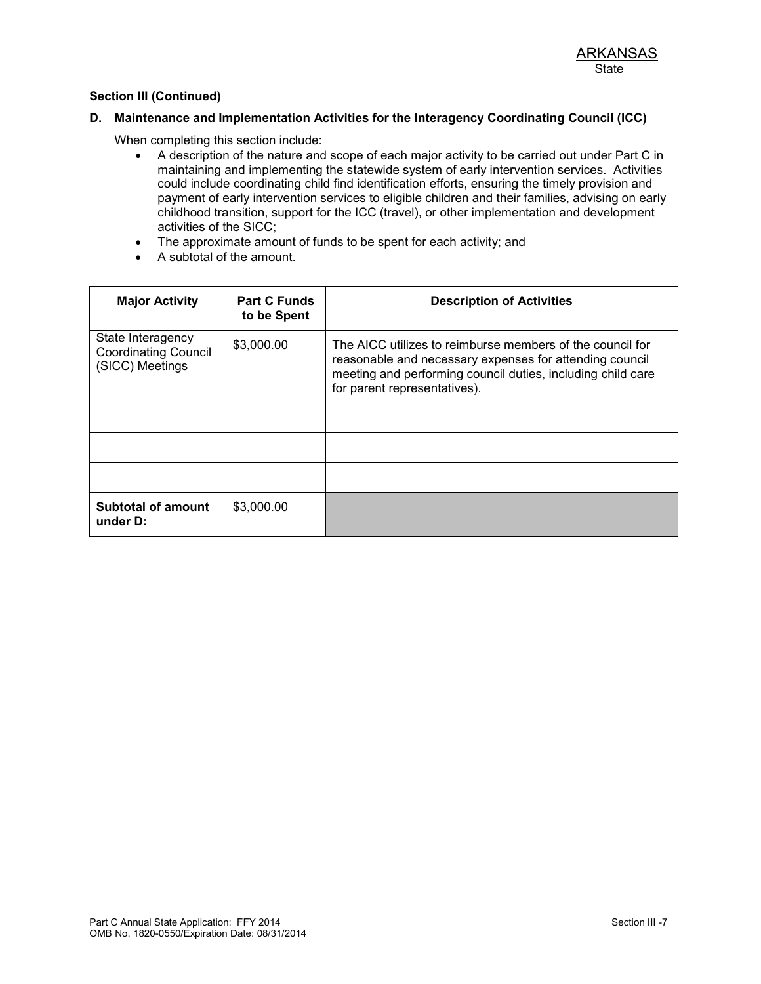#### **D. Maintenance and Implementation Activities for the Interagency Coordinating Council (ICC)**

When completing this section include:

- A description of the nature and scope of each major activity to be carried out under Part C in maintaining and implementing the statewide system of early intervention services. Activities could include coordinating child find identification efforts, ensuring the timely provision and payment of early intervention services to eligible children and their families, advising on early childhood transition, support for the ICC (travel), or other implementation and development activities of the SICC;
- The approximate amount of funds to be spent for each activity; and
- A subtotal of the amount.

| <b>Major Activity</b>                                               | <b>Part C Funds</b><br>to be Spent | <b>Description of Activities</b>                                                                                                                                                                                    |
|---------------------------------------------------------------------|------------------------------------|---------------------------------------------------------------------------------------------------------------------------------------------------------------------------------------------------------------------|
| State Interagency<br><b>Coordinating Council</b><br>(SICC) Meetings | \$3,000.00                         | The AICC utilizes to reimburse members of the council for<br>reasonable and necessary expenses for attending council<br>meeting and performing council duties, including child care<br>for parent representatives). |
|                                                                     |                                    |                                                                                                                                                                                                                     |
|                                                                     |                                    |                                                                                                                                                                                                                     |
|                                                                     |                                    |                                                                                                                                                                                                                     |
| <b>Subtotal of amount</b><br>under D:                               | \$3,000,00                         |                                                                                                                                                                                                                     |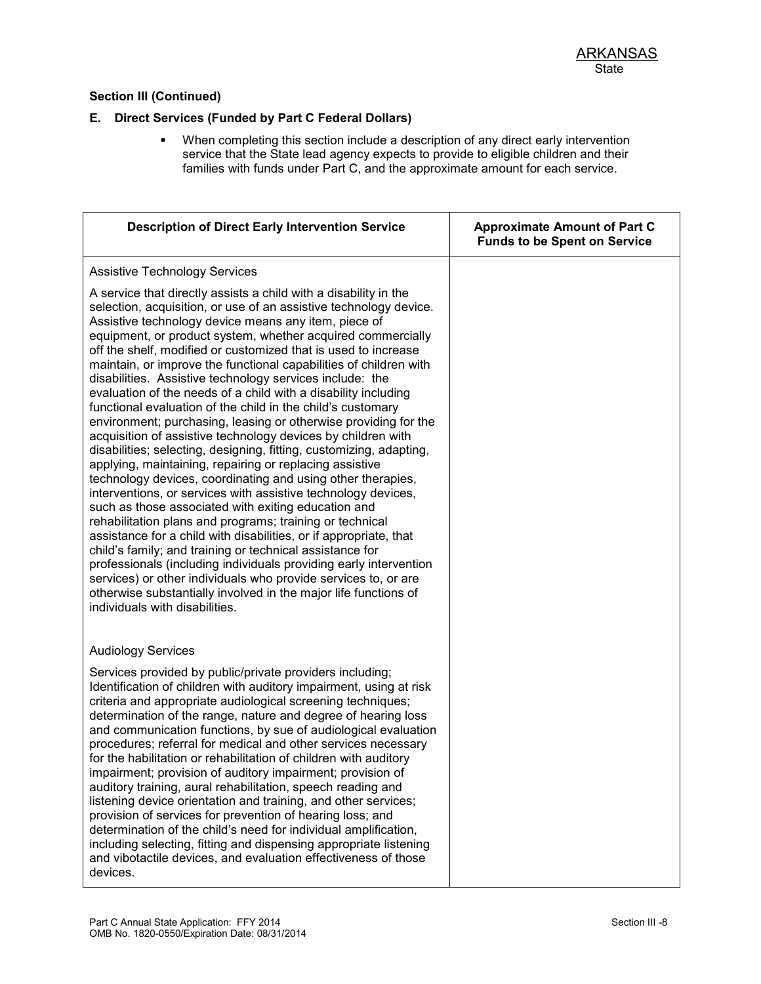#### **E. Direct Services (Funded by Part C Federal Dollars)**

 When completing this section include a description of any direct early intervention service that the State lead agency expects to provide to eligible children and their families with funds under Part C, and the approximate amount for each service.

| <b>Description of Direct Early Intervention Service</b>                                                                                                                                                                                                                                                                                                                                                                                                                                                                                                                                                                                                                                                                                                                                                                                                                                                                                                                                                                                                                                                                                                                                                                                                                                                                                                                                                                                                                                               | <b>Approximate Amount of Part C</b><br><b>Funds to be Spent on Service</b> |
|-------------------------------------------------------------------------------------------------------------------------------------------------------------------------------------------------------------------------------------------------------------------------------------------------------------------------------------------------------------------------------------------------------------------------------------------------------------------------------------------------------------------------------------------------------------------------------------------------------------------------------------------------------------------------------------------------------------------------------------------------------------------------------------------------------------------------------------------------------------------------------------------------------------------------------------------------------------------------------------------------------------------------------------------------------------------------------------------------------------------------------------------------------------------------------------------------------------------------------------------------------------------------------------------------------------------------------------------------------------------------------------------------------------------------------------------------------------------------------------------------------|----------------------------------------------------------------------------|
| <b>Assistive Technology Services</b>                                                                                                                                                                                                                                                                                                                                                                                                                                                                                                                                                                                                                                                                                                                                                                                                                                                                                                                                                                                                                                                                                                                                                                                                                                                                                                                                                                                                                                                                  |                                                                            |
| A service that directly assists a child with a disability in the<br>selection, acquisition, or use of an assistive technology device.<br>Assistive technology device means any item, piece of<br>equipment, or product system, whether acquired commercially<br>off the shelf, modified or customized that is used to increase<br>maintain, or improve the functional capabilities of children with<br>disabilities. Assistive technology services include: the<br>evaluation of the needs of a child with a disability including<br>functional evaluation of the child in the child's customary<br>environment; purchasing, leasing or otherwise providing for the<br>acquisition of assistive technology devices by children with<br>disabilities; selecting, designing, fitting, customizing, adapting,<br>applying, maintaining, repairing or replacing assistive<br>technology devices, coordinating and using other therapies,<br>interventions, or services with assistive technology devices,<br>such as those associated with exiting education and<br>rehabilitation plans and programs; training or technical<br>assistance for a child with disabilities, or if appropriate, that<br>child's family; and training or technical assistance for<br>professionals (including individuals providing early intervention<br>services) or other individuals who provide services to, or are<br>otherwise substantially involved in the major life functions of<br>individuals with disabilities. |                                                                            |
| <b>Audiology Services</b>                                                                                                                                                                                                                                                                                                                                                                                                                                                                                                                                                                                                                                                                                                                                                                                                                                                                                                                                                                                                                                                                                                                                                                                                                                                                                                                                                                                                                                                                             |                                                                            |
| Services provided by public/private providers including;<br>Identification of children with auditory impairment, using at risk<br>criteria and appropriate audiological screening techniques;<br>determination of the range, nature and degree of hearing loss<br>and communication functions, by sue of audiological evaluation<br>procedures; referral for medical and other services necessary<br>for the habilitation or rehabilitation of children with auditory<br>impairment; provision of auditory impairment; provision of<br>auditory training, aural rehabilitation, speech reading and<br>listening device orientation and training, and other services;<br>provision of services for prevention of hearing loss; and<br>determination of the child's need for individual amplification,<br>including selecting, fitting and dispensing appropriate listening<br>and vibotactile devices, and evaluation effectiveness of those<br>devices.                                                                                                                                                                                                                                                                                                                                                                                                                                                                                                                                               |                                                                            |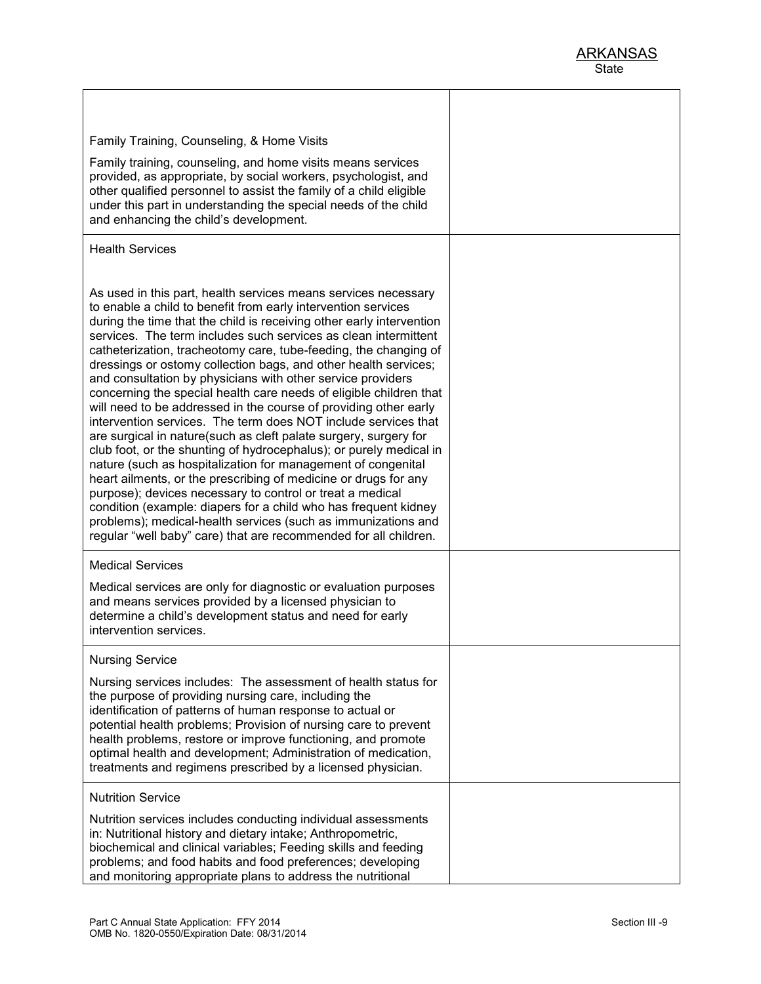| Family Training, Counseling, & Home Visits                                                                                                                                                                                                                                                                                                                                                                                                                                                                                                                                                                                                                                                                                                                                                                                                                                                                                                                                                                                                                                                                                                                                                                                                     |  |
|------------------------------------------------------------------------------------------------------------------------------------------------------------------------------------------------------------------------------------------------------------------------------------------------------------------------------------------------------------------------------------------------------------------------------------------------------------------------------------------------------------------------------------------------------------------------------------------------------------------------------------------------------------------------------------------------------------------------------------------------------------------------------------------------------------------------------------------------------------------------------------------------------------------------------------------------------------------------------------------------------------------------------------------------------------------------------------------------------------------------------------------------------------------------------------------------------------------------------------------------|--|
| Family training, counseling, and home visits means services<br>provided, as appropriate, by social workers, psychologist, and<br>other qualified personnel to assist the family of a child eligible<br>under this part in understanding the special needs of the child<br>and enhancing the child's development.                                                                                                                                                                                                                                                                                                                                                                                                                                                                                                                                                                                                                                                                                                                                                                                                                                                                                                                               |  |
| <b>Health Services</b>                                                                                                                                                                                                                                                                                                                                                                                                                                                                                                                                                                                                                                                                                                                                                                                                                                                                                                                                                                                                                                                                                                                                                                                                                         |  |
| As used in this part, health services means services necessary<br>to enable a child to benefit from early intervention services<br>during the time that the child is receiving other early intervention<br>services. The term includes such services as clean intermittent<br>catheterization, tracheotomy care, tube-feeding, the changing of<br>dressings or ostomy collection bags, and other health services;<br>and consultation by physicians with other service providers<br>concerning the special health care needs of eligible children that<br>will need to be addressed in the course of providing other early<br>intervention services. The term does NOT include services that<br>are surgical in nature(such as cleft palate surgery, surgery for<br>club foot, or the shunting of hydrocephalus); or purely medical in<br>nature (such as hospitalization for management of congenital<br>heart ailments, or the prescribing of medicine or drugs for any<br>purpose); devices necessary to control or treat a medical<br>condition (example: diapers for a child who has frequent kidney<br>problems); medical-health services (such as immunizations and<br>regular "well baby" care) that are recommended for all children. |  |
| <b>Medical Services</b>                                                                                                                                                                                                                                                                                                                                                                                                                                                                                                                                                                                                                                                                                                                                                                                                                                                                                                                                                                                                                                                                                                                                                                                                                        |  |
| Medical services are only for diagnostic or evaluation purposes<br>and means services provided by a licensed physician to<br>determine a child's development status and need for early<br>intervention services.                                                                                                                                                                                                                                                                                                                                                                                                                                                                                                                                                                                                                                                                                                                                                                                                                                                                                                                                                                                                                               |  |
| <b>Nursing Service</b>                                                                                                                                                                                                                                                                                                                                                                                                                                                                                                                                                                                                                                                                                                                                                                                                                                                                                                                                                                                                                                                                                                                                                                                                                         |  |
| Nursing services includes: The assessment of health status for<br>the purpose of providing nursing care, including the<br>identification of patterns of human response to actual or<br>potential health problems; Provision of nursing care to prevent<br>health problems, restore or improve functioning, and promote<br>optimal health and development; Administration of medication,<br>treatments and regimens prescribed by a licensed physician.                                                                                                                                                                                                                                                                                                                                                                                                                                                                                                                                                                                                                                                                                                                                                                                         |  |
| <b>Nutrition Service</b>                                                                                                                                                                                                                                                                                                                                                                                                                                                                                                                                                                                                                                                                                                                                                                                                                                                                                                                                                                                                                                                                                                                                                                                                                       |  |
| Nutrition services includes conducting individual assessments<br>in: Nutritional history and dietary intake; Anthropometric,<br>biochemical and clinical variables; Feeding skills and feeding<br>problems; and food habits and food preferences; developing<br>and monitoring appropriate plans to address the nutritional                                                                                                                                                                                                                                                                                                                                                                                                                                                                                                                                                                                                                                                                                                                                                                                                                                                                                                                    |  |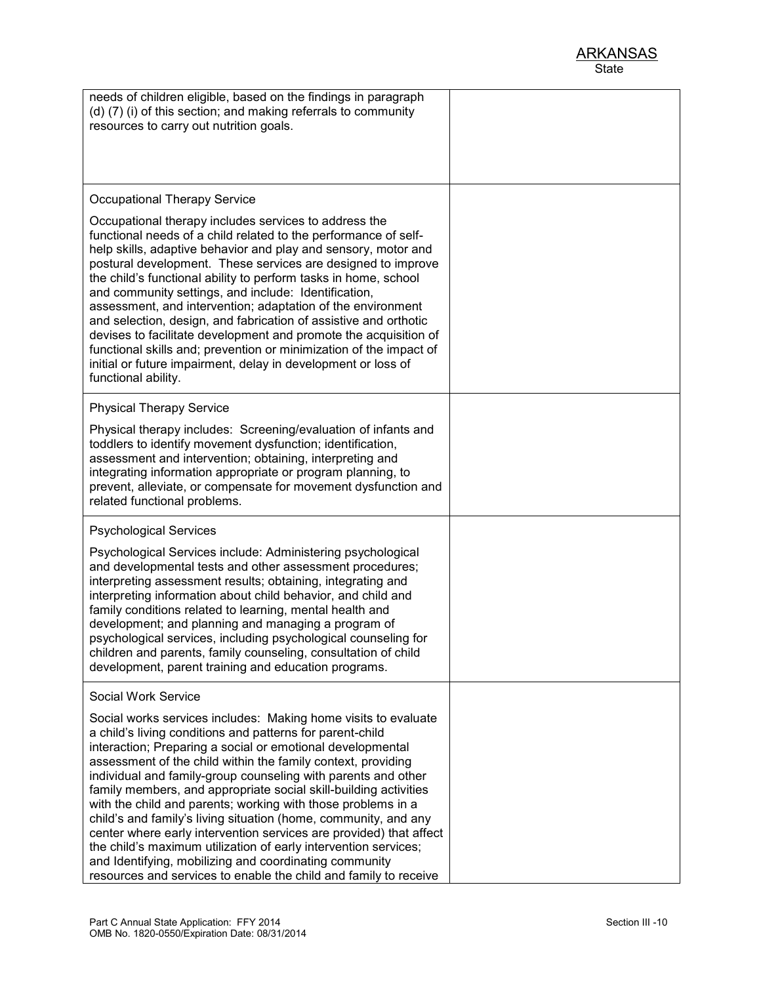| needs of children eligible, based on the findings in paragraph<br>(d) (7) (i) of this section; and making referrals to community<br>resources to carry out nutrition goals.                                                                                                                                                                                                                                                                                                                                                                                                                                                                                                                                                                                                                              |  |
|----------------------------------------------------------------------------------------------------------------------------------------------------------------------------------------------------------------------------------------------------------------------------------------------------------------------------------------------------------------------------------------------------------------------------------------------------------------------------------------------------------------------------------------------------------------------------------------------------------------------------------------------------------------------------------------------------------------------------------------------------------------------------------------------------------|--|
|                                                                                                                                                                                                                                                                                                                                                                                                                                                                                                                                                                                                                                                                                                                                                                                                          |  |
| <b>Occupational Therapy Service</b>                                                                                                                                                                                                                                                                                                                                                                                                                                                                                                                                                                                                                                                                                                                                                                      |  |
| Occupational therapy includes services to address the<br>functional needs of a child related to the performance of self-<br>help skills, adaptive behavior and play and sensory, motor and<br>postural development. These services are designed to improve<br>the child's functional ability to perform tasks in home, school<br>and community settings, and include: Identification,<br>assessment, and intervention; adaptation of the environment<br>and selection, design, and fabrication of assistive and orthotic<br>devises to facilitate development and promote the acquisition of<br>functional skills and; prevention or minimization of the impact of<br>initial or future impairment, delay in development or loss of<br>functional ability.                                               |  |
| <b>Physical Therapy Service</b>                                                                                                                                                                                                                                                                                                                                                                                                                                                                                                                                                                                                                                                                                                                                                                          |  |
| Physical therapy includes: Screening/evaluation of infants and<br>toddlers to identify movement dysfunction; identification,<br>assessment and intervention; obtaining, interpreting and<br>integrating information appropriate or program planning, to<br>prevent, alleviate, or compensate for movement dysfunction and<br>related functional problems.                                                                                                                                                                                                                                                                                                                                                                                                                                                |  |
| <b>Psychological Services</b>                                                                                                                                                                                                                                                                                                                                                                                                                                                                                                                                                                                                                                                                                                                                                                            |  |
| Psychological Services include: Administering psychological<br>and developmental tests and other assessment procedures;<br>interpreting assessment results; obtaining, integrating and<br>interpreting information about child behavior, and child and<br>family conditions related to learning, mental health and<br>development; and planning and managing a program of<br>psychological services, including psychological counseling for<br>children and parents, family counseling, consultation of child<br>development, parent training and education programs.                                                                                                                                                                                                                                    |  |
| Social Work Service                                                                                                                                                                                                                                                                                                                                                                                                                                                                                                                                                                                                                                                                                                                                                                                      |  |
| Social works services includes: Making home visits to evaluate<br>a child's living conditions and patterns for parent-child<br>interaction; Preparing a social or emotional developmental<br>assessment of the child within the family context, providing<br>individual and family-group counseling with parents and other<br>family members, and appropriate social skill-building activities<br>with the child and parents; working with those problems in a<br>child's and family's living situation (home, community, and any<br>center where early intervention services are provided) that affect<br>the child's maximum utilization of early intervention services;<br>and Identifying, mobilizing and coordinating community<br>resources and services to enable the child and family to receive |  |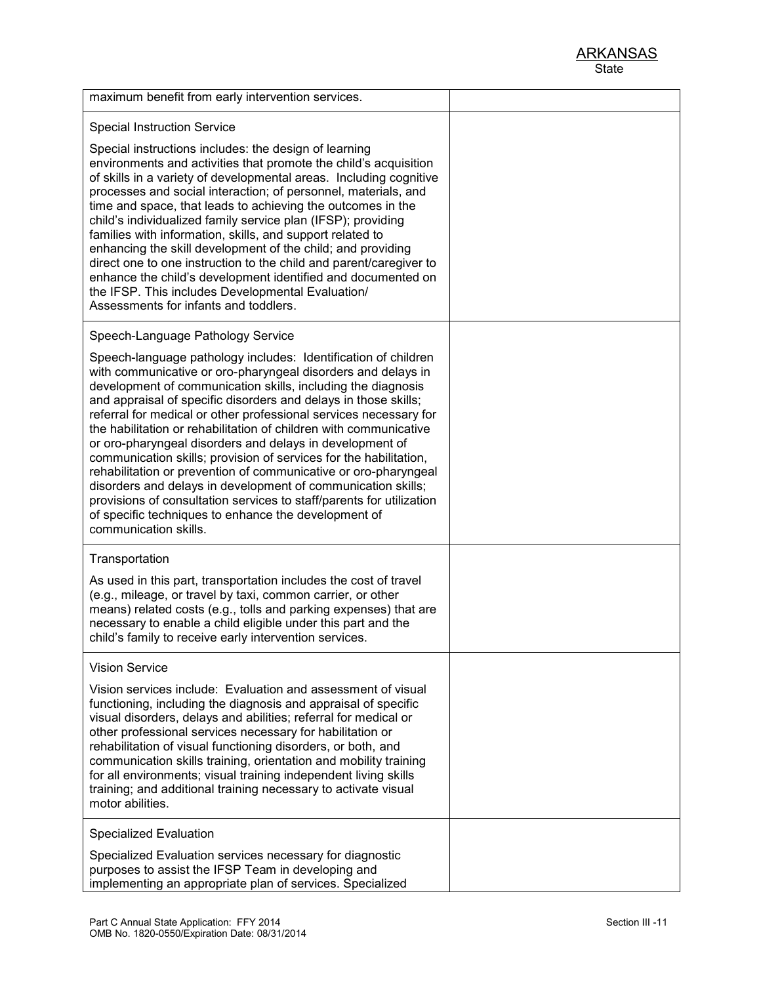| maximum benefit from early intervention services.                                                                                                                                                                                                                                                                                                                                                                                                                                                                                                                                                                                                                                                                                                                                                                                                                             |  |
|-------------------------------------------------------------------------------------------------------------------------------------------------------------------------------------------------------------------------------------------------------------------------------------------------------------------------------------------------------------------------------------------------------------------------------------------------------------------------------------------------------------------------------------------------------------------------------------------------------------------------------------------------------------------------------------------------------------------------------------------------------------------------------------------------------------------------------------------------------------------------------|--|
| <b>Special Instruction Service</b><br>Special instructions includes: the design of learning<br>environments and activities that promote the child's acquisition<br>of skills in a variety of developmental areas. Including cognitive<br>processes and social interaction; of personnel, materials, and<br>time and space, that leads to achieving the outcomes in the<br>child's individualized family service plan (IFSP); providing<br>families with information, skills, and support related to<br>enhancing the skill development of the child; and providing<br>direct one to one instruction to the child and parent/caregiver to                                                                                                                                                                                                                                      |  |
| enhance the child's development identified and documented on<br>the IFSP. This includes Developmental Evaluation/<br>Assessments for infants and toddlers.                                                                                                                                                                                                                                                                                                                                                                                                                                                                                                                                                                                                                                                                                                                    |  |
| Speech-Language Pathology Service<br>Speech-language pathology includes: Identification of children<br>with communicative or oro-pharyngeal disorders and delays in<br>development of communication skills, including the diagnosis<br>and appraisal of specific disorders and delays in those skills;<br>referral for medical or other professional services necessary for<br>the habilitation or rehabilitation of children with communicative<br>or oro-pharyngeal disorders and delays in development of<br>communication skills; provision of services for the habilitation,<br>rehabilitation or prevention of communicative or oro-pharyngeal<br>disorders and delays in development of communication skills;<br>provisions of consultation services to staff/parents for utilization<br>of specific techniques to enhance the development of<br>communication skills. |  |
| Transportation<br>As used in this part, transportation includes the cost of travel<br>(e.g., mileage, or travel by taxi, common carrier, or other<br>means) related costs (e.g., tolls and parking expenses) that are<br>necessary to enable a child eligible under this part and the<br>child's family to receive early intervention services.                                                                                                                                                                                                                                                                                                                                                                                                                                                                                                                               |  |
| <b>Vision Service</b><br>Vision services include: Evaluation and assessment of visual<br>functioning, including the diagnosis and appraisal of specific<br>visual disorders, delays and abilities; referral for medical or<br>other professional services necessary for habilitation or<br>rehabilitation of visual functioning disorders, or both, and<br>communication skills training, orientation and mobility training<br>for all environments; visual training independent living skills<br>training; and additional training necessary to activate visual<br>motor abilities.                                                                                                                                                                                                                                                                                          |  |
| <b>Specialized Evaluation</b><br>Specialized Evaluation services necessary for diagnostic<br>purposes to assist the IFSP Team in developing and<br>implementing an appropriate plan of services. Specialized                                                                                                                                                                                                                                                                                                                                                                                                                                                                                                                                                                                                                                                                  |  |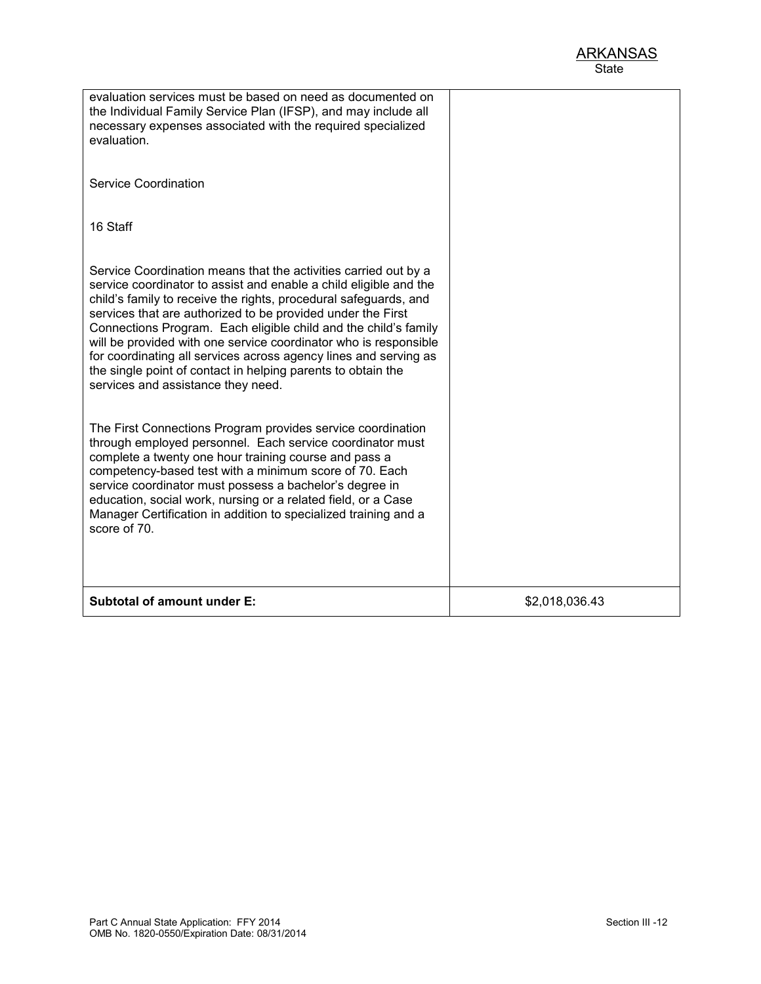| evaluation services must be based on need as documented on<br>the Individual Family Service Plan (IFSP), and may include all<br>necessary expenses associated with the required specialized<br>evaluation.<br><b>Service Coordination</b>                                                                                                                                                                                                                                                                                                                                                |                |
|------------------------------------------------------------------------------------------------------------------------------------------------------------------------------------------------------------------------------------------------------------------------------------------------------------------------------------------------------------------------------------------------------------------------------------------------------------------------------------------------------------------------------------------------------------------------------------------|----------------|
| 16 Staff                                                                                                                                                                                                                                                                                                                                                                                                                                                                                                                                                                                 |                |
| Service Coordination means that the activities carried out by a<br>service coordinator to assist and enable a child eligible and the<br>child's family to receive the rights, procedural safeguards, and<br>services that are authorized to be provided under the First<br>Connections Program. Each eligible child and the child's family<br>will be provided with one service coordinator who is responsible<br>for coordinating all services across agency lines and serving as<br>the single point of contact in helping parents to obtain the<br>services and assistance they need. |                |
| The First Connections Program provides service coordination<br>through employed personnel. Each service coordinator must<br>complete a twenty one hour training course and pass a<br>competency-based test with a minimum score of 70. Each<br>service coordinator must possess a bachelor's degree in<br>education, social work, nursing or a related field, or a Case<br>Manager Certification in addition to specialized training and a<br>score of 70.                                                                                                                               |                |
| <b>Subtotal of amount under E:</b>                                                                                                                                                                                                                                                                                                                                                                                                                                                                                                                                                       | \$2,018,036.43 |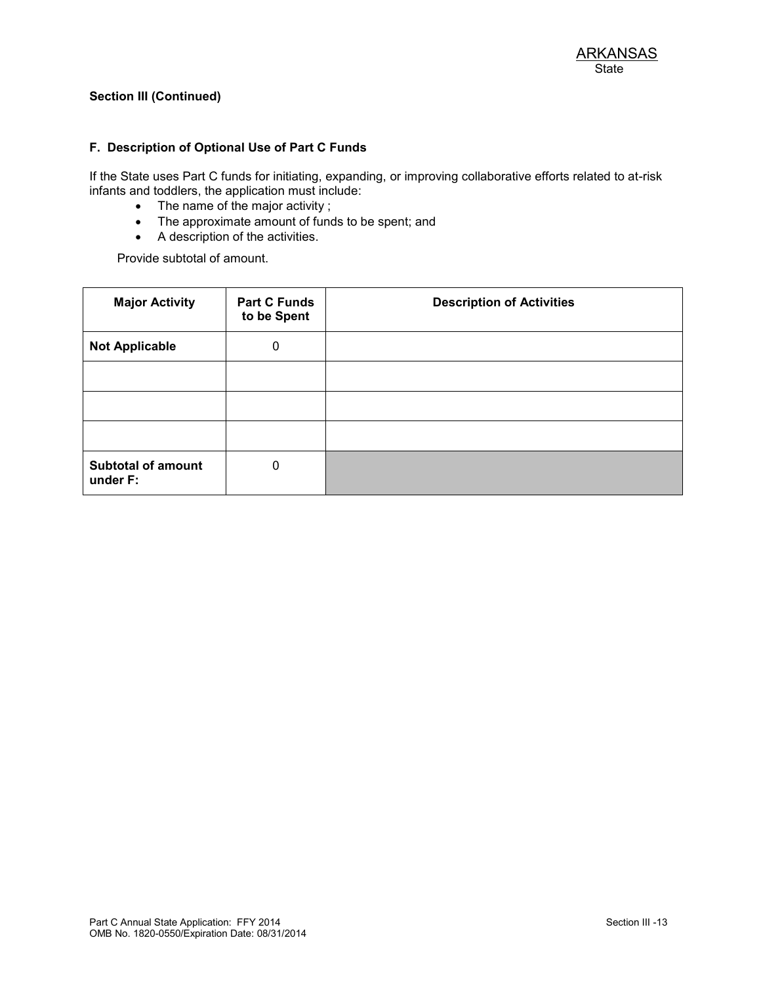#### **F. Description of Optional Use of Part C Funds**

If the State uses Part C funds for initiating, expanding, or improving collaborative efforts related to at-risk infants and toddlers, the application must include:

- The name of the major activity ;
- The approximate amount of funds to be spent; and
- A description of the activities.

Provide subtotal of amount.

| <b>Major Activity</b>                 | <b>Part C Funds</b><br>to be Spent | <b>Description of Activities</b> |
|---------------------------------------|------------------------------------|----------------------------------|
| <b>Not Applicable</b>                 | 0                                  |                                  |
|                                       |                                    |                                  |
|                                       |                                    |                                  |
|                                       |                                    |                                  |
| <b>Subtotal of amount</b><br>under F: | 0                                  |                                  |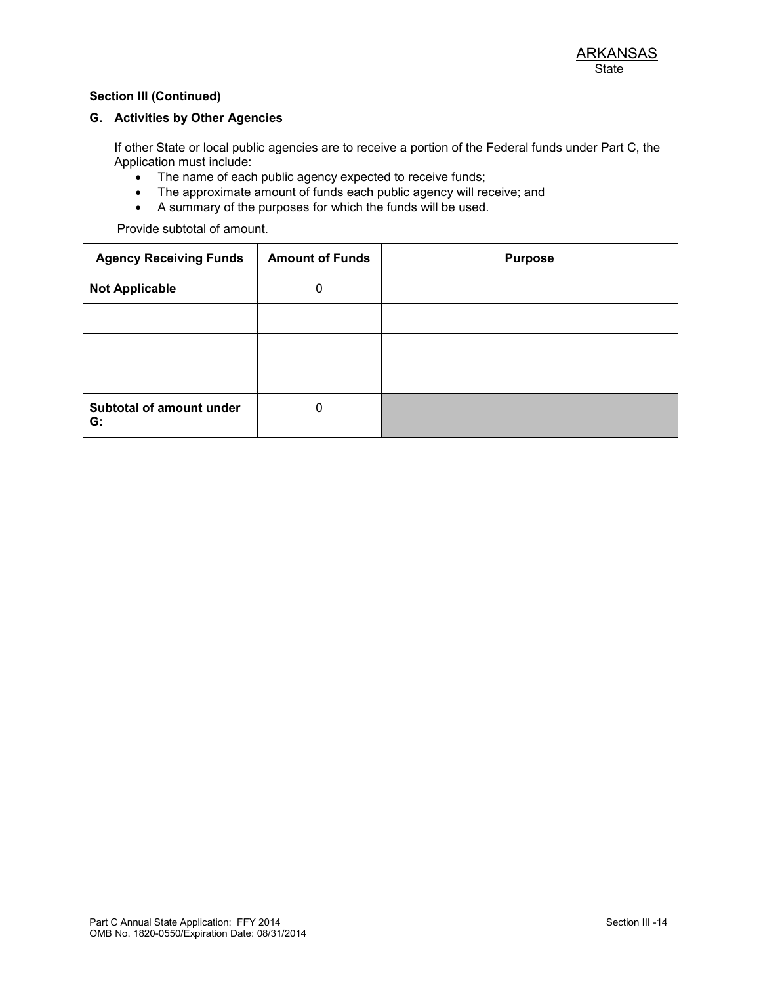#### **G. Activities by Other Agencies**

If other State or local public agencies are to receive a portion of the Federal funds under Part C, the Application must include:

- The name of each public agency expected to receive funds;
- The approximate amount of funds each public agency will receive; and
- A summary of the purposes for which the funds will be used.

Provide subtotal of amount.

| <b>Agency Receiving Funds</b>  | <b>Amount of Funds</b> | <b>Purpose</b> |
|--------------------------------|------------------------|----------------|
| <b>Not Applicable</b>          | 0                      |                |
|                                |                        |                |
|                                |                        |                |
|                                |                        |                |
| Subtotal of amount under<br>G. | 0                      |                |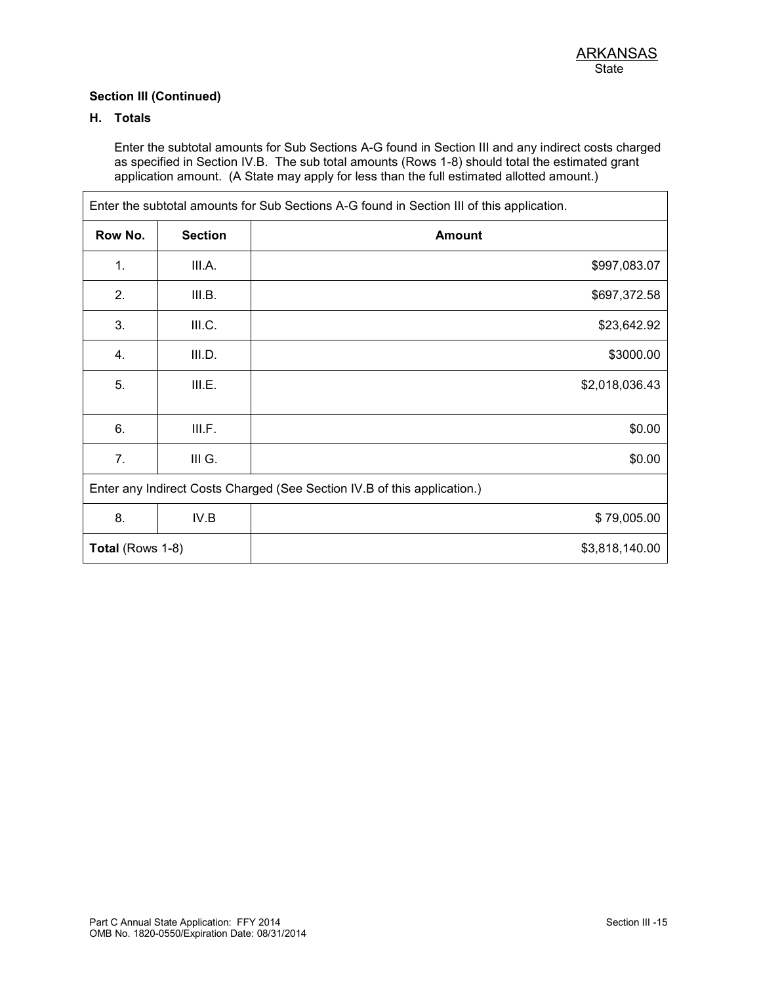#### **H. Totals**

Enter the subtotal amounts for Sub Sections A-G found in Section III and any indirect costs charged as specified in Section IV.B. The sub total amounts (Rows 1-8) should total the estimated grant application amount. (A State may apply for less than the full estimated allotted amount.)

| Enter the subtotal amounts for Sub Sections A-G found in Section III of this application. |                |                |
|-------------------------------------------------------------------------------------------|----------------|----------------|
| Row No.                                                                                   | <b>Section</b> | <b>Amount</b>  |
| 1.                                                                                        | III.A.         | \$997,083.07   |
| 2.                                                                                        | III.B.         | \$697,372.58   |
| 3.                                                                                        | III.C.         | \$23,642.92    |
| 4.                                                                                        | III.D.         | \$3000.00      |
| 5.                                                                                        | III.E.         | \$2,018,036.43 |
| 6.                                                                                        | III.F.         | \$0.00         |
| 7.                                                                                        | III G.         | \$0.00         |
| Enter any Indirect Costs Charged (See Section IV.B of this application.)                  |                |                |
| 8.                                                                                        | IV.B           | \$79,005.00    |
| Total (Rows 1-8)                                                                          |                | \$3,818,140.00 |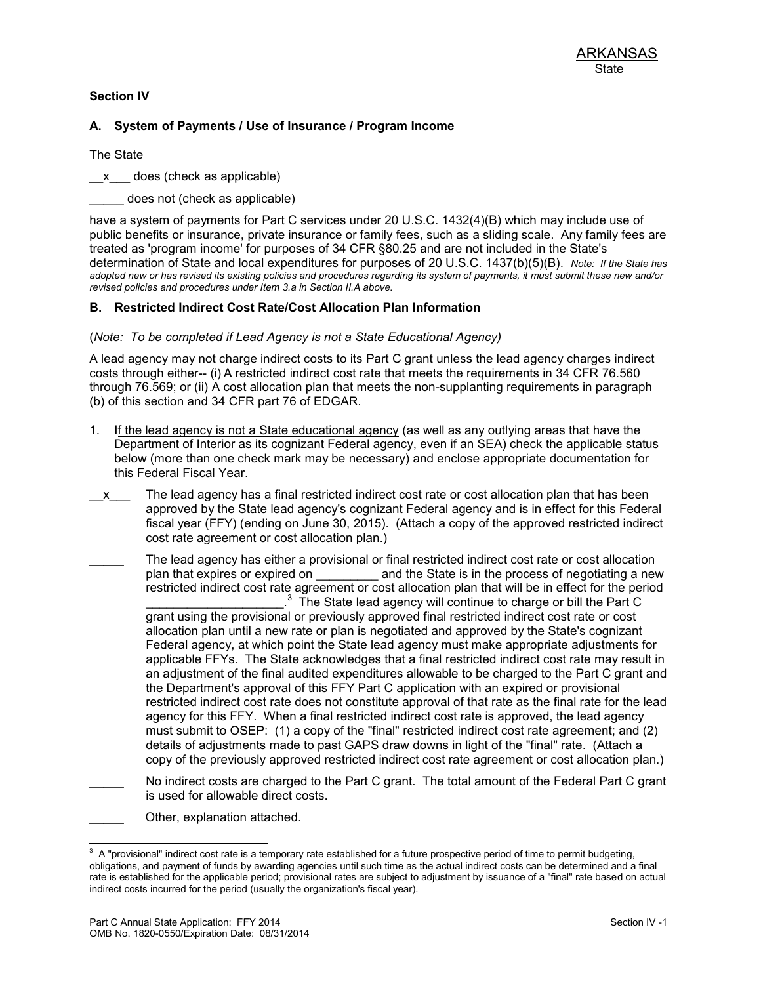#### **Section IV**

#### **A. System of Payments / Use of Insurance / Program Income**

The State

x does (check as applicable)

does not (check as applicable)

have a system of payments for Part C services under 20 U.S.C. 1432(4)(B) which may include use of public benefits or insurance, private insurance or family fees, such as a sliding scale. Any family fees are treated as 'program income' for purposes of 34 CFR §80.25 and are not included in the State's determination of State and local expenditures for purposes of 20 U.S.C. 1437(b)(5)(B). *Note: If the State has adopted new or has revised its existing policies and procedures regarding its system of payments, it must submit these new and/or revised policies and procedures under Item 3.a in Section II.A above.*

#### **B. Restricted Indirect Cost Rate/Cost Allocation Plan Information**

#### (*Note: To be completed if Lead Agency is not a State Educational Agency)*

A lead agency may not charge indirect costs to its Part C grant unless the lead agency charges indirect costs through either-- (i) A restricted indirect cost rate that meets the requirements in 34 CFR 76.560 through 76.569; or (ii) A cost allocation plan that meets the non-supplanting requirements in paragraph (b) of this section and 34 CFR part 76 of EDGAR.

- 1. If the lead agency is not a State educational agency (as well as any outlying areas that have the Department of Interior as its cognizant Federal agency, even if an SEA) check the applicable status below (more than one check mark may be necessary) and enclose appropriate documentation for this Federal Fiscal Year.
- $x$  The lead agency has a final restricted indirect cost rate or cost allocation plan that has been approved by the State lead agency's cognizant Federal agency and is in effect for this Federal fiscal year (FFY) (ending on June 30, 2015). (Attach a copy of the approved restricted indirect cost rate agreement or cost allocation plan.)
- The lead agency has either a provisional or final restricted indirect cost rate or cost allocation plan that expires or expired on \_\_\_\_\_\_\_\_\_ and the State is in the process of negotiating a new restricted indirect cost rate agreement or cost allocation plan that will be in effect for the period  $\mathcal{L}_\text{max}$  , where  $\mathcal{L}_\text{max}$  is the set of the set of the set of the set of the set of the set of the set of the set of the set of the set of the set of the set of the set of the set of the set of the set of the se  $3$  The State lead agency will continue to charge or bill the Part C grant using the provisional or previously approved final restricted indirect cost rate or cost allocation plan until a new rate or plan is negotiated and approved by the State's cognizant Federal agency, at which point the State lead agency must make appropriate adjustments for applicable FFYs. The State acknowledges that a final restricted indirect cost rate may result in an adjustment of the final audited expenditures allowable to be charged to the Part C grant and the Department's approval of this FFY Part C application with an expired or provisional restricted indirect cost rate does not constitute approval of that rate as the final rate for the lead agency for this FFY. When a final restricted indirect cost rate is approved, the lead agency must submit to OSEP: (1) a copy of the "final" restricted indirect cost rate agreement; and (2) details of adjustments made to past GAPS draw downs in light of the "final" rate. (Attach a copy of the previously approved restricted indirect cost rate agreement or cost allocation plan.)
- No indirect costs are charged to the Part C grant. The total amount of the Federal Part C grant is used for allowable direct costs.
	- Other, explanation attached.

<sup>&</sup>lt;sup>3</sup> A "provisional" indirect cost rate is a temporary rate established for a future prospective period of time to permit budgeting, obligations, and payment of funds by awarding agencies until such time as the actual indirect costs can be determined and a final rate is established for the applicable period; provisional rates are subject to adjustment by issuance of a "final" rate based on actual indirect costs incurred for the period (usually the organization's fiscal year).